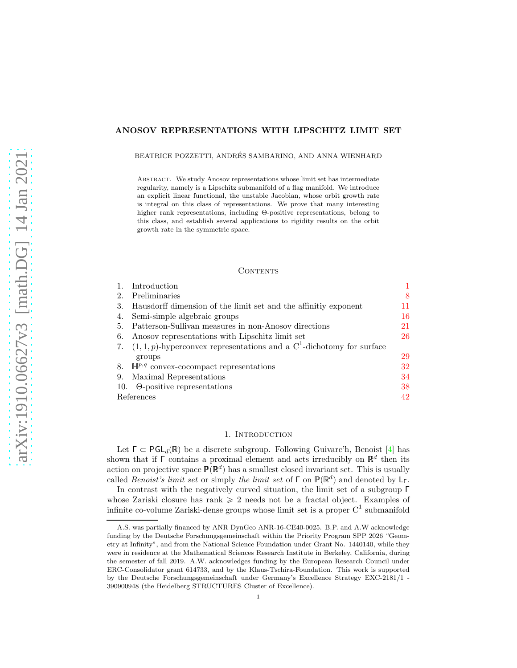# <span id="page-0-1"></span>ANOSOV REPRESENTATIONS WITH LIPSCHITZ LIMIT SET

### BEATRICE POZZETTI, ANDRÉS SAMBARINO, AND ANNA WIENHARD

Abstract. We study Anosov representations whose limit set has intermediate regularity, namely is a Lipschitz submanifold of a flag manifold. We introduce an explicit linear functional, the unstable Jacobian, whose orbit growth rate is integral on this class of representations. We prove that many interesting higher rank representations, including Θ-positive representations, belong to this class, and establish several applications to rigidity results on the orbit growth rate in the symmetric space.

### **CONTENTS**

|     | Introduction                                                                          |    |
|-----|---------------------------------------------------------------------------------------|----|
| 2.  | Preliminaries                                                                         | 8  |
| 3.  | Hausdorff dimension of the limit set and the affinitive exponent                      | 11 |
| 4.  | Semi-simple algebraic groups                                                          | 16 |
| 5.  | Patterson-Sullivan measures in non-Anosov directions                                  | 21 |
| 6.  | Anosov representations with Lipschitz limit set                                       | 26 |
|     | 7. $(1,1,p)$ -hyperconvex representations and a C <sup>1</sup> -dichotomy for surface |    |
|     | groups                                                                                | 29 |
| 8.  | $\mathbb{H}^{p,q}$ convex-cocompact representations                                   | 32 |
| 9.  | Maximal Representations                                                               | 34 |
| 10. | $\Theta$ -positive representations                                                    | 38 |
|     | References                                                                            |    |

## 1. INTRODUCTION

<span id="page-0-0"></span>Let  $\Gamma \subset \text{PGL}_d(\mathbb{R})$  be a discrete subgroup. Following Guivarc'h, Benoist [\[4\]](#page-41-1) has shown that if  $\Gamma$  contains a proximal element and acts irreducibly on  $\mathbb{R}^d$  then its action on projective space  $\mathbb{P}(\mathbb{R}^d)$  has a smallest closed invariant set. This is usually called Benoist's limit set or simply the limit set of  $\Gamma$  on  $\mathbb{P}(\mathbb{R}^d)$  and denoted by  $L_{\Gamma}$ .

In contrast with the negatively curved situation, the limit set of a subgroup Γ whose Zariski closure has rank  $\geq 2$  needs not be a fractal object. Examples of infinite co-volume Zariski-dense groups whose limit set is a proper  $C^1$  submanifold

A.S. was partially financed by ANR DynGeo ANR-16-CE40-0025. B.P. and A.W acknowledge funding by the Deutsche Forschungsgemeinschaft within the Priority Program SPP 2026 "Geometry at Infinity", and from the National Science Foundation under Grant No. 1440140, while they were in residence at the Mathematical Sciences Research Institute in Berkeley, California, during the semester of fall 2019. A.W. acknowledges funding by the European Research Council under ERC-Consolidator grant 614733, and by the Klaus-Tschira-Foundation. This work is supported by the Deutsche Forschungsgemeinschaft under Germany's Excellence Strategy EXC-2181/1 - 390900948 (the Heidelberg STRUCTURES Cluster of Excellence).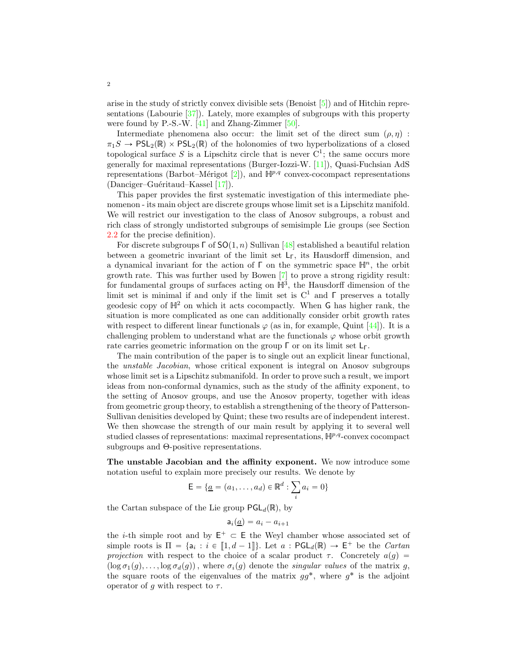<span id="page-1-0"></span>arise in the study of strictly convex divisible sets (Benoist [\[5\]](#page-41-2)) and of Hitchin representations (Labourie [\[37\]](#page-43-0)). Lately, more examples of subgroups with this property were found by P.-S.-W. [\[41\]](#page-43-1) and Zhang-Zimmer [\[50\]](#page-43-2).

Intermediate phenomena also occur: the limit set of the direct sum  $(\rho, \eta)$ :  $\pi_1S \to PSL_2(\mathbb{R}) \times PSL_2(\mathbb{R})$  of the holonomies of two hyperbolizations of a closed topological surface S is a Lipschitz circle that is never  $C^1$ ; the same occurs more generally for maximal representations (Burger-Iozzi-W. [\[11\]](#page-42-0)), Quasi-Fuchsian AdS representations (Barbot–Mérigot [\[2\]](#page-41-3)), and  $\mathbb{H}^{p,q}$  convex-cocompact representations  $(Danciger–Guéritaud–Kassel [17]).$  $(Danciger–Guéritaud–Kassel [17]).$  $(Danciger–Guéritaud–Kassel [17]).$ 

This paper provides the first systematic investigation of this intermediate phenomenon - its main object are discrete groups whose limit set is a Lipschitz manifold. We will restrict our investigation to the class of Anosov subgroups, a robust and rich class of strongly undistorted subgroups of semisimple Lie groups (see Section [2.2](#page-9-0) for the precise definition).

For discrete subgroups  $\Gamma$  of  $SO(1, n)$  Sullivan [\[48\]](#page-43-3) established a beautiful relation between a geometric invariant of the limit set  $L_{\Gamma}$ , its Hausdorff dimension, and a dynamical invariant for the action of  $\Gamma$  on the symmetric space  $\mathbb{H}^n$ , the orbit growth rate. This was further used by Bowen [\[7\]](#page-42-2) to prove a strong rigidity result: for fundamental groups of surfaces acting on  $\mathbb{H}^3$ , the Hausdorff dimension of the limit set is minimal if and only if the limit set is  $C^1$  and  $\Gamma$  preserves a totally geodesic copy of  $H^2$  on which it acts cocompactly. When G has higher rank, the situation is more complicated as one can additionally consider orbit growth rates with respect to different linear functionals  $\varphi$  (as in, for example, Quint [\[44\]](#page-43-4)). It is a challenging problem to understand what are the functionals  $\varphi$  whose orbit growth rate carries geometric information on the group  $\Gamma$  or on its limit set  $L_{\Gamma}$ .

The main contribution of the paper is to single out an explicit linear functional, the unstable Jacobian, whose critical exponent is integral on Anosov subgroups whose limit set is a Lipschitz submanifold. In order to prove such a result, we import ideas from non-conformal dynamics, such as the study of the affinity exponent, to the setting of Anosov groups, and use the Anosov property, together with ideas from geometric group theory, to establish a strengthening of the theory of Patterson-Sullivan denisities developed by Quint; these two results are of independent interest. We then showcase the strength of our main result by applying it to several well studied classes of representations: maximal representations,  $H^{p,q}$ -convex cocompact subgroups and Θ-positive representations.

The unstable Jacobian and the affinity exponent. We now introduce some notation useful to explain more precisely our results. We denote by

$$
\mathsf{E} = \{ \underline{a} = (a_1, \dots, a_d) \in \mathbb{R}^d : \sum_i a_i = 0 \}
$$

the Cartan subspace of the Lie group  $\mathsf{PGL}_d(\mathbb{R})$ , by

$$
\mathsf{a}_i(\underline{a}) = a_i - a_{i+1}
$$

the *i*-th simple root and by  $E^+ \subset E$  the Weyl chamber whose associated set of simple roots is  $\Pi = \{a_i : i \in [1, d-1]\}$ . Let  $a : \mathsf{PGL}_d(\mathbb{R}) \to \mathsf{E}^+$  be the *Cartan* projection with respect to the choice of a scalar product  $\tau$ . Concretely  $a(g)$  =  $(\log \sigma_1(g), \ldots, \log \sigma_d(g))$ , where  $\sigma_i(g)$  denote the singular values of the matrix g, the square roots of the eigenvalues of the matrix  $gg^*$ , where  $g^*$  is the adjoint operator of g with respect to  $\tau$ .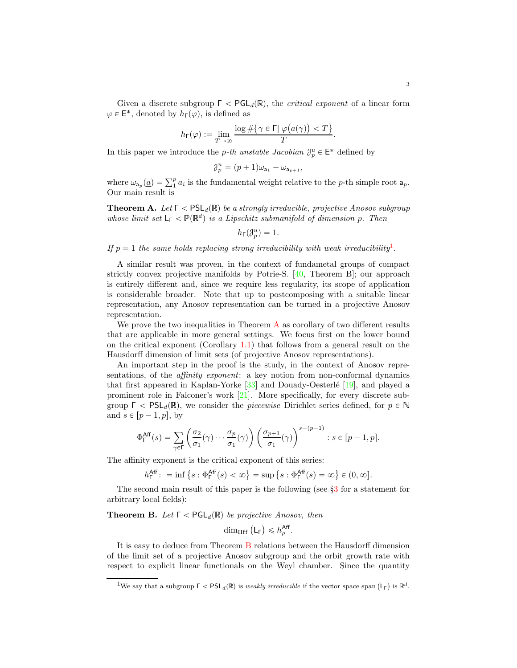<span id="page-2-3"></span>Given a discrete subgroup  $\Gamma < \text{PGL}_d(\mathbb{R})$ , the *critical exponent* of a linear form  $\varphi \in \mathsf{E}^*$ , denoted by  $h_{\mathsf{\Gamma}}(\varphi)$ , is defined as

$$
h_{\Gamma}(\varphi) := \lim_{T \to \infty} \frac{\log \#\{\gamma \in \Gamma | \varphi(a(\gamma)) < T\}}{T}.
$$

In this paper we introduce the *p*-th unstable Jacobian  $\mathcal{J}_p^u \in \mathsf{E}^*$  defined by

$$
\mathcal{J}_p^u=(p+1)\omega_{\mathsf{a}_1}-\omega_{\mathsf{a}_{p+1}},
$$

where  $\omega_{a_p}(\underline{a}) = \sum_{1}^{p} a_i$  is the fundamental weight relative to the *p*-th simple root  $a_p$ . Our main result is

<span id="page-2-1"></span>**Theorem A.** Let  $\Gamma$  <  $PSL_d(\mathbb{R})$  be a strongly irreducible, projective Anosov subgroup whose limit set  $L_{\Gamma} < \mathbb{P}(\mathbb{R}^d)$  is a Lipschitz submanifold of dimension p. Then

$$
h_{\mathsf{F}}({\mathcal J}_p^u)=1.
$$

If  $p = 1$  $p = 1$  the same holds replacing strong irreducibility with weak irreducibility<sup>1</sup>.

A similar result was proven, in the context of fundametal groups of compact strictly convex projective manifolds by Potrie-S.  $[40,$  Theorem B]; our approach is entirely different and, since we require less regularity, its scope of application is considerable broader. Note that up to postcomposing with a suitable linear representation, any Anosov representation can be turned in a projective Anosov representation.

We prove the two inequalities in Theorem  $\bf{A}$  $\bf{A}$  $\bf{A}$  as corollary of two different results that are applicable in more general settings. We focus first on the lower bound on the critical exponent (Corollary [1.1\)](#page-3-0) that follows from a general result on the Hausdorff dimension of limit sets (of projective Anosov representations).

An important step in the proof is the study, in the context of Anosov representations, of the *affinity exponent*: a key notion from non-conformal dynamics that first appeared in Kaplan-Yorke  $\lceil 33 \rceil$  and Douady-Oesterlé  $\lceil 19 \rceil$ , and played a prominent role in Falconer's work [\[21\]](#page-42-4). More specifically, for every discrete subgroup  $\Gamma$  < PSL<sub>d</sub>(R), we consider the *piecewise* Dirichlet series defined, for  $p \in \mathbb{N}$ and  $s \in [p - 1, p]$ , by

$$
\Phi_{\Gamma}^{\text{Aff}}(s) = \sum_{\gamma \in \Gamma} \left( \frac{\sigma_2}{\sigma_1}(\gamma) \cdots \frac{\sigma_p}{\sigma_1}(\gamma) \right) \left( \frac{\sigma_{p+1}}{\sigma_1}(\gamma) \right)^{s - (p-1)} : s \in [p-1, p].
$$

The affinity exponent is the critical exponent of this series:

$$
h_{\Gamma}^{\text{Aff}}: = \inf \left\{ s : \Phi_{\Gamma}^{\text{Aff}}(s) < \infty \right\} = \sup \left\{ s : \Phi_{\Gamma}^{\text{Aff}}(s) = \infty \right\} \in (0, \infty].
$$

The second main result of this paper is the following (see §[3](#page-10-0) for a statement for arbitrary local fields):

<span id="page-2-2"></span>**Theorem B.** Let  $\Gamma$  < PGL<sub>d</sub>( $\mathbb{R}$ ) be projective Anosov, then

dim<sub>Hff</sub>  $(L_{\Gamma}) \leq h_{\rho}^{\text{Aff}}$ .

It is easy to deduce from Theorem [B](#page-2-2) relations between the Hausdorff dimension of the limit set of a projective Anosov subgroup and the orbit growth rate with respect to explicit linear functionals on the Weyl chamber. Since the quantity

<span id="page-2-0"></span><sup>&</sup>lt;sup>1</sup>We say that a subgroup  $\Gamma < \text{PSL}_d(\mathbb{R})$  is weakly irreducible if the vector space span  $(L_\Gamma)$  is  $\mathbb{R}^d$ .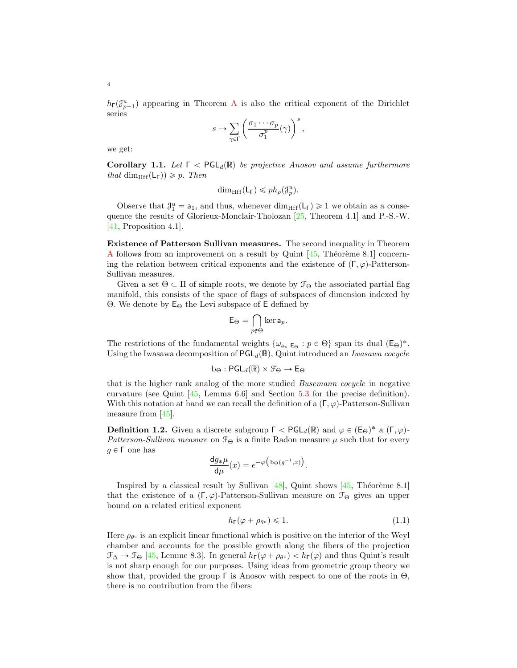<span id="page-3-2"></span> $h\tau(\mathcal{J}_{p-1}^u)$  appearing in Theorem [A](#page-2-1) is also the critical exponent of the Dirichlet series

$$
s\mapsto \sum_{\gamma\in \Gamma}\left(\frac{\sigma_1\cdots \sigma_p}{\sigma_1^p}(\gamma)\right)^s,
$$

we get:

<span id="page-3-0"></span>**Corollary 1.1.** Let  $\Gamma$   $\leq$  PGL<sub>d</sub>(R) be projective Anosov and assume furthermore that dim<sub>Hff</sub> $(L_{\Gamma}) \geqslant p$ . Then

$$
\dim_{\mathrm{Hff}}(\mathsf{L}_\Gamma) \leqslant ph_\rho(\mathcal{J}_p^u).
$$

Observe that  $\mathcal{J}_1^u = a_1$ , and thus, whenever dim<sub>Hff</sub>(L<sub>Γ</sub>)  $\geq 1$  we obtain as a consequence the results of Glorieux-Monclair-Tholozan [\[25,](#page-42-5) Theorem 4.1] and P.-S.-W. [\[41,](#page-43-1) Proposition 4.1].

Existence of Patterson Sullivan measures. The second inequality in Theorem [A](#page-2-1) follows from an improvement on a result by Quint  $[45,$  Théorème 8.1] concerning the relation between critical exponents and the existence of  $(\Gamma, \varphi)$ -Patterson-Sullivan measures.

Given a set  $\Theta \subset \Pi$  of simple roots, we denote by  $\mathcal{F}_{\Theta}$  the associated partial flag manifold, this consists of the space of flags of subspaces of dimension indexed by Θ. We denote by  $E_{\Theta}$  the Levi subspace of E defined by

$$
\mathsf{E}_{\Theta} = \bigcap_{p \notin \Theta} \ker \mathsf{a}_p.
$$

The restrictions of the fundamental weights  $\{\omega_{a_p} | E_{\Theta} : p \in \Theta\}$  span its dual  $(E_{\Theta})^*$ . Using the Iwasawa decomposition of  $\mathsf{PGL}_d(\mathbb{R})$ , Quint introduced an Iwasawa cocycle

$$
b_{\Theta} : \mathsf{PGL}_d(\mathbb{R}) \times \mathcal{F}_{\Theta} \to \mathsf{E}_{\Theta}
$$

that is the higher rank analog of the more studied Busemann cocycle in negative curvature (see Quint  $[45, \text{ Lemma } 6.6]$  and Section [5.3](#page-23-0) for the precise definition). With this notation at hand we can recall the definition of a  $(\Gamma, \varphi)$ -Patterson-Sullivan measure from [\[45\]](#page-43-7).

**Definition 1.2.** Given a discrete subgroup  $\Gamma < \text{PGL}_d(\mathbb{R})$  and  $\varphi \in (\mathsf{E}_{\Theta})^*$  a  $(\Gamma, \varphi)$ -Patterson-Sullivan measure on  $\mathcal{F}_{\Theta}$  is a finite Radon measure  $\mu$  such that for every  $g \in Γ$  one has

$$
\frac{\mathrm{d}g_*\mu}{\mathrm{d}\mu}(x) = e^{-\varphi\left(\mathrm{b}_{\Theta}(g^{-1},x)\right)}.
$$

Inspired by a classical result by Sullivan  $[48]$ , Quint shows  $[45,$  Théorème 8.1] that the existence of a  $(\Gamma, \varphi)$ -Patterson-Sullivan measure on  $\mathcal{F}_{\Theta}$  gives an upper bound on a related critical exponent

<span id="page-3-1"></span>
$$
h_{\Gamma}(\varphi + \rho_{\theta^c}) \leq 1. \tag{1.1}
$$

Here  $\rho_{\theta^c}$  is an explicit linear functional which is positive on the interior of the Weyl chamber and accounts for the possible growth along the fibers of the projection  $\mathcal{F}_{\Delta} \to \mathcal{F}_{\Theta}$  [\[45,](#page-43-7) Lemme 8.3]. In general  $h_{\Gamma}(\varphi + \rho_{\theta^c}) < h_{\Gamma}(\varphi)$  and thus Quint's result is not sharp enough for our purposes. Using ideas from geometric group theory we show that, provided the group  $\Gamma$  is Anosov with respect to one of the roots in  $\Theta$ , there is no contribution from the fibers: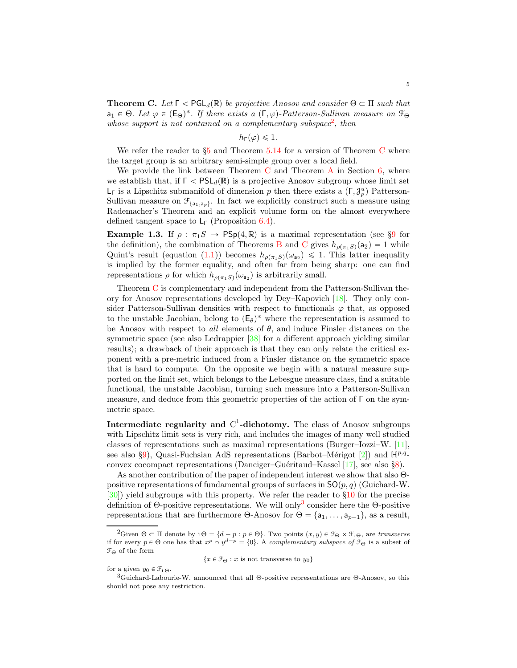<span id="page-4-3"></span><span id="page-4-1"></span>**Theorem C.** Let  $\Gamma < \text{PGL}_d(\mathbb{R})$  be projective Anosov and consider  $\Theta \subset \Pi$  such that  $a_1 \in \Theta$ . Let  $\varphi \in (E_{\Theta})^*$ . If there exists a  $(\Gamma, \varphi)$ -Patterson-Sullivan measure on  $\mathcal{F}_{\Theta}$ whose support is not contained on a complementary subspace<sup>[2](#page-4-0)</sup>, then

 $h_{\Gamma}(\varphi) \leq 1.$ 

We refer the reader to  $\S_5$  $\S_5$  and Theorem  $5.14$  for a version of Theorem [C](#page-4-1) where the target group is an arbitrary semi-simple group over a local field.

We provide the link between Theorem  $C$  and Theorem  $A$  in Section  $6$ , where we establish that, if  $\Gamma < \text{PSL}_d(\mathbb{R})$  is a projective Anosov subgroup whose limit set  $L<sub>Γ</sub>$  is a Lipschitz submanifold of dimension p then there exists a  $(Γ, \mathcal{J}_{p}^{u})$  Patterson-Sullivan measure on  $\mathcal{F}_{\{a_1, a_p\}}$ . In fact we explicitly construct such a measure using Rademacher's Theorem and an explicit volume form on the almost everywhere defined tangent space to  $L_{\Gamma}$  (Proposition [6.4\)](#page-26-0).

Example 1.3. If  $\rho : \pi_1S \to \text{PSp}(4,\mathbb{R})$  is a maximal representation (see §[9](#page-33-0) for the definition), the combination of Theorems [B](#page-2-2) and [C](#page-4-1) gives  $h_{\rho(\pi_1S)}(a_2) = 1$  while Quint's result (equation [\(1.1\)](#page-3-1)) becomes  $h_{\rho(\pi_1S)}(\omega_{a_2}) \leq 1$ . This latter inequality is implied by the former equality, and often far from being sharp: one can find representations  $\rho$  for which  $h_{\rho(\pi_1S)}(\omega_{a_2})$  is arbitrarily small.

Theorem [C](#page-4-1) is complementary and independent from the Patterson-Sullivan theory for Anosov representations developed by Dey–Kapovich [\[18\]](#page-42-6). They only consider Patterson-Sullivan densities with respect to functionals  $\varphi$  that, as opposed to the unstable Jacobian, belong to  $(E_{\theta})^*$  where the representation is assumed to be Anosov with respect to all elements of  $\theta$ , and induce Finsler distances on the symmetric space (see also Ledrappier [\[38\]](#page-43-8) for a different approach yielding similar results); a drawback of their approach is that they can only relate the critical exponent with a pre-metric induced from a Finsler distance on the symmetric space that is hard to compute. On the opposite we begin with a natural measure supported on the limit set, which belongs to the Lebesgue measure class, find a suitable functional, the unstable Jacobian, turning such measure into a Patterson-Sullivan measure, and deduce from this geometric properties of the action of Γ on the symmetric space.

Intermediate regularity and  $C^1$ -dichotomy. The class of Anosov subgroups with Lipschitz limit sets is very rich, and includes the images of many well studied classes of representations such as maximal representations (Burger–Iozzi–W. [\[11\]](#page-42-0), see also §[9\)](#page-33-0), Quasi-Fuchsian AdS representations (Barbot–Mérigot [\[2\]](#page-41-3)) and  $\mathbb{H}^{p,q}$ -convex cocompact representations (Danciger–Guéritaud–Kassel [\[17\]](#page-42-1), see also §[8\)](#page-31-0).

As another contribution of the paper of independent interest we show that also Θpositive representations of fundamental groups of surfaces in  $SO(p, q)$  (Guichard-W. [\[30\]](#page-42-7)) yield subgroups with this property. We refer the reader to §[10](#page-37-0) for the precise definition of  $\Theta$ -positive representations. We will only<sup>[3](#page-4-2)</sup> consider here the  $\Theta$ -positive representations that are furthermore  $\Theta$ -Anosov for  $\Theta = \{a_1, \ldots, a_{p-1}\}\$ , as a result,

 $\{x \in \mathcal{F}_{\Theta} : x \text{ is not transverse to } y_0\}$ 

for a given  $y_0 \in \mathcal{F}_{i \Theta}$ .

<span id="page-4-0"></span><sup>&</sup>lt;sup>2</sup>Given  $\Theta \subset \Pi$  denote by  $i\Theta = \{d - p : p \in \Theta\}$ . Two points  $(x, y) \in \mathcal{F}_{\Theta} \times \mathcal{F}_{i \Theta}$ , are transverse if for every  $p \in \Theta$  one has that  $x^p \cap y^{d-p} = \{0\}$ . A complementary subspace of  $\mathcal{F}_{\Theta}$  is a subset of  $\mathcal{F}_\Theta$  of the form

<span id="page-4-2"></span><sup>3</sup>Guichard-Labourie-W. announced that all Θ-positive representations are Θ-Anosov, so this should not pose any restriction.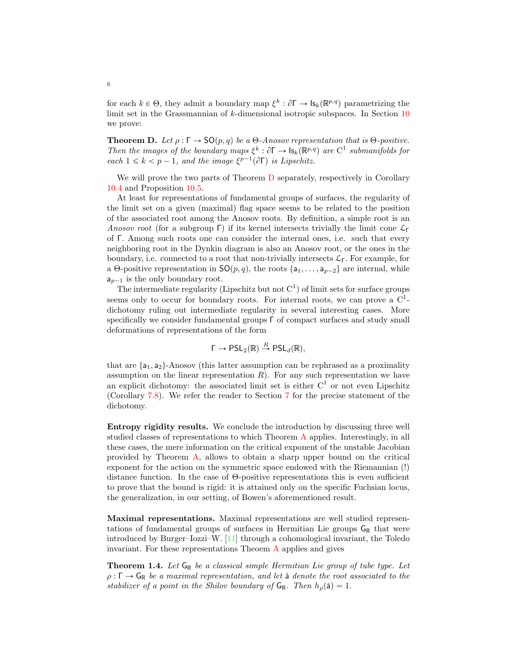<span id="page-5-2"></span>for each  $k \in \Theta$ , they admit a boundary map  $\xi^k : \partial \Gamma \to \mathsf{Is}_k(\mathbb{R}^{p,q})$  parametrizing the limit set in the Grassmannian of k-dimensional isotropic subspaces. In Section [10](#page-37-0) we prove:

<span id="page-5-0"></span>**Theorem D.** Let  $\rho : \Gamma \to SO(p,q)$  be a  $\Theta$ -Anosov representation that is  $\Theta$ -positive. Then the images of the boundary maps  $\xi^k : \partial \Gamma \to \mathsf{Is}_k(\mathbb{R}^{p,q})$  are  $C^1$  submanifolds for each  $1 \leq k < p - 1$ , and the image  $\xi^{p-1}(\partial \Gamma)$  is Lipschitz.

We will prove the two parts of Theorem [D](#page-5-0) separately, respectively in Corollary [10.4](#page-39-0) and Proposition [10.5.](#page-39-1)

At least for representations of fundamental groups of surfaces, the regularity of the limit set on a given (maximal) flag space seems to be related to the position of the associated root among the Anosov roots. By definition, a simple root is an Anosov root (for a subgroup Γ) if its kernel intersects trivially the limit cone  $\mathcal{L}_{\Gamma}$ of Γ. Among such roots one can consider the internal ones, i.e. such that every neighboring root in the Dynkin diagram is also an Anosov root, or the ones in the boundary, i.e. connected to a root that non-trivially intersects  $\mathcal{L}_{\Gamma}$ . For example, for a Θ-positive representation in  $SO(p, q)$ , the roots  $\{a_1, \ldots, a_{p-2}\}$  are internal, while  $a_{p-1}$  is the only boundary root.

The intermediate regularity (Lipschitz but not  $C<sup>1</sup>$ ) of limit sets for surface groups seems only to occur for boundary roots. For internal roots, we can prove a  $C^1$ dichotomy ruling out intermediate regularity in several interesting cases. More specifically we consider fundamental groups Γ of compact surfaces and study small deformations of representations of the form

$$
\Gamma \to \mathsf{PSL}_2(\mathbb{R}) \stackrel{R}{\to} \mathsf{PSL}_d(\mathbb{R}),
$$

that are  $\{a_1, a_2\}$ -Anosov (this latter assumption can be rephrased as a proximality assumption on the linear representation  $R$ ). For any such representation we have an explicit dichotomy: the associated limit set is either  $C<sup>1</sup>$  or not even Lipschitz (Corollary [7.8\)](#page-30-0). We refer the reader to Section [7](#page-28-0) for the precise statement of the dichotomy.

Entropy rigidity results. We conclude the introduction by discussing three well studied classes of representations to which Theorem [A](#page-2-1) applies. Interestingly, in all these cases, the mere information on the critical exponent of the unstable Jacobian provided by Theorem [A,](#page-2-1) allows to obtain a sharp upper bound on the critical exponent for the action on the symmetric space endowed with the Riemannian (!) distance function. In the case of Θ-positive representations this is even sufficient to prove that the bound is rigid: it is attained only on the specific Fuchsian locus, the generalization, in our setting, of Bowen's aforementioned result.

Maximal representations. Maximal representations are well studied representations of fundamental groups of surfaces in Hermitian Lie groups  $G_{\mathbb{R}}$  that were introduced by Burger–Iozzi–W. [\[11\]](#page-42-0) through a cohomological invariant, the Toledo invariant. For these representations Theoem [A](#page-2-1) applies and gives

<span id="page-5-1"></span>**Theorem 1.4.** Let  $G_{\mathbb{R}}$  be a classical simple Hermitian Lie group of tube type. Let  $\rho : \Gamma \to \mathsf{G}_{\mathbb{R}}$  be a maximal representation, and let **a** denote the root associated to the stabilizer of a point in the Shilov boundary of  $G_{\mathbb{R}}$ . Then  $h_{\rho}(\check{a})=1$ .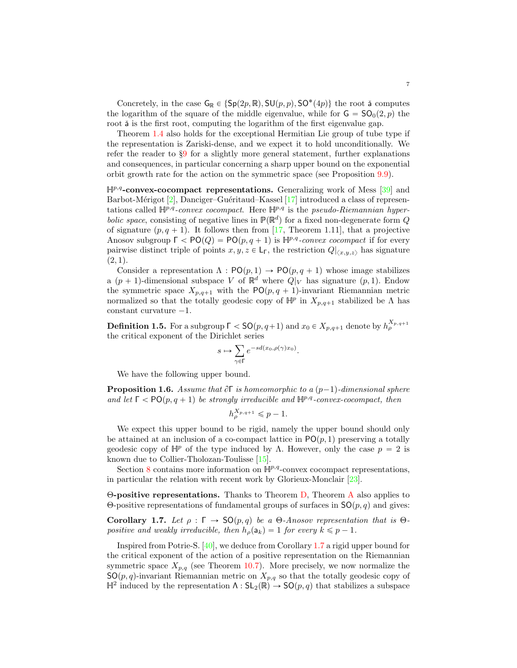<span id="page-6-2"></span>Concretely, in the case  $G_{\mathbb{R}} \in \{ \mathsf{Sp}(2p, \mathbb{R}), \mathsf{SU}(p, p), \mathsf{SO}^*(4p) \}$  the root  $\check{\mathsf{a}}$  computes the logarithm of the square of the middle eigenvalue, while for  $G = SO_0(2, p)$  the root  $\check{a}$  is the first root, computing the logarithm of the first eigenvalue gap.

Theorem [1.4](#page-5-1) also holds for the exceptional Hermitian Lie group of tube type if the representation is Zariski-dense, and we expect it to hold unconditionally. We refer the reader to §[9](#page-33-0) for a slightly more general statement, further explanations and consequences, in particular concerning a sharp upper bound on the exponential orbit growth rate for the action on the symmetric space (see Proposition [9.9\)](#page-36-0).

 $\mathbb{H}^{p,q}$ -convex-cocompact representations. Generalizing work of Mess [\[39\]](#page-43-9) and Barbot-Mérigot  $[2]$ , Danciger–Guéritaud–Kassel  $[17]$  introduced a class of representations called  $\mathbb{H}^{p,q}$ -convex cocompact. Here  $\mathbb{H}^{p,q}$  is the pseudo-Riemannian hyperbolic space, consisting of negative lines in  $\mathbb{P}(\mathbb{R}^d)$  for a fixed non-degenerate form  $Q$ of signature  $(p, q + 1)$ . It follows then from [\[17,](#page-42-1) Theorem 1.11], that a projective Anosov subgroup  $\Gamma < \text{PO}(Q) = \text{PO}(p, q + 1)$  is  $\mathbb{H}^{p,q}$ -convex cocompact if for every pairwise distinct triple of points  $x, y, z \in \mathsf{L}_{\mathsf{F}}$ , the restriction  $Q|_{\langle x,y,z \rangle}$  has signature  $(2, 1)$ .

Consider a representation  $\Lambda : \mathsf{PO}(p,1) \to \mathsf{PO}(p,q+1)$  whose image stabilizes a  $(p + 1)$ -dimensional subspace V of  $\mathbb{R}^d$  where  $Q|_V$  has signature  $(p, 1)$ . Endow the symmetric space  $X_{p,q+1}$  with the PO $(p, q + 1)$ -invariant Riemannian metric normalized so that the totally geodesic copy of  $\mathbb{H}^p$  in  $X_{p,q+1}$  stabilized be  $\Lambda$  has constant curvature  $-1$ .

<span id="page-6-1"></span>**Definition 1.5.** For a subgroup  $\Gamma <$  **SO** $(p, q+1)$  and  $x_0 \in X_{p,q+1}$  denote by  $h_{\rho}^{X_{p,q+1}}$ the critical exponent of the Dirichlet series

$$
s \mapsto \sum_{\gamma \in \Gamma} e^{-sd(x_0, \rho(\gamma)x_0)}.
$$

We have the following upper bound.

**Proposition 1.6.** Assume that  $\partial \Gamma$  is homeomorphic to a  $(p-1)$ -dimensional sphere and let  $\Gamma < \text{PO}(p, q + 1)$  be strongly irreducible and  $\mathbb{H}^{p,q}$ -convex-cocompact, then

$$
h_\rho^{X_{p,q+1}} \leqslant p-1.
$$

We expect this upper bound to be rigid, namely the upper bound should only be attained at an inclusion of a co-compact lattice in  $\mathsf{PO}(p,1)$  preserving a totally geodesic copy of  $\mathbb{H}^p$  of the type induced by Λ. However, only the case  $p = 2$  is known due to Collier-Tholozan-Toulisse [\[15\]](#page-42-8).

Section [8](#page-31-0) contains more information on  $\mathbb{H}^{p,q}$ -convex cocompact representations, in particular the relation with recent work by Glorieux-Monclair [\[23\]](#page-42-9).

Θ-positive representations. Thanks to Theorem [D,](#page-5-0) Theorem [A](#page-2-1) also applies to Θ-positive representations of fundamental groups of surfaces in  $SO(p, q)$  and gives:

<span id="page-6-0"></span>Corollary 1.7. Let  $\rho : \Gamma \to SO(p,q)$  be a Θ-Anosov representation that is Θpositive and weakly irreducible, then  $h_{\rho}(\mathsf{a}_k) = 1$  for every  $k \leq p - 1$ .

Inspired from Potrie-S. [\[40\]](#page-43-5), we deduce from Corollary [1.7](#page-6-0) a rigid upper bound for the critical exponent of the action of a positive representation on the Riemannian symmetric space  $X_{p,q}$  (see Theorem [10.7\)](#page-40-0). More precisely, we now normalize the  $SO(p, q)$ -invariant Riemannian metric on  $X_{p,q}$  so that the totally geodesic copy of  $\mathbb{H}^2$  induced by the representation  $\Lambda : SL_2(\mathbb{R}) \to SO(p,q)$  that stabilizes a subspace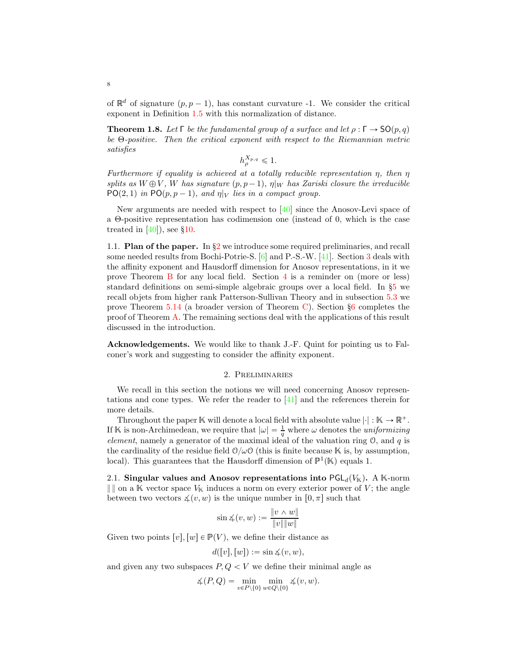<span id="page-7-2"></span>of  $\mathbb{R}^d$  of signature  $(p, p - 1)$ , has constant curvature -1. We consider the critical exponent in Definition [1.5](#page-6-1) with this normalization of distance.

**Theorem 1.8.** Let  $\Gamma$  be the fundamental group of a surface and let  $\rho : \Gamma \to \mathsf{SO}(p,q)$ be Θ-positive. Then the critical exponent with respect to the Riemannian metric satisfies

$$
h_{\rho}^{X_{p,q}} \leq 1.
$$

Furthermore if equality is achieved at a totally reducible representation  $\eta$ , then  $\eta$ splits as  $W \oplus V$ , W has signature  $(p, p - 1)$ ,  $\eta|_W$  has Zariski closure the irreducible  $PO(2, 1)$  in  $PO(p, p - 1)$ , and  $\eta|_V$  lies in a compact group.

New arguments are needed with respect to  $[40]$  since the Anosov-Levi space of a Θ-positive representation has codimension one (instead of 0, which is the case treated in  $[40]$ , see §[10.](#page-37-0)

1.1. **Plan of the paper.** In  $\S2$  $\S2$  we introduce some required preliminaries, and recall some needed results from Bochi-Potrie-S. [\[6\]](#page-42-10) and P.-S.-W. [\[41\]](#page-43-1). Section [3](#page-10-0) deals with the affinity exponent and Hausdorff dimension for Anosov representations, in it we prove Theorem [B](#page-2-2) for any local field. Section [4](#page-15-0) is a reminder on (more or less) standard definitions on semi-simple algebraic groups over a local field. In §[5](#page-20-0) we recall objets from higher rank Patterson-Sullivan Theory and in subsection [5.3](#page-23-0) we prove Theorem  $5.14$  (a broader version of Theorem [C\)](#page-4-1). Section  $\S6$  $\S6$  completes the proof of Theorem [A.](#page-2-1) The remaining sections deal with the applications of this result discussed in the introduction.

<span id="page-7-0"></span>Acknowledgements. We would like to thank J.-F. Quint for pointing us to Falconer's work and suggesting to consider the affinity exponent.

## 2. Preliminaries

We recall in this section the notions we will need concerning Anosov representations and cone types. We refer the reader to [\[41\]](#page-43-1) and the references therein for more details.

Throughout the paper  $\mathbb K$  will denote a local field with absolute value  $|\cdot| : \mathbb K \to \mathbb R^+$ . If K is non-Archimedean, we require that  $|\omega| = \frac{1}{q}$  where  $\omega$  denotes the *uniformizing* element, namely a generator of the maximal ideal of the valuation ring  $\mathcal{O}$ , and q is the cardinality of the residue field  $\mathcal{O}/\omega\mathcal{O}$  (this is finite because K is, by assumption, local). This guarantees that the Hausdorff dimension of  $\mathbb{P}^1(\mathbb{K})$  equals 1.

<span id="page-7-1"></span>2.1. Singular values and Anosov representations into  $\mathsf{PGL}_d(V_\mathbb{K})$ . A K-norm  $\|$  on a K vector space  $V_{\mathbb{K}}$  induces a norm on every exterior power of V; the angle between two vectors  $\measuredangle(v, w)$  is the unique number in  $[0, \pi]$  such that

$$
\sin \measuredangle (v, w) := \frac{\|v \wedge w\|}{\|v\| \|w\|}
$$

Given two points  $[v], [w] \in \mathbb{P}(V)$ , we define their distance as

 $d([v], [w]) := \sin \measuredangle(v, w),$ 

and given any two subspaces  $P, Q < V$  we define their minimal angle as

$$
\measuredangle(P,Q) = \min_{v \in P \setminus \{0\}} \min_{w \in Q \setminus \{0\}} \measuredangle(v,w).
$$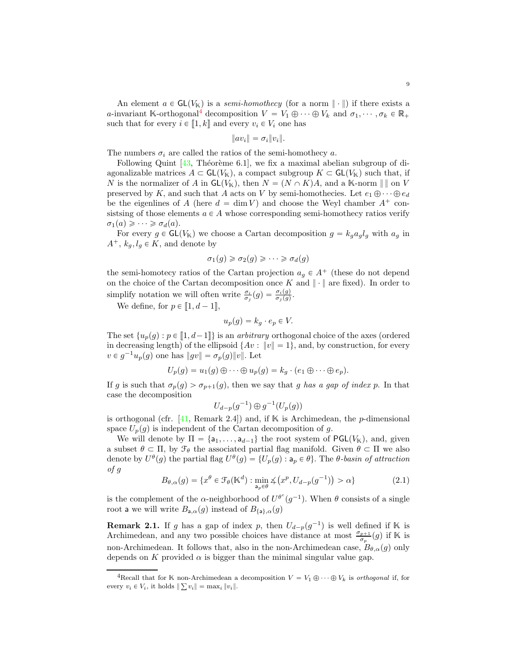$$
||av_i|| = \sigma_i ||v_i||.
$$

<span id="page-8-2"></span>The numbers  $\sigma_i$  are called the ratios of the semi-homothecy a.

Following Quint  $[43,$  Théorème 6.1], we fix a maximal abelian subgroup of diagonalizable matrices  $A \subset GL(V_{\mathbb{K}})$ , a compact subgroup  $K \subset GL(V_{\mathbb{K}})$  such that, if N is the normalizer of A in  $\mathsf{GL}(V_\mathbb{K})$ , then  $N = (N \cap K)A$ , and a K-norm  $\| \, \|$  on V preserved by K, and such that A acts on V by semi-homothecies. Let  $e_1 \oplus \cdots \oplus e_d$ be the eigenlines of A (here  $d = \dim V$ ) and choose the Weyl chamber  $A^+$  consistsing of those elements  $a \in A$  whose corresponding semi-homothecy ratios verify  $\sigma_1(a) \geqslant \cdots \geqslant \sigma_d(a).$ 

For every  $g \in GL(V_{\mathbb{K}})$  we choose a Cartan decomposition  $g = k_g a_g l_g$  with  $a_g$  in  $A^+$ ,  $k_q$ ,  $l_q \in K$ , and denote by

$$
\sigma_1(g) \geq \sigma_2(g) \geq \cdots \geq \sigma_d(g)
$$

the semi-homotecy ratios of the Cartan projection  $a_g \in A^+$  (these do not depend on the choice of the Cartan decomposition once K and  $\|\cdot\|$  are fixed). In order to simplify notation we will often write  $\frac{\sigma_i}{\sigma_j}(g) = \frac{\sigma_i(g)}{\sigma_j(g)}$ .

We define, for  $p \in [ \hspace{-0.65mm} [ 1,d-1 ] \hspace{-0.65mm} ]$ ,

$$
u_p(g) = k_g \cdot e_p \in V.
$$

The set  $\{u_p(g) : p \in [1, d-1]\}$  is an *arbitrary* orthogonal choice of the axes (ordered in decreasing length) of the ellipsoid  $\{Av : ||v|| = 1\}$ , and, by construction, for every  $v \in g^{-1}u_p(g)$  one has  $||gv|| = \sigma_p(g)||v||$ . Let

$$
U_p(g) = u_1(g) \oplus \cdots \oplus u_p(g) = k_g \cdot (e_1 \oplus \cdots \oplus e_p).
$$

If g is such that  $\sigma_p(g) > \sigma_{p+1}(g)$ , then we say that g has a gap of index p. In that case the decomposition

$$
U_{d-p}(g^{-1})\oplus g^{-1}(U_p(g))
$$

is orthogonal (cfr. [\[41,](#page-43-1) Remark 2.4]) and, if  $\mathbb K$  is Archimedean, the p-dimensional space  $U_p(g)$  is independent of the Cartan decomposition of g.

We will denote by  $\Pi = \{a_1, \ldots, a_{d-1}\}\$ the root system of PGL $(V_{\mathbb{K}})$ , and, given a subset  $\theta \subset \Pi$ , by  $\mathcal{F}_{\theta}$  the associated partial flag manifold. Given  $\theta \subset \Pi$  we also denote by  $U^{\theta}(g)$  the partial flag  $U^{\theta}(g) = \{U_p(g) : a_p \in \theta\}$ . The  $\theta$ -basin of attraction of g

<span id="page-8-1"></span>
$$
B_{\theta,\alpha}(g) = \{x^{\theta} \in \mathcal{F}_{\theta}(\mathbb{K}^d) : \min_{a_p \in \theta} \measuredangle (x^p, U_{d-p}(g^{-1})) > \alpha\}
$$
\n(2.1)

is the complement of the  $\alpha$ -neighborhood of  $U^{\theta^c}(g^{-1})$ . When  $\theta$  consists of a single root a we will write  $B_{a,\alpha}(g)$  instead of  $B_{\{a\},\alpha}(g)$ 

**Remark 2.1.** If g has a gap of index p, then  $U_{d-p}(g^{-1})$  is well defined if K is Archimedean, and any two possible choices have distance at most  $\frac{\sigma_{p+1}}{\sigma_p}(g)$  if K is non-Archimedean. It follows that, also in the non-Archimedean case,  $B_{\theta,\alpha}(q)$  only depends on K provided  $\alpha$  is bigger than the minimal singular value gap.

<span id="page-8-0"></span><sup>&</sup>lt;sup>4</sup>Recall that for K non-Archimedean a decomposition  $V = V_1 \oplus \cdots \oplus V_k$  is orthogonal if, for every  $v_i \in V_i$ , it holds  $\|\sum v_i\| = \max_i \|v_i\|.$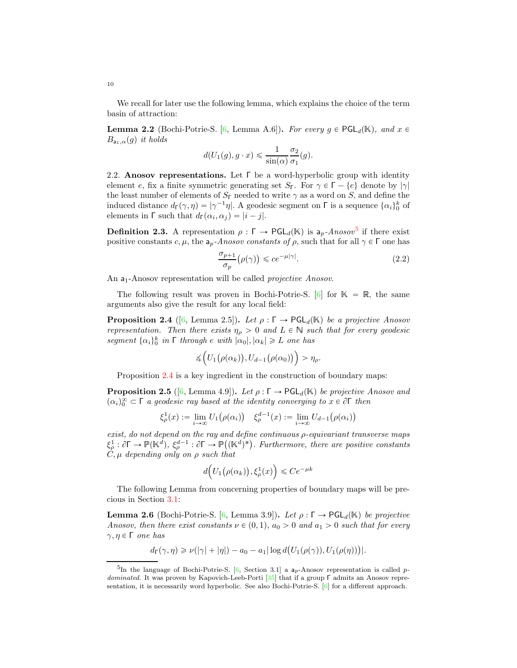We recall for later use the following lemma, which explains the choice of the term basin of attraction:

<span id="page-9-5"></span>**Lemma 2.2** (Bochi-Potrie-S. [\[6,](#page-42-10) Lemma A.6]). For every  $g \in \text{PGL}_d(\mathbb{K})$ , and  $x \in$  $B_{a_1,\alpha}(g)$  it holds

$$
d(U_1(g), g \cdot x) \leq \frac{1}{\sin(\alpha)} \frac{\sigma_2}{\sigma_1}(g).
$$

<span id="page-9-0"></span>2.2. Anosov representations. Let  $\Gamma$  be a word-hyperbolic group with identity element e, fix a finite symmetric generating set  $S_{\Gamma}$ . For  $\gamma \in \Gamma - \{e\}$  denote by  $|\gamma|$ the least number of elements of  $S_{\Gamma}$  needed to write  $\gamma$  as a word on S, and define the induced distance  $d_{\Gamma}(\gamma, \eta) = |\gamma^{-1}\eta|$ . A geodesic segment on  $\Gamma$  is a sequence  $\{\alpha_i\}_0^k$  of elements in  $\Gamma$  such that  $d_{\Gamma}(\alpha_i, \alpha_j) = |i - j|$ .

**Definition 2.3.** A representation  $\rho : \Gamma \to \text{PGL}_d(\mathbb{K})$  is  $a_p$ -Anosov<sup>[5](#page-9-1)</sup> if there exist positive constants c,  $\mu$ , the  $a_p$ -Anosov constants of  $\rho$ , such that for all  $\gamma \in \Gamma$  one has

$$
\frac{\sigma_{p+1}}{\sigma_p}(\rho(\gamma)) \leqslant ce^{-\mu|\gamma|}.\tag{2.2}
$$

An  $a_1$ -Anosov representation will be called *projective Anosov*.

The following result was proven in Bochi-Potrie-S. [\[6\]](#page-42-10) for  $\mathbb{K} = \mathbb{R}$ , the same arguments also give the result for any local field:

<span id="page-9-2"></span>**Proposition 2.4** ([\[6,](#page-42-10) Lemma 2.5]). Let  $\rho : \Gamma \to \text{PGL}_d(\mathbb{K})$  be a projective Anosov representation. Then there exists  $\eta_{\rho} > 0$  and  $L \in \mathbb{N}$  such that for every geodesic segment  $\{\alpha_i\}_0^k$  in  $\lceil$  through  $e$  with  $|\alpha_0|, |\alpha_k| \geq L$  one has

$$
\measuredangle\Big(U_1\big(\rho(\alpha_k)\big), U_{d-1}\big(\rho(\alpha_0)\big)\Big) > \eta_\rho.
$$

Proposition [2.4](#page-9-2) is a key ingredient in the construction of boundary maps:

<span id="page-9-4"></span>**Proposition 2.5** ([\[6,](#page-42-10) Lemma 4.9]). Let  $\rho : \Gamma \to \text{PGL}_d(\mathbb{K})$  be projective Anosov and  $(\alpha_i)_0^{\infty} \subset \Gamma$  a geodesic ray based at the identity converging to  $x \in \partial \Gamma$  then

$$
\xi_{\rho}^{1}(x) := \lim_{i \to \infty} U_{1}(\rho(\alpha_{i})) \quad \xi_{\rho}^{d-1}(x) := \lim_{i \to \infty} U_{d-1}(\rho(\alpha_{i}))
$$

exist, do not depend on the ray and define continuous ρ-equivariant transverse maps  $\xi_{\rho}^1 : \partial \Gamma \to \mathbb{P}(\mathbb{K}^d)$ ,  $\xi_{\rho}^{d-1} : \partial \Gamma \to \mathbb{P}((\mathbb{K}^d)^*)$ . Furthermore, there are positive constants  $C, \mu$  depending only on  $\rho$  such that

$$
d\Big(U_1\big(\rho(\alpha_k)\big),\xi_\rho^1(x)\Big)\leqslant Ce^{-\mu k}
$$

The following Lemma from concerning properties of boundary maps will be precious in Section [3.1:](#page-10-1)

<span id="page-9-3"></span>**Lemma 2.6** (Bochi-Potrie-S. [\[6,](#page-42-10) Lemma 3.9]). Let  $\rho : \Gamma \to \text{PGL}_d(\mathbb{K})$  be projective Anosov, then there exist constants  $\nu \in (0, 1), a_0 > 0$  and  $a_1 > 0$  such that for every  $\gamma, \eta \in \Gamma$  one has

$$
d_{\Gamma}(\gamma,\eta) \geqslant \nu(|\gamma|+|\eta|) - a_0 - a_1 |\log d(U_1(\rho(\gamma)),U_1(\rho(\eta)))|.
$$

<span id="page-9-6"></span>10

<span id="page-9-1"></span><sup>&</sup>lt;sup>5</sup>In the language of Bochi-Potrie-S. [\[6,](#page-42-10) Section 3.1] a  $a_p$ -Anosov representation is called pdominated. It was proven by Kapovich-Leeb-Porti [\[35\]](#page-43-11) that if a group Γ admits an Anosov representation, it is necessarily word hyperbolic. See also Bochi-Potrie-S. [\[6\]](#page-42-10) for a different approach.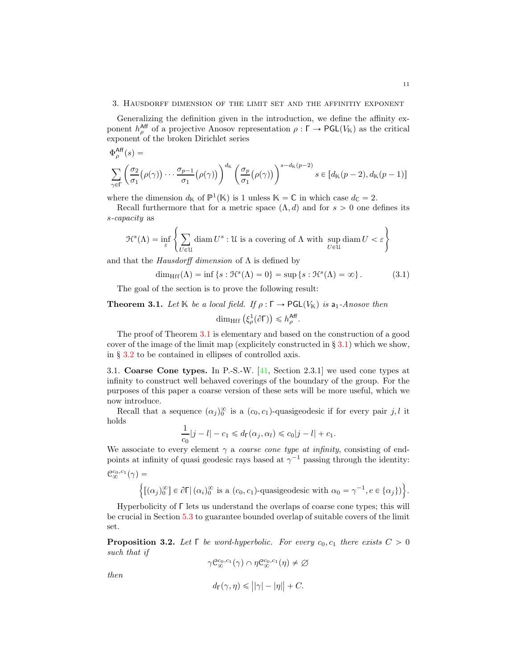#### <span id="page-10-5"></span><span id="page-10-0"></span>3. Hausdorff dimension of the limit set and the affinitiy exponent

Generalizing the definition given in the introduction, we define the affinity exponent  $h_{\rho}^{\text{Aff}}$  of a projective Anosov representation  $\rho : \Gamma \to \text{PGL}(V_{\mathbb{K}})$  as the critical exponent of the broken Dirichlet series

$$
\begin{split} & \Phi^{\text{Aff}}_{\rho}(s) = \\ & \sum_{\gamma \in \Gamma} \left( \frac{\sigma_2}{\sigma_1} \big( \rho(\gamma) \big) \cdots \frac{\sigma_{p-1}}{\sigma_1} \big( \rho(\gamma) \big) \right)^{d_{\mathbb{K}}} \left( \frac{\sigma_p}{\sigma_1} \big( \rho(\gamma) \big) \right)^{s-d_{\mathbb{K}}(p-2)} s \in \left[ d_{\mathbb{K}}(p-2), d_{\mathbb{K}}(p-1) \right] \end{split}
$$

where the dimension  $d_{\mathbb{K}}$  of  $\mathbb{P}^1(\mathbb{K})$  is 1 unless  $\mathbb{K} = \mathbb{C}$  in which case  $d_{\mathbb{C}} = 2$ .

Recall furthermore that for a metric space  $(\Lambda, d)$  and for  $s > 0$  one defines its s-capacity as

$$
\mathcal{H}^s(\Lambda) = \inf_{\varepsilon} \left\{ \sum_{U \in \mathcal{U}} \text{diam}\, U^s : \mathcal{U} \text{ is a covering of } \Lambda \text{ with } \sup_{U \in \mathcal{U}} \text{diam}\, U < \varepsilon \right\}
$$

and that the Hausdorff dimension of  $\Lambda$  is defined by

<span id="page-10-4"></span>
$$
\dim_{\text{Hff}}(\Lambda) = \inf \left\{ s : \mathfrak{H}^s(\Lambda) = 0 \right\} = \sup \left\{ s : \mathfrak{H}^s(\Lambda) = \infty \right\}. \tag{3.1}
$$

The goal of the section is to prove the following result:

<span id="page-10-2"></span>**Theorem 3.1.** Let K be a local field. If  $\rho : \Gamma \to \text{PGL}(V_\mathbb{K})$  is a<sub>1</sub>-Anosov then

$$
\dim_{\mathrm{Hff}} \left( \xi_{\rho}^{1}(\partial \Gamma) \right) \leqslant h_{\rho}^{\mathrm{Aff}}.
$$

The proof of Theorem [3.1](#page-10-2) is elementary and based on the construction of a good cover of the image of the limit map (explicitely constructed in  $\S 3.1$ ) which we show, in § [3.2](#page-12-0) to be contained in ellipses of controlled axis.

<span id="page-10-1"></span>3.1. Coarse Cone types. In P.-S.-W. [\[41,](#page-43-1) Section 2.3.1] we used cone types at infinity to construct well behaved coverings of the boundary of the group. For the purposes of this paper a coarse version of these sets will be more useful, which we now introduce.

Recall that a sequence  $(\alpha_j)_0^{\infty}$  is a  $(c_0, c_1)$ -quasigeodesic if for every pair j, l it holds

$$
\frac{1}{c_0}|j-l|-c_1 \leq d_{\Gamma}(\alpha_j,\alpha_l) \leq c_0|j-l|+c_1.
$$

We associate to every element  $\gamma$  a *coarse cone type at infinity*, consisting of endpoints at infinity of quasi geodesic rays based at  $\gamma^{-1}$  passing through the identity:  $\label{eq:Q0c0c1} \mathcal{C}^{c_0,c_1}_{\infty}(\gamma) =$ 

$$
\Big\{\big[(\alpha_j)_0^{\infty}\big] \in \partial \Gamma \big| \, (\alpha_i)_0^{\infty} \text{ is a } (c_0, c_1)\text{-quasigeodesic with } \alpha_0 = \gamma^{-1}, e \in \{\alpha_j\}\big)\Big\}.
$$

Hyperbolicity of Γ lets us understand the overlaps of coarse cone types; this will be crucial in Section [5.3](#page-23-0) to guarantee bounded overlap of suitable covers of the limit set.

<span id="page-10-3"></span>**Proposition 3.2.** Let  $\Gamma$  be word-hyperbolic. For every  $c_0, c_1$  there exists  $C > 0$ such that if

 $\gamma \mathcal{C}_{\infty}^{c_0,c_1}(\gamma) \cap \eta \mathcal{C}_{\infty}^{c_0,c_1}(\eta) \neq \varnothing$ 

then

$$
d_{\Gamma}(\gamma, \eta) \leq ||\gamma| - |\eta|| + C.
$$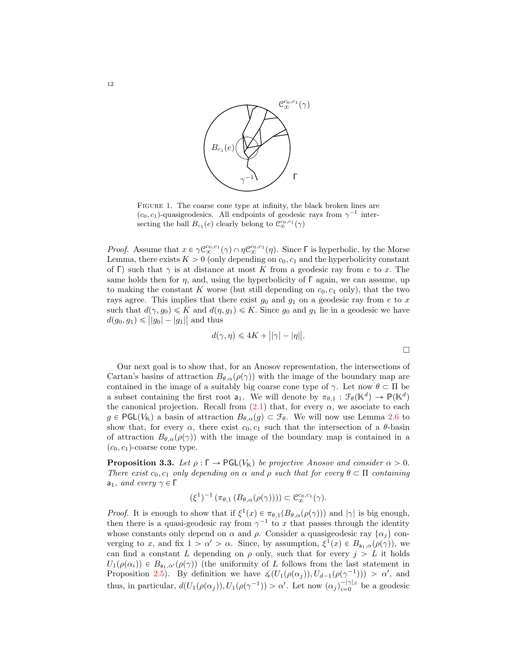

FIGURE 1. The coarse cone type at infinity, the black broken lines are  $(c_0, c_1)$ -quasigeodesics. All endpoints of geodesic rays from  $\gamma^{-1}$  intersecting the ball  $B_{c_1}(e)$  clearly belong to  $\mathcal{C}_{\infty}^{c_0,c_1}(\gamma)$ 

*Proof.* Assume that  $x \in \gamma \mathcal{C}^{c_0,c_1}_{\infty}(\gamma) \cap \eta \mathcal{C}^{c_0,c_1}_{\infty}(\eta)$ . Since  $\Gamma$  is hyperbolic, by the Morse Lemma, there exists  $K > 0$  (only depending on  $c_0, c_1$  and the hyperbolicity constant of Γ) such that  $\gamma$  is at distance at most K from a geodesic ray from e to x. The same holds then for  $\eta$ , and, using the hyperbolicity of  $\Gamma$  again, we can assume, up to making the constant K worse (but still depending on  $c_0$ ,  $c_1$  only), that the two rays agree. This implies that there exist  $g_0$  and  $g_1$  on a geodesic ray from e to x such that  $d(\gamma, g_0) \leq K$  and  $d(\eta, g_1) \leq K$ . Since  $g_0$  and  $g_1$  lie in a geodesic we have  $d(g_0, g_1) \le ||g_0| - |g_1||$  and thus

$$
d(\gamma, \eta) \le 4K + ||\gamma| - |\eta||.
$$

Our next goal is to show that, for an Anosov representation, the intersections of Cartan's basins of attraction  $B_{\theta,\alpha}(\rho(\gamma))$  with the image of the boundary map are contained in the image of a suitably big coarse cone type of  $\gamma$ . Let now  $\theta \subset \Pi$  be a subset containing the first root  $a_1$ . We will denote by  $\pi_{\theta,1} : \mathcal{F}_{\theta}(\mathbb{K}^d) \to \mathbb{P}(\mathbb{K}^d)$ the canonical projection. Recall from  $(2.1)$  that, for every  $\alpha$ , we asociate to each  $g \in \text{PGL}(V_{\mathbb{K}})$  a basin of attraction  $B_{\theta,\alpha}(g) \subset \mathcal{F}_{\theta}$ . We will now use Lemma [2.6](#page-9-3) to show that, for every  $\alpha$ , there exist  $c_0, c_1$  such that the intersection of a  $\theta$ -basin of attraction  $B_{\theta,\alpha}(\rho(\gamma))$  with the image of the boundary map is contained in a  $(c_0, c_1)$ -coarse cone type.

<span id="page-11-0"></span>**Proposition 3.3.** Let  $\rho : \Gamma \to \text{PGL}(V_{\mathbb{K}})$  be projective Anosov and consider  $\alpha > 0$ . There exist  $c_0, c_1$  only depending on  $\alpha$  and  $\rho$  such that for every  $\theta \subset \Pi$  containing  $a_1$ , and every  $γ ∈ Γ$ 

$$
(\xi^1)^{-1} \left( \pi_{\theta,1} \left( B_{\theta,\alpha}(\rho(\gamma)) \right) \right) \subset \mathcal{C}_{\infty}^{c_0,c_1}(\gamma).
$$

*Proof.* It is enough to show that if  $\xi^1(x) \in \pi_{\theta,1}(B_{\theta,\alpha}(\rho(\gamma)))$  and  $|\gamma|$  is big enough, then there is a quasi-geodesic ray from  $\gamma^{-1}$  to x that passes through the identity whose constants only depend on  $\alpha$  and  $\rho$ . Consider a quasigeodesic ray  $\{\alpha_j\}$  converging to x, and fix  $1 > \alpha' > \alpha$ . Since, by assumption,  $\xi^1(x) \in B_{a_1,\alpha}(\rho(\gamma))$ , we can find a constant L depending on  $\rho$  only, such that for every  $j > L$  it holds  $U_1(\rho(\alpha_i)) \in B_{a_1,\alpha'}(\rho(\gamma))$  (the uniformity of L follows from the last statement in Proposition [2.5\)](#page-9-4). By definition we have  $\measuredangle(U_1(\rho(\alpha_j)), U_{d-1}(\rho(\gamma^{-1}))) > \alpha'$ , and thus, in particular,  $d(U_1(\rho(\alpha_j)), U_1(\rho(\gamma^{-1})) > \alpha'$ . Let now  $(\alpha_j)_{i=0}^{-|\gamma|s}$  be a geodesic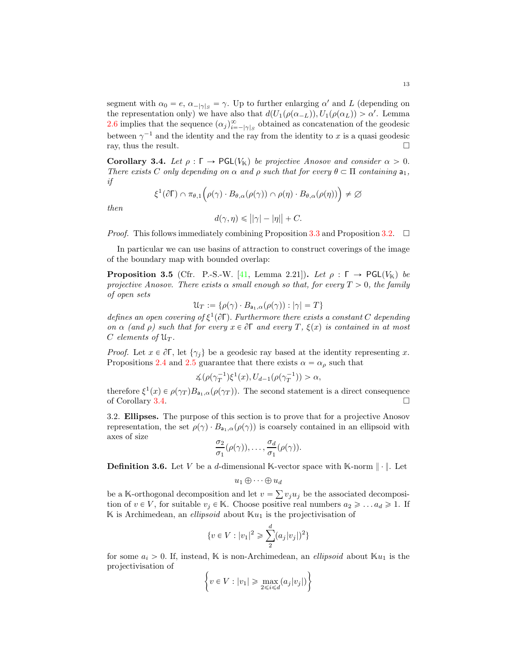<span id="page-12-3"></span>segment with  $\alpha_0 = e, \alpha_{-|\gamma|s} = \gamma$ . Up to further enlarging  $\alpha'$  and L (depending on the representation only) we have also that  $d(U_1(\rho(\alpha_{-L})), U_1(\rho(\alpha_L)) > \alpha'$ . Lemma [2.6](#page-9-3) implies that the sequence  $(\alpha_j)_{i=-|\gamma|}^{\infty}$  obtained as concatenation of the geodesic between  $\gamma^{-1}$  and the identity and the ray from the identity to x is a quasi geodesic ray, thus the result.

<span id="page-12-1"></span>Corollary 3.4. Let  $\rho : \Gamma \to \text{PGL}(V_{\mathbb{K}})$  be projective Anosov and consider  $\alpha > 0$ . There exists C only depending on  $\alpha$  and  $\rho$  such that for every  $\theta \subset \Pi$  containing  $a_1$ , if

$$
\xi^1(\partial \Gamma) \cap \pi_{\theta,1}\Big(\rho(\gamma) \cdot B_{\theta,\alpha}(\rho(\gamma)) \cap \rho(\eta) \cdot B_{\theta,\alpha}(\rho(\eta))\Big) \neq \varnothing
$$

then

$$
d(\gamma, \eta) \leq ||\gamma| - |\eta|| + C.
$$

*Proof.* This follows immediately combining Proposition [3.3](#page-11-0) and Proposition [3.2.](#page-10-3)  $\Box$ 

In particular we can use basins of attraction to construct coverings of the image of the boundary map with bounded overlap:

<span id="page-12-2"></span>**Proposition 3.5** (Cfr. P.-S.-W. [\[41,](#page-43-1) Lemma 2.21]). Let  $\rho : \Gamma \to \text{PGL}(V_\mathbb{K})$  be projective Anosov. There exists  $\alpha$  small enough so that, for every  $T > 0$ , the family of open sets

$$
\mathcal{U}_T:=\{\rho(\gamma)\cdot B_{\mathsf{a}_1,\alpha}(\rho(\gamma)):\vert\gamma\vert=T\}
$$

defines an open covering of  $\xi^1(\partial \Gamma)$ . Furthermore there exists a constant C depending on  $\alpha$  (and  $\rho$ ) such that for every  $x \in \partial \Gamma$  and every  $T$ ,  $\xi(x)$  is contained in at most C elements of  $\mathfrak{U}_T$ .

*Proof.* Let  $x \in \partial \Gamma$ , let  $\{\gamma_i\}$  be a geodesic ray based at the identity representing x. Propositions [2.4](#page-9-2) and [2.5](#page-9-4) guarantee that there exists  $\alpha = \alpha_{\rho}$  such that

$$
\measuredangle(\rho(\gamma_T^{-1})\xi^1(x), U_{d-1}(\rho(\gamma_T^{-1})) > \alpha,
$$

therefore  $\xi^1(x) \in \rho(\gamma_T)B_{a_1,\alpha}(\rho(\gamma_T))$ . The second statement is a direct consequence of Corollary [3.4.](#page-12-1)

<span id="page-12-0"></span>3.2. Ellipses. The purpose of this section is to prove that for a projective Anosov representation, the set  $\rho(\gamma) \cdot B_{a_1,\alpha}(\rho(\gamma))$  is coarsely contained in an ellipsoid with axes of size

$$
\frac{\sigma_2}{\sigma_1}(\rho(\gamma)),\ldots,\frac{\sigma_d}{\sigma_1}(\rho(\gamma)).
$$

**Definition 3.6.** Let V be a d-dimensional K-vector space with K-norm  $\|\cdot\|$ . Let

$$
u_1\oplus\cdots\oplus u_d
$$

be a K-orthogonal decomposition and let  $v = \sum v_j u_j$  be the associated decomposition of  $v \in V$ , for suitable  $v_j \in \mathbb{K}$ . Choose positive real numbers  $a_2 \geq \ldots a_d \geq 1$ . If  $\mathbb K$  is Archimedean, an *ellipsoid* about  $\mathbb K u_1$  is the projectivisation of

$$
\{v \in V : |v_1|^2 \geqslant \sum_{2}^{d} (a_j |v_j|)^2\}
$$

for some  $a_i > 0$ . If, instead, K is non-Archimedean, an *ellipsoid* about  $\mathbb{K}u_1$  is the projectivisation of

$$
\left\{ v \in V : |v_1| \ge \max_{2 \le i \le d} (a_j |v_j|) \right\}
$$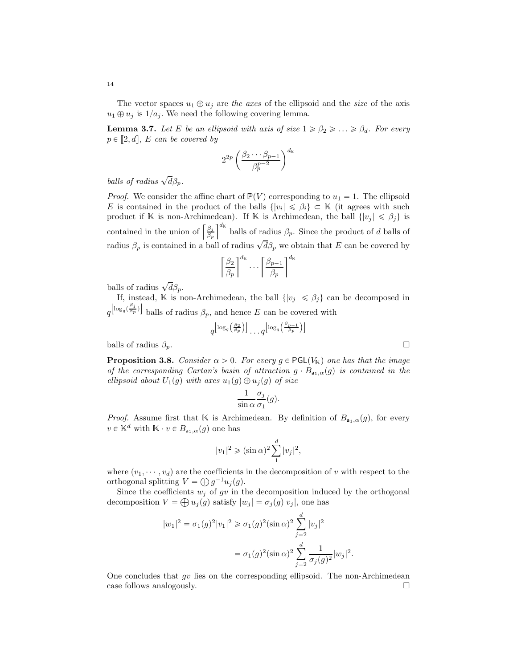The vector spaces  $u_1 \oplus u_j$  are the axes of the ellipsoid and the size of the axis  $u_1 \oplus u_j$  is  $1/a_j$ . We need the following covering lemma.

<span id="page-13-1"></span>**Lemma 3.7.** Let E be an ellipsoid with axis of size  $1 \ge \beta_2 \ge ... \ge \beta_d$ . For every  $p \in [2, d], E$  can be covered by

$$
2^{2p}\left(\frac{\beta_2\cdots\beta_{p-1}}{\beta_p^{p-2}}\right)^{d_{\mathbb{K}}}
$$

balls of radius  $\sqrt{d} \beta_p$ .

*Proof.* We consider the affine chart of  $\mathbb{P}(V)$  corresponding to  $u_1 = 1$ . The ellipsoid E is contained in the product of the balls  $\{|v_i| \leq \beta_i\} \subset \mathbb{K}$  (it agrees with such product if K is non-Archimedean). If K is Archimedean, the ball  $\{|v_j| \leq \beta_j\}$  is contained in the union of  $\left[\frac{\beta_j}{\beta}\right]$  $\frac{\beta_j}{\beta_p}$  balls of radius  $\beta_p$ . Since the product of d balls of radius  $\beta_p$  is contained in a ball of radius  $\sqrt{d} \beta_p$  we obtain that E can be covered by

$$
\left\lceil \frac{\beta_2}{\beta_p} \right\rceil^{d_{\mathsf{K}}} \cdots \left\lceil \frac{\beta_{p-1}}{\beta_p} \right\rceil^{d_{\mathsf{K}}}
$$

balls of radius  $\sqrt{d}\beta_p$ .

If, instead, K is non-Archimedean, the ball  $\{|v_j| \leq \beta_j\}$  can be decomposed in  $q^{\left(\log_q(\frac{\beta_j}{\beta_p})\right)}$  balls of radius  $\beta_p$ , and hence E can be covered with

$$
q^{\left\lfloor \log_{q}\left(\frac{\beta_{2}}{\beta_{p}}\right)\right\rfloor}\ldots q^{\left\lfloor \log_{q}\left(\frac{\beta_{p-1}}{\beta_{p}}\right)\right\rfloor}
$$

balls of radius  $\beta_p$ .

<span id="page-13-0"></span>**Proposition 3.8.** Consider  $\alpha > 0$ . For every  $g \in \text{PGL}(V_{\mathbb{K}})$  one has that the image of the corresponding Cartan's basin of attraction  $g \cdot B_{a_1,\alpha}(g)$  is contained in the ellipsoid about  $U_1(g)$  with axes  $u_1(g) \oplus u_j(g)$  of size

$$
\frac{1}{\sin \alpha} \frac{\sigma_j}{\sigma_1}(g).
$$

*Proof.* Assume first that K is Archimedean. By definition of  $B_{a_1,\alpha}(g)$ , for every  $v \in \mathbb{K}^d$  with  $\mathbb{K} \cdot v \in B_{a_1,\alpha}(g)$  one has

$$
|v_1|^2 \geqslant (\sin \alpha)^2 \sum_1^d |v_j|^2,
$$

where  $(v_1, \dots, v_d)$  are the coefficients in the decomposition of v with respect to the orthogonal splitting  $V = \bigoplus g^{-1}u_j(g)$ .

Since the coefficients  $w_j$  of  $gv$  in the decomposition induced by the orthogonal decomposition  $V = \bigoplus u_j(g)$  satisfy  $|w_j| = \sigma_j(g)|v_j|$ , one has

$$
|w_1|^2 = \sigma_1(g)^2 |v_1|^2 \ge \sigma_1(g)^2 (\sin \alpha)^2 \sum_{j=2}^d |v_j|^2
$$
  
=  $\sigma_1(g)^2 (\sin \alpha)^2 \sum_{j=2}^d \frac{1}{\sigma_j(g)^2} |w_j|^2$ .

One concludes that  $qv$  lies on the corresponding ellipsoid. The non-Archimedean case follows analogously.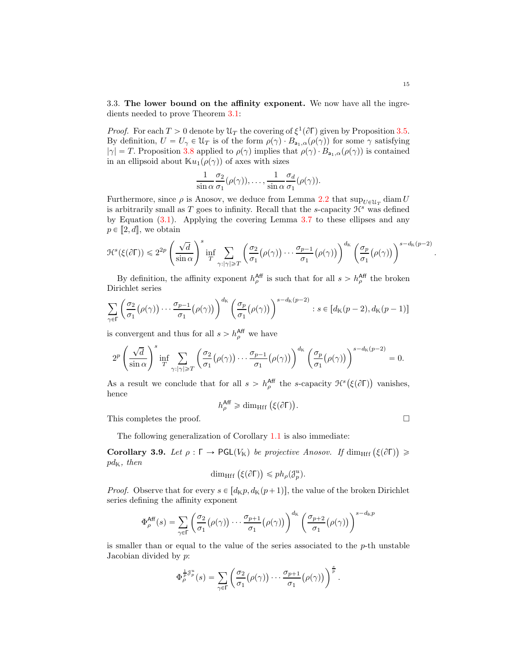3.3. The lower bound on the affinity exponent. We now have all the ingredients needed to prove Theorem [3.1:](#page-10-2)

*Proof.* For each  $T > 0$  denote by  $\mathcal{U}_T$  the covering of  $\xi^1(\partial \Gamma)$  given by Proposition [3.5.](#page-12-2) By definition,  $U = U_{\gamma} \in \mathcal{U}_T$  is of the form  $\rho(\gamma) \cdot B_{a_1,\alpha}(\rho(\gamma))$  for some  $\gamma$  satisfying  $|\gamma| = T$ . Proposition [3.8](#page-13-0) applied to  $\rho(\gamma)$  implies that  $\rho(\gamma) \cdot B_{a_1,\alpha}(\rho(\gamma))$  is contained in an ellipsoid about  $\mathbb{K}u_1(\rho(\gamma))$  of axes with sizes

$$
\frac{1}{\sin \alpha} \frac{\sigma_2}{\sigma_1} (\rho(\gamma)), \dots, \frac{1}{\sin \alpha} \frac{\sigma_d}{\sigma_1} (\rho(\gamma)).
$$

Furthermore, since  $\rho$  is Anosov, we deduce from Lemma [2.2](#page-9-5) that  $\sup_{U \in \mathcal{U}_T} \text{diam } U$ is arbitrarily small as  $T$  goes to infinity. Recall that the s-capacity  $\mathcal{H}^s$  was defined by Equation  $(3.1)$ . Applying the covering Lemma [3.7](#page-13-1) to these ellipses and any  $p \in [2, d]$ , we obtain

$$
\mathcal{H}^{s}(\xi(\partial \Gamma)) \leq 2^{2p} \left(\frac{\sqrt{d}}{\sin \alpha}\right)^s \inf_{T} \sum_{\gamma: |\gamma| \geq T} \left(\frac{\sigma_2}{\sigma_1}(\rho(\gamma)) \cdots \frac{\sigma_{p-1}}{\sigma_1}(\rho(\gamma))\right)^{d_{\mathbb{K}}} \left(\frac{\sigma_p}{\sigma_1}(\rho(\gamma))\right)^{s-d_{\mathbb{K}}(p-2)}
$$

By definition, the affinity exponent  $h_{\rho}^{\text{Aff}}$  is such that for all  $s > h_{\rho}^{\text{Aff}}$  the broken Dirichlet series

$$
\sum_{\gamma \in \Gamma} \left( \frac{\sigma_2}{\sigma_1} (\rho(\gamma)) \cdots \frac{\sigma_{p-1}}{\sigma_1} (\rho(\gamma)) \right)^{d_{\mathbb{K}}} \left( \frac{\sigma_p}{\sigma_1} (\rho(\gamma)) \right)^{s - d_{\mathbb{K}}(p-2)} : s \in [d_{\mathbb{K}}(p-2), d_{\mathbb{K}}(p-1)]
$$

is convergent and thus for all  $s > h_{\rho}^{\text{Aff}}$  we have

$$
2^p \left(\frac{\sqrt{d}}{\sin \alpha}\right)^s \inf_T \sum_{\gamma: |\gamma| \geq T} \left(\frac{\sigma_2}{\sigma_1}(\rho(\gamma)) \cdots \frac{\sigma_{p-1}}{\sigma_1}(\rho(\gamma))\right)^{d_{\mathbb{K}}} \left(\frac{\sigma_p}{\sigma_1}(\rho(\gamma))\right)^{s-d_{\mathbb{K}}(p-2)} = 0.
$$

As a result we conclude that for all  $s > h_{\rho}^{\text{Aff}}$  the s-capacity  $\mathcal{H}^s(\xi(\partial \Gamma))$  vanishes, hence

$$
h_{\rho}^{\text{Aff}} \geq \dim_{\text{Hff}} (\xi(\partial \Gamma))
$$

.

This completes the proof.

The following generalization of Corollary [1.1](#page-3-0) is also immediate:

**Corollary 3.9.** Let  $\rho : \Gamma \to \text{PGL}(V_{\mathbb{K}})$  be projective Anosov. If dim<sub>Hff</sub>  $(\xi(\partial \Gamma)) \ge$  $pd_{\mathbb{K}}$ , then

$$
\dim_{\mathrm{Hff}} (\xi(\partial \Gamma)) \leq p h_{\rho}(\mathcal{J}_{p}^{u}).
$$

*Proof.* Observe that for every  $s \in [d_{\mathbb{K}}p, d_{\mathbb{K}}(p+1)]$ , the value of the broken Dirichlet series defining the affinity exponent

$$
\Phi_{\rho}^{\text{Aff}}(s) = \sum_{\gamma \in \Gamma} \left( \frac{\sigma_2}{\sigma_1} (\rho(\gamma)) \cdots \frac{\sigma_{p+1}}{\sigma_1} (\rho(\gamma)) \right)^{d_{\mathbb{K}}} \left( \frac{\sigma_{p+2}}{\sigma_1} (\rho(\gamma)) \right)^{s-d_{\mathbb{K}}p}
$$

is smaller than or equal to the value of the series associated to the  $p$ -th unstable Jacobian divided by  $p$ :

$$
\Phi_{\rho}^{\frac{1}{p}\mathcal{J}_{p}^{u}}(s)=\sum_{\gamma\in\Gamma}\left(\frac{\sigma_{2}}{\sigma_{1}}\big(\rho(\gamma)\big)\cdots\frac{\sigma_{p+1}}{\sigma_{1}}\big(\rho(\gamma)\big)\right)^{\frac{s}{p}}.
$$

.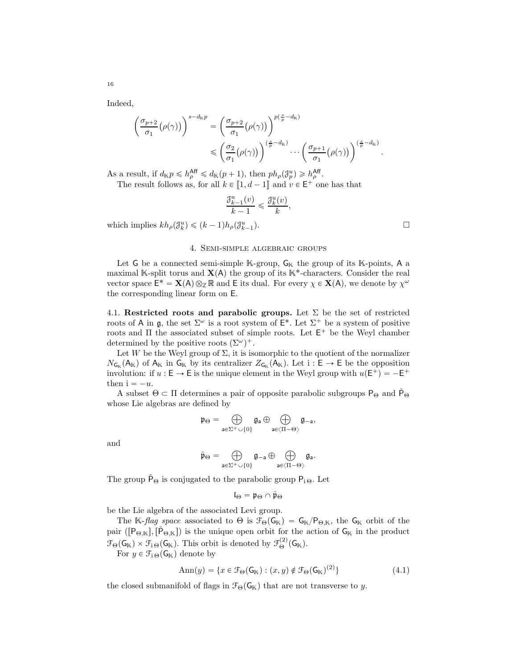Indeed,

$$
\left(\frac{\sigma_{p+2}}{\sigma_1}\big(\rho(\gamma)\big)\right)^{s-d_{\mathbb{K}}p} = \left(\frac{\sigma_{p+2}}{\sigma_1}\big(\rho(\gamma)\big)\right)^{p\left(\frac{s}{p}-d_{\mathbb{K}}\right)} \leq \left(\frac{\sigma_2}{\sigma_1}\big(\rho(\gamma)\big)\right)^{\left(\frac{s}{p}-d_{\mathbb{K}}\right)} \cdots \left(\frac{\sigma_{p+1}}{\sigma_1}\big(\rho(\gamma)\big)\right)^{\left(\frac{s}{p}-d_{\mathbb{K}}\right)}.
$$

As a result, if  $d_{\mathbb{K}} p \leq h_{\rho}^{\text{Aff}} \leq d_{\mathbb{K}}(p+1)$ , then  $ph_{\rho}(\mathcal{J}_{p}^{u}) \geq h_{\rho}^{\text{Aff}}$ .

The result follows as, for all  $k \in [\![1, d-1]\!]$  and  $v \in \mathsf{E}^+$  one has that

$$
\frac{\mathcal{J}_{k-1}^u(v)}{k-1} \leqslant \frac{\mathcal{J}_k^u(v)}{k}
$$

,

<span id="page-15-0"></span>which implies  $kh_\rho(\mathcal{J}_k^u) \leq (k-1)h_\rho(\mathcal{J}_{k-1}^u)$ 

## 4. Semi-simple algebraic groups

Let G be a connected semi-simple  $\mathbb{K}\text{-group}$ ,  $\mathsf{G}_{\mathbb{K}}$  the group of its  $\mathbb{K}\text{-points}$ , A a maximal K-split torus and  $X(A)$  the group of its K<sup>\*</sup>-characters. Consider the real vector space  $\mathsf{E}^* = \mathbf{X}(\mathsf{A}) \otimes_{\mathbb{Z}} \mathbb{R}$  and  $\mathsf{E}$  its dual. For every  $\chi \in \mathbf{X}(\mathsf{A})$ , we denote by  $\chi^{\omega}$ the corresponding linear form on E.

4.1. Restricted roots and parabolic groups. Let  $\Sigma$  be the set of restricted roots of A in  $\mathfrak{g}$ , the set  $\Sigma^{\omega}$  is a root system of  $\mathsf{E}^*$ . Let  $\Sigma^+$  be a system of positive roots and  $\Pi$  the associated subset of simple roots. Let  $E^+$  be the Weyl chamber determined by the positive roots  $(\Sigma^{\omega})^+$ .

Let W be the Weyl group of  $\Sigma$ , it is isomorphic to the quotient of the normalizer  $N_{\mathsf{G}_{\mathbb{K}}}(\mathsf{A}_{\mathbb{K}})$  of  $\mathsf{A}_{\mathbb{K}}$  in  $\mathsf{G}_{\mathbb{K}}$  by its centralizer  $Z_{\mathsf{G}_{\mathbb{K}}}(\mathsf{A}_{\mathbb{K}})$ . Let  $i : \mathsf{E} \to \mathsf{E}$  be the opposition involution: if  $u : \mathsf{E} \to \mathsf{E}$  is the unique element in the Weyl group with  $u(\mathsf{E}^+) = -\mathsf{E}^+$ then  $i = -u$ .

A subset  $\Theta \subset \Pi$  determines a pair of opposite parabolic subgroups  $P_{\Theta}$  and  $\tilde{P}_{\Theta}$ whose Lie algebras are defined by

$$
\mathfrak{p}_{\Theta} = \bigoplus_{a \in \Sigma^+ \cup \{0\}} \mathfrak{g}_a \oplus \bigoplus_{a \in \langle \Pi - \Theta \rangle} \mathfrak{g}_{-a},
$$

and

$$
\check{\mathfrak{p}}_{\Theta} = \bigoplus_{a \in \Sigma^+ \cup \{0\}} \mathfrak{g}_{-a} \oplus \bigoplus_{a \in \langle \Pi - \Theta \rangle} \mathfrak{g}_a.
$$

The group  $\tilde{P}_{\Theta}$  is conjugated to the parabolic group  $P_{i\Theta}$ . Let

$$
\mathfrak{l}_\Theta=\mathfrak{p}_\Theta\cap\mathfrak{\check{p}}_\Theta
$$

be the Lie algebra of the associated Levi group.

The K-flag space associated to  $\Theta$  is  $\mathcal{F}_{\Theta}(\mathsf{G}_{\mathbb{K}}) = \mathsf{G}_{\mathbb{K}}/\mathsf{P}_{\Theta,\mathbb{K}}$ , the  $\mathsf{G}_{\mathbb{K}}$  orbit of the pair ( $[P_{\Theta,K}], [\check{P}_{\Theta,K}]$ ) is the unique open orbit for the action of  $G_K$  in the product  $\mathcal{F}_{\Theta}(\mathsf{G}_{\mathbb{K}}) \times \mathcal{F}_{i \Theta}(\mathsf{G}_{\mathbb{K}})$ . This orbit is denoted by  $\mathcal{F}_{\Theta}^{(2)}(\mathsf{G}_{\mathbb{K}})$ .

For  $y \in \mathcal{F}_{i \Theta}(\mathsf{G}_{\mathbb{K}})$  denote by

$$
Ann(y) = \{x \in \mathcal{F}_{\Theta}(\mathsf{G}_{\mathbb{K}}) : (x, y) \notin \mathcal{F}_{\Theta}(\mathsf{G}_{\mathbb{K}})^{(2)}\}\
$$
(4.1)

the closed submanifold of flags in  $\mathcal{F}_{\Theta}(\mathsf{G}_{\mathbb{K}})$  that are not transverse to y.

16

 $\Box$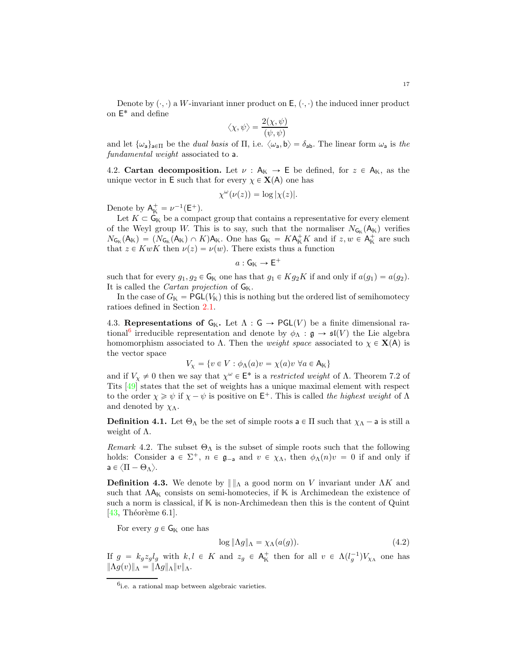<span id="page-16-2"></span>Denote by  $(\cdot, \cdot)$  a W-invariant inner product on E,  $(\cdot, \cdot)$  the induced inner product on  $\mathsf{E}^*$  and define

$$
\langle \chi, \psi \rangle = \frac{2(\chi, \psi)}{(\psi, \psi)}
$$

and let  $\{\omega_a\}_{a\in\Pi}$  be the *dual basis* of  $\Pi$ , i.e.  $\langle \omega_a, \mathbf{b} \rangle = \delta_{ab}$ . The linear form  $\omega_a$  is the fundamental weight associated to a.

4.2. Cartan decomposition. Let  $\nu : A_{\mathbb{K}} \to \mathsf{E}$  be defined, for  $z \in A_{\mathbb{K}}$ , as the unique vector in E such that for every  $\chi \in X(A)$  one has

$$
\chi^{\omega}(\nu(z)) = \log |\chi(z)|.
$$

Denote by  $A_{\mathbb{K}}^+ = \nu^{-1}(\mathsf{E}^+).$ 

Let  $K \subset \mathsf{G}_{\mathbb{K}}$  be a compact group that contains a representative for every element of the Weyl group W. This is to say, such that the normaliser  $N_{\mathsf{G}_{\mathbb{K}}}(\mathsf{A}_{\mathbb{K}})$  verifies  $N_{\mathsf{G}_{\mathbb{K}}}(\mathsf{A}_{\mathbb{K}}) = (N_{\mathsf{G}_{\mathbb{K}}}(\mathsf{A}_{\mathbb{K}}) \cap K)\mathsf{A}_{\mathbb{K}}$ . One has  $\mathsf{G}_{\mathbb{K}} = K\mathsf{A}_{\mathbb{K}}^+K$  and if  $z, w \in \mathsf{A}_{\mathbb{K}}^+$  are such that  $z \in KwK$  then  $\nu(z) = \nu(w)$ . There exists thus a function

$$
a: \mathsf{G}_{\mathbb{K}} \to \mathsf{E}^+
$$

such that for every  $g_1, g_2 \in \mathsf{G}_{\mathbb{K}}$  one has that  $g_1 \in Kg_2K$  if and only if  $a(g_1) = a(g_2)$ . It is called the *Cartan projection* of  $G_{\mathbb{K}}$ .

In the case of  $G_{\mathbb{K}} = \mathsf{PGL}(V_{\mathbb{K}})$  this is nothing but the ordered list of semihomotecy ratioes defined in Section [2.1.](#page-7-1)

4.3. Representations of  $G_K$ . Let  $\Lambda : G \to \text{PGL}(V)$  be a finite dimensional ra-tional<sup>[6](#page-16-0)</sup> irreducible representation and denote by  $\phi_{\Lambda} : \mathfrak{g} \to \mathfrak{sl}(V)$  the Lie algebra homomorphism associated to  $\Lambda$ . Then the *weight space* associated to  $\chi \in \mathbf{X}(A)$  is the vector space

$$
V_{\chi} = \{ v \in V : \phi_{\Lambda}(a)v = \chi(a)v \,\,\forall a \in A_{\mathbb{K}} \}
$$

and if  $V_\chi \neq 0$  then we say that  $\chi^\omega \in \mathsf{E}^*$  is a restricted weight of  $\Lambda$ . Theorem 7.2 of Tits [\[49\]](#page-43-12) states that the set of weights has a unique maximal element with respect to the order  $\chi \geq \psi$  if  $\chi - \psi$  is positive on  $E^+$ . This is called the highest weight of  $\Lambda$ and denoted by  $\chi_{\Lambda}$ .

**Definition 4.1.** Let  $\Theta_{\Lambda}$  be the set of simple roots  $a \in \Pi$  such that  $\chi_{\Lambda} - a$  is still a weight of  $\Lambda$ .

Remark 4.2. The subset  $\Theta_{\Lambda}$  is the subset of simple roots such that the following holds: Consider  $a \in \Sigma^+$ ,  $n \in \mathfrak{g}_{-a}$  and  $v \in \chi_{\Lambda}$ , then  $\phi_{\Lambda}(n)v = 0$  if and only if  $a \in \langle \Pi - \Theta_{\Lambda} \rangle$ .

<span id="page-16-1"></span>**Definition 4.3.** We denote by  $|| \cdot ||_A$  a good norm on V invariant under  $\Lambda K$  and such that  $\Lambda A_{\mathbb{K}}$  consists on semi-homotecies, if  $\mathbb{K}$  is Archimedean the existence of such a norm is classical, if  $K$  is non-Archimedean then this is the content of Quint  $[43,$  Théorème 6.1].

For every  $g \in \mathsf{G}_{\mathbb{K}}$  one has

$$
\log \|\Lambda g\|_{\Lambda} = \chi_{\Lambda}(a(g)). \tag{4.2}
$$

If  $g = k_g z_g l_g$  with  $k, l \in K$  and  $z_g \in A_K^+$  then for all  $v \in \Lambda(l_g^{-1})V_{\chi\Lambda}$  one has  $\|\Lambda g(v)\|_{\Lambda} = \|\Lambda g\|_{\Lambda} \|v\|_{\Lambda}.$ 

<span id="page-16-0"></span><sup>6</sup> i.e. a rational map between algebraic varieties.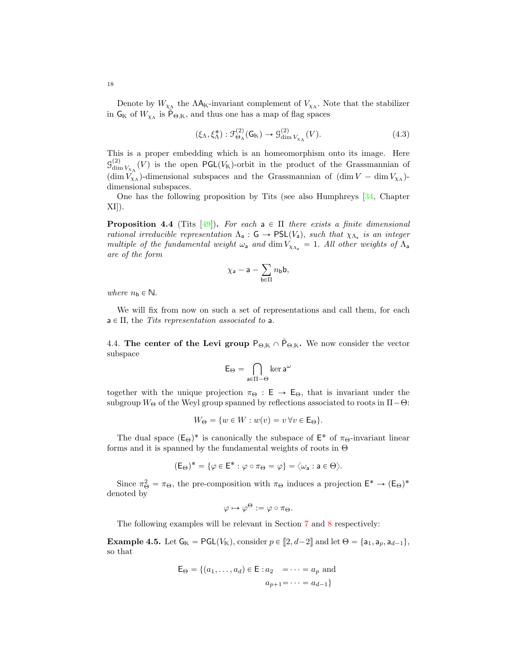Denote by  $W_{\chi_{\Lambda}}$  the  $\Lambda A_{\mathbb{K}}$ -invariant complement of  $V_{\chi_{\Lambda}}$ . Note that the stabilizer in  $G_{\mathbb{K}}$  of  $W_{\chi_{\Lambda}}$  is  $\check{P}_{\Theta,\mathbb{K}}$ , and thus one has a map of flag spaces

$$
(\xi_{\Lambda}, \xi_{\Lambda}^*) : \mathcal{F}_{\Theta_{\Lambda}}^{(2)}(\mathsf{G}_{\mathbb{K}}) \to \mathcal{G}_{\dim V_{\chi_{\Lambda}}}^{(2)}(V). \tag{4.3}
$$

This is a proper embedding which is an homeomorphism onto its image. Here  $g_{\text{dim}}^{(2)}$  $\lim_{\text{dim }V_{\chi_{\Lambda}}}(V)$  is the open PGL( $V_{\mathbb{K}}$ )-orbit in the product of the Grassmannian of  $(\dim V_{\chi_{\Lambda}})$ -dimensional subspaces and the Grassmannian of  $(\dim V - \dim V_{\chi_{\Lambda}})$ dimensional subspaces.

One has the following proposition by Tits (see also Humphreys [\[34,](#page-43-13) Chapter  $XI$ ).

<span id="page-17-0"></span>**Proposition 4.4** (Tits [\[49\]](#page-43-12)). For each  $a \in \Pi$  there exists a finite dimensional rational irreducible representation  $\Lambda_a$ :  $G \to PSL(V_a)$ , such that  $\chi_{\Lambda_a}$  is an integer multiple of the fundamental weight  $\omega_a$  and dim  $V_{\chi_{\Lambda_a}} = 1$ . All other weights of  $\Lambda_a$ are of the form

$$
\chi_{\mathsf{a}} - \mathsf{a} - \sum_{\mathsf{b} \in \Pi} n_{\mathsf{b}} \mathsf{b},
$$

where  $n_{\mathsf{b}} \in \mathbb{N}$ .

We will fix from now on such a set of representations and call them, for each  $a \in \Pi$ , the Tits representation associated to a.

4.4. The center of the Levi group  $P_{\Theta,K} \cap \check{P}_{\Theta,K}$ . We now consider the vector subspace

$$
\mathsf{E}_\Theta = \bigcap_{\mathsf{a} \in \Pi - \Theta} \ker \mathsf{a}^\omega
$$

together with the unique projection  $\pi_{\Theta} : E \to E_{\Theta}$ , that is invariant under the subgroup  $W_{\Theta}$  of the Weyl group spanned by reflections associated to roots in  $\Pi-\Theta$ :

$$
W_{\Theta} = \{ w \in W : w(v) = v \,\forall v \in \mathsf{E}_{\Theta} \}.
$$

The dual space  $(E_{\Theta})^*$  is canonically the subspace of  $E^*$  of  $\pi_{\Theta}$ -invariant linear forms and it is spanned by the fundamental weights of roots in Θ

$$
(\mathsf{E}_\Theta)^* = \{\varphi \in \mathsf{E}^* : \varphi \circ \pi_\Theta = \varphi\} = \langle \omega_\text{\textsf{a}} : \text{\textsf{a}} \in \Theta \rangle.
$$

Since  $\pi_{\Theta}^2 = \pi_{\Theta}$ , the pre-composition with  $\pi_{\Theta}$  induces a projection  $E^* \to (E_{\Theta})^*$ denoted by

$$
\varphi \mapsto \varphi^{\Theta} := \varphi \circ \pi_{\Theta}.
$$

The following examples will be relevant in Section [7](#page-28-0) and [8](#page-31-0) respectively:

**Example 4.5.** Let  $G_{\mathbb{K}} = \text{PGL}(V_{\mathbb{K}})$ , consider  $p \in [2, d-2]$  and let  $\Theta = \{a_1, a_p, a_{d-1}\},$ so that

$$
E_{\Theta} = \{(a_1, ..., a_d) \in E : a_2 = \cdots = a_p \text{ and}
$$
  
 $a_{p+1} = \cdots = a_{d-1}\}$ 

<span id="page-17-1"></span>18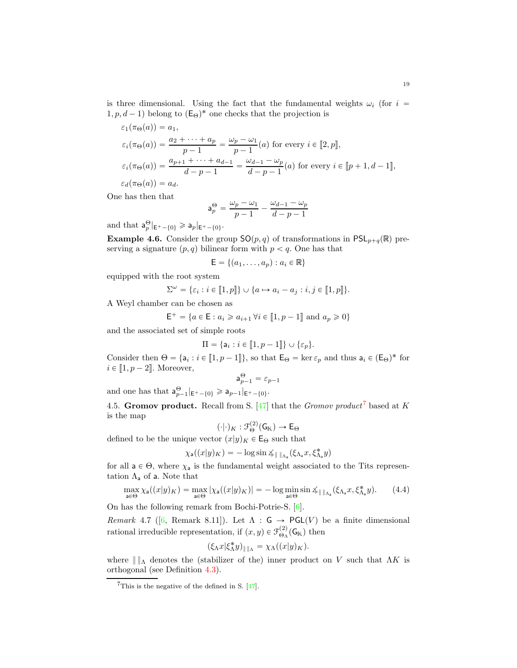<span id="page-18-2"></span>is three dimensional. Using the fact that the fundamental weights  $\omega_i$  (for  $i =$  $(1, p, d - 1)$  belong to  $(\mathsf{E}_{\Theta})^*$  one checks that the projection is

$$
\varepsilon_1(\pi_{\Theta}(a)) = a_1,
$$
  
\n
$$
\varepsilon_i(\pi_{\Theta}(a)) = \frac{a_2 + \dots + a_p}{p - 1} = \frac{\omega_p - \omega_1}{p - 1}(a) \text{ for every } i \in [2, p],
$$
  
\n
$$
\varepsilon_i(\pi_{\Theta}(a)) = \frac{a_{p+1} + \dots + a_{d-1}}{d - p - 1} = \frac{\omega_{d-1} - \omega_p}{d - p - 1}(a) \text{ for every } i \in [p + 1, d - 1],
$$
  
\n
$$
\varepsilon_d(\pi_{\Theta}(a)) = a_d.
$$

One has then that

$$
\mathbf{a}_p^{\Theta} = \frac{\omega_p - \omega_1}{p-1} - \frac{\omega_{d-1} - \omega_p}{d-p-1}
$$

and that  $\mathsf{a}_p^{\Theta}|_{\mathsf{E}^+ - \{0\}} \geq \mathsf{a}_p|_{\mathsf{E}^+ - \{0\}}.$ 

<span id="page-18-1"></span>**Example 4.6.** Consider the group  $SO(p,q)$  of transformations in  $PSL_{p+q}(\mathbb{R})$  preserving a signature  $(p, q)$  bilinear form with  $p < q$ . One has that

$$
\mathsf{E} = \{(a_1, \ldots, a_p) : a_i \in \mathbb{R}\}
$$

equipped with the root system

$$
\Sigma^{\omega} = \{\varepsilon_i : i \in [\![1, p]\!]\} \cup \{a \mapsto a_i - a_j : i, j \in [\![1, p]\!]\}.
$$

A Weyl chamber can be chosen as

$$
\mathsf{E}^+=\{a\in\mathsf{E}:a_i\geqslant a_{i+1}\,\forall i\in[\![1,p-1]\!]\text{ and }a_p\geqslant 0\}
$$

and the associated set of simple roots

$$
\Pi = \{ \mathsf{a}_i : i \in [\![1, p-1]\!] \} \cup \{\varepsilon_p\}.
$$

Consider then  $\Theta = \{a_i : i \in [\![1, p-1]\!] \}$ , so that  $\mathsf{E}_{\Theta} = \ker \varepsilon_p$  and thus  $a_i \in (\mathsf{E}_{\Theta})^*$  for  $i \in [1, p - 2]$ . Moreover,

$$
\mathsf{a}_{p-1}^{\Theta} = \varepsilon_{p-1}
$$

and one has that  $a_{p-1}^{\Theta}|_{E^+ - \{0\}} \ge a_{p-1}|_{E^+ - \{0\}}.$ 

4.5. Gromov product. Recall from S. [\[47\]](#page-43-14) that the *Gromov product*<sup>[7](#page-18-0)</sup> based at K is the map

$$
(\cdot|\cdot)_K : \mathfrak{F}_{\Theta}^{(2)}(\mathsf{G}_{\mathbb{K}}) \to \mathsf{E}_{\Theta}
$$

defined to be the unique vector  $(x|y)_K \in \mathsf{E}_{\Theta}$  such that

$$
\chi_{\mathsf{a}}((x|y)_{K}) = -\log \sin \measuredangle_{\|\cdot\|_{\Lambda_{\mathsf{a}}}}(\xi_{\Lambda_{\mathsf{a}}}x, \xi_{\Lambda_{\mathsf{a}}}^{*}y)
$$

for all  $a \in \Theta$ , where  $\chi_a$  is the fundamental weight associated to the Tits representation  $\Lambda_a$  of a. Note that

$$
\max_{\mathsf{a}\in\Theta} \chi_{\mathsf{a}}((x|y)_{K}) = \max_{\mathsf{a}\in\Theta} |\chi_{\mathsf{a}}((x|y)_{K})| = -\log \min_{\mathsf{a}\in\Theta} \sin \Delta_{\|\cdot\|_{\Lambda_{\mathsf{a}}}}(\xi_{\Lambda_{\mathsf{a}}}x, \xi_{\Lambda_{\mathsf{a}}}^{*}y). \tag{4.4}
$$

On has the following remark from Bochi-Potrie-S. [\[6\]](#page-42-10).

Remark4.7 ([\[6,](#page-42-10) Remark 8.11]). Let  $\Lambda : G \to \mathsf{PGL}(V)$  be a finite dimensional rational irreducible representation, if  $(x, y) \in \mathcal{F}^{(2)}_{\Theta_{\Lambda}}(\mathsf{G}_{\mathbb{K}})$  then

$$
(\xi_{\Lambda}x|\xi_{\Lambda}^*y)_{\|\|_{\Lambda}}=\chi_{\Lambda}((x|y)_{K}).
$$

where  $|| \cdot ||$ <sup>λ</sup> denotes the (stabilizer of the) inner product on V such that  $\Lambda K$  is orthogonal (see Definition [4.3\)](#page-16-1).

<span id="page-18-0"></span> $7$ This is the negative of the defined in S.  $[47]$ .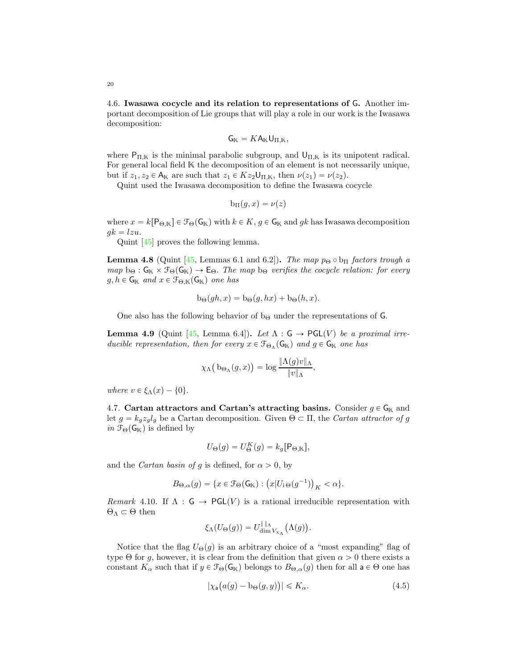<span id="page-19-2"></span>4.6. Iwasawa cocycle and its relation to representations of G. Another important decomposition of Lie groups that will play a role in our work is the Iwasawa decomposition:

$$
\mathsf{G}_\mathbb{K} = K \mathsf{A}_\mathbb{K} \mathsf{U}_{\Pi,\mathbb{K}},
$$

where  $P_{\Pi,\mathbb{K}}$  is the minimal parabolic subgroup, and  $U_{\Pi,\mathbb{K}}$  is its unipotent radical. For general local field K the decomposition of an element is not necessarily unique, but if  $z_1, z_2 \in A_{\mathbb{K}}$  are such that  $z_1 \in Kz_2\cup_{\Pi,\mathbb{K}}$ , then  $\nu(z_1) = \nu(z_2)$ .

Quint used the Iwasawa decomposition to define the Iwasawa cocycle

$$
b_{\Pi}(g,x)=\nu(z)
$$

where  $x = k[P_{\Theta, K}] \in \mathcal{F}_{\Theta}(G_K)$  with  $k \in K$ ,  $g \in G_K$  and  $gk$  has Iwasawa decomposition  $gk = lzu.$ 

Quint [\[45\]](#page-43-7) proves the following lemma.

**Lemma 4.8** (Quint [\[45,](#page-43-7) Lemmas 6.1 and 6.2]). The map  $p_{\Theta} \circ b_{\Pi}$  factors trough a map  $b_{\Theta} : G_{\mathbb{K}} \times \mathcal{F}_{\Theta}(G_{\mathbb{K}}) \to E_{\Theta}$ . The map  $b_{\Theta}$  verifies the cocycle relation: for every  $g, h \in \mathsf{G}_{\mathbb{K}}$  and  $x \in \mathcal{F}_{\Theta,\mathbb{K}}(\mathsf{G}_{\mathbb{K}})$  one has

$$
b_{\Theta}(gh, x) = b_{\Theta}(g, hx) + b_{\Theta}(h, x).
$$

One also has the following behavior of  $b_{\Theta}$  under the representations of G.

<span id="page-19-0"></span>**Lemma 4.9** (Quint [\[45,](#page-43-7) Lemma 6.4]). Let  $\Lambda : G \to \mathsf{PGL}(V)$  be a proximal irreducible representation, then for every  $x \in \mathcal{F}_{\Theta_{\Lambda}}(\mathsf{G}_{\mathbb{K}})$  and  $g \in \mathsf{G}_{\mathbb{K}}$  one has

$$
\chi_{\Lambda}\big(\mathop{{\rm bo}}\nolimits_{\Lambda}(g,x)\big)=\log\frac{\|\Lambda(g)v\|_{\Lambda}}{\|v\|_{\Lambda}},
$$

where  $v \in \xi_{\Lambda}(x) - \{0\}.$ 

4.7. Cartan attractors and Cartan's attracting basins. Consider  $g \in G_K$  and let  $g = k_q z_q l_q$  be a Cartan decomposition. Given  $\Theta \subset \Pi$ , the Cartan attractor of g in  $\mathcal{F}_{\Theta}(\mathsf{G}_{\mathbb{K}})$  is defined by

$$
U_{\Theta}(g) = U_{\Theta}^{K}(g) = k_{g}[\mathsf{P}_{\Theta,\mathbb{K}}],
$$

and the *Cartan basin of g* is defined, for  $\alpha > 0$ , by

$$
B_{\Theta,\alpha}(g) = \{x \in \mathcal{F}_{\Theta}(\mathsf{G}_{\mathbb{K}}) : (x|U_{i\Theta}(g^{-1}))_K < \alpha\}.
$$

Remark 4.10. If  $\Lambda : G \to \mathsf{PGL}(V)$  is a rational irreducible representation with  $\Theta_{\Lambda} \subset \Theta$  then

$$
\xi_{\Lambda}(U_{\Theta}(g)) = U_{\dim V_{\chi_{\Lambda}}}^{\|\|_{\Lambda}}(\Lambda(g)).
$$

Notice that the flag  $U_{\Theta}(g)$  is an arbitrary choice of a "most expanding" flag of type Θ for g, however, it is clear from the definition that given  $\alpha > 0$  there exists a constant  $K_{\alpha}$  such that if  $y \in \mathcal{F}_{\Theta}(\mathsf{G}_{\mathbb{K}})$  belongs to  $B_{\Theta,\alpha}(g)$  then for all  $a \in \Theta$  one has

<span id="page-19-1"></span>
$$
|\chi_{\mathsf{a}}(a(g) - b_{\Theta}(g, y))| \leq K_{\alpha}.\tag{4.5}
$$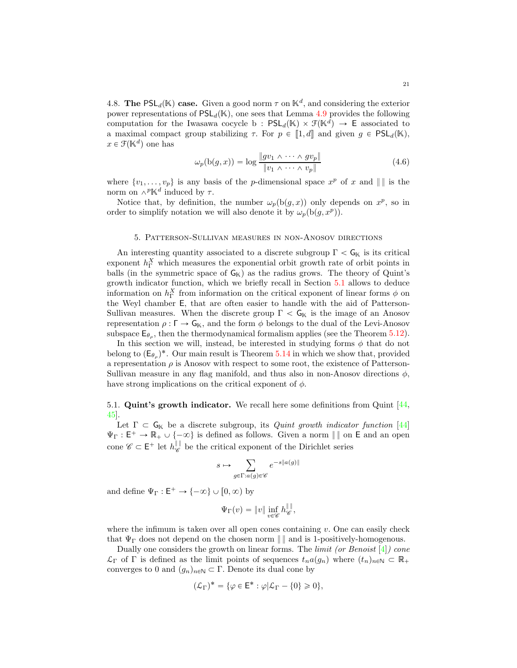<span id="page-20-3"></span>4.8. The PSL<sub>d</sub>(K) case. Given a good norm  $\tau$  on K<sup>d</sup>, and considering the exterior power representations of  $PSL_d(\mathbb{K})$ , one sees that Lemma [4.9](#page-19-0) provides the following computation for the Iwasawa cocycle b :  $PSL_d(\mathbb{K}) \times \mathcal{F}(\mathbb{K}^d) \to \mathsf{E}$  associated to a maximal compact group stabilizing  $\tau$ . For  $p \in [1, d]$  and given  $g \in \text{PSL}_d(\mathbb{K})$ ,  $x \in \mathcal{F}(\mathbb{K}^d)$  one has

<span id="page-20-2"></span>
$$
\omega_p(\mathbf{b}(g,x)) = \log \frac{\|gv_1 \wedge \cdots \wedge gv_p\|}{\|v_1 \wedge \cdots \wedge v_p\|} \tag{4.6}
$$

where  $\{v_1, \ldots, v_p\}$  is any basis of the *p*-dimensional space  $x^p$  of x and  $\| \cdot \|$  is the norm on  $\wedge^p \mathbb{K}^d$  induced by  $\tau$ .

Notice that, by definition, the number  $\omega_p(b(g, x))$  only depends on  $x^p$ , so in order to simplify notation we will also denote it by  $\omega_p(b(g, x^p))$ .

### 5. Patterson-Sullivan measures in non-Anosov directions

<span id="page-20-0"></span>An interesting quantity associated to a discrete subgroup  $\Gamma < \mathsf{G}_{\mathbb{K}}$  is its critical exponent  $h_{\Gamma}^X$  which measures the exponential orbit growth rate of orbit points in balls (in the symmetric space of  $G_K$ ) as the radius grows. The theory of Quint's growth indicator function, which we briefly recall in Section [5.1](#page-20-1) allows to deduce information on  $h_{\Gamma}^X$  from information on the critical exponent of linear forms  $\phi$  on the Weyl chamber E, that are often easier to handle with the aid of Patterson-Sullivan measures. When the discrete group  $\Gamma < G_K$  is the image of an Anosov representation  $\rho : \Gamma \to \mathsf{G}_{\mathbb{K}}$ , and the form  $\phi$  belongs to the dual of the Levi-Anosov subspace  $\mathsf{E}_{\theta_{\rho}}$ , then the thermodynamical formalism applies (see the Theorem [5.12\)](#page-23-2).

In this section we will, instead, be interested in studying forms  $\phi$  that do not belong to  $(\mathsf{E}_{\theta_\rho})^*$ . Our main result is Theorem [5.14](#page-23-1) in which we show that, provided a representation  $\rho$  is Anosov with respect to some root, the existence of Patterson-Sullivan measure in any flag manifold, and thus also in non-Anosov directions  $\phi$ , have strong implications on the critical exponent of  $\phi$ .

# <span id="page-20-1"></span>5.1. **Quint's growth indicator.** We recall here some definitions from Quint  $[44, 4]$ [45\]](#page-43-7).

Let  $\Gamma \subset G_{\mathbb{K}}$  be a discrete subgroup, its *Quint growth indicator function* [\[44\]](#page-43-4)  $\Psi_{\Gamma}: \mathsf{E}^+ \to \mathbb{R}_+ \cup \{-\infty\}$  is defined as follows. Given a norm  $\| \cdot \|$  on E and an open cone  $\mathscr{C} \subset \mathsf{E}^+$  let  $h_{\mathscr{C}}^{\|\cdot\|}$  be the critical exponent of the Dirichlet series

$$
s\mapsto \sum_{g\in \Gamma: a(g)\in \mathscr{C}}e^{-s\|a(g)\|}
$$

and define  $\Psi_{\Gamma} : \mathsf{E}^+ \to \{-\infty\} \cup [0, \infty)$  by

$$
\Psi_{\Gamma}(v) = \|v\| \inf_{v \in \mathscr{C}} h_{\mathscr{C}}^{\|\|},
$$

where the infimum is taken over all open cones containing  $v$ . One can easily check that  $\Psi_{\Gamma}$  does not depend on the chosen norm  $\|\cdot\|$  and is 1-positively-homogenous.

Dually one considers the growth on linear forms. The *limit (or Benoist*  $[4]$ ) cone  $\mathcal{L}_{\Gamma}$  of  $\Gamma$  is defined as the limit points of sequences  $t_na(g_n)$  where  $(t_n)_{n\in\mathbb{N}}\subset\mathbb{R}_+$ converges to 0 and  $(g_n)_{n\in\mathbb{N}}\subset\Gamma$ . Denote its dual cone by

$$
(\mathcal{L}_{\Gamma})^* = \{ \varphi \in \mathsf{E}^* : \varphi | \mathcal{L}_{\Gamma} - \{0\} \geqslant 0 \},
$$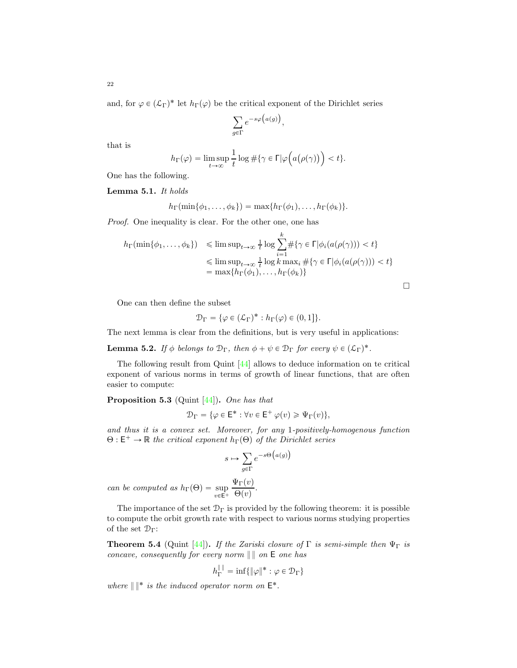and, for  $\varphi \in (\mathcal{L}_\Gamma)^*$  let  $h_\Gamma(\varphi)$  be the critical exponent of the Dirichlet series

$$
\sum_{g \in \Gamma} e^{-s\varphi\big(a(g)\big)}
$$

,

k

that is

$$
h_{\Gamma}(\varphi) = \limsup_{t \to \infty} \frac{1}{t} \log \#\{\gamma \in \Gamma | \varphi(a(\rho(\gamma))) < t\}.
$$

<span id="page-21-2"></span>One has the following. Lemma 5.1. It holds

$$
h_{\Gamma}(\min\{\phi_1,\ldots,\phi_k\})=\max\{h_{\Gamma}(\phi_1),\ldots,h_{\Gamma}(\phi_k)\}.
$$

Proof. One inequality is clear. For the other one, one has

$$
h_{\Gamma}(\min\{\phi_1,\ldots,\phi_k\}) \leq \limsup_{t\to\infty} \frac{1}{t} \log \sum_{i=1}^k \#\{\gamma \in \Gamma | \phi_i(a(\rho(\gamma))) < t\}
$$
\n
$$
\leq \limsup_{t\to\infty} \frac{1}{t} \log k \max_i \#\{\gamma \in \Gamma | \phi_i(a(\rho(\gamma))) < t\}
$$
\n
$$
= \max\{h_{\Gamma}(\phi_1),\ldots,h_{\Gamma}(\phi_k)\}
$$

 $\Box$ 

One can then define the subset

$$
\mathcal{D}_{\Gamma} = \{ \varphi \in (\mathcal{L}_{\Gamma})^* : h_{\Gamma}(\varphi) \in (0,1] \}.
$$

The next lemma is clear from the definitions, but is very useful in applications:

**Lemma 5.2.** If  $\phi$  belongs to  $\mathcal{D}_{\Gamma}$ , then  $\phi + \psi \in \mathcal{D}_{\Gamma}$  for every  $\psi \in (\mathcal{L}_{\Gamma})^*$ .

The following result from Quint [\[44\]](#page-43-4) allows to deduce information on te critical exponent of various norms in terms of growth of linear functions, that are often easier to compute:

<span id="page-21-1"></span>Proposition 5.3 (Quint [\[44\]](#page-43-4)). One has that

$$
\mathcal{D}_{\Gamma} = \{ \varphi \in \mathsf{E}^* : \forall v \in \mathsf{E}^+ \, \varphi(v) \geqslant \Psi_{\Gamma}(v) \},
$$

and thus it is a convex set. Moreover, for any 1-positively-homogenous function  $\Theta: \mathsf{E}^+ \to \mathbb{R}$  the critical exponent  $h_{\Gamma}(\Theta)$  of the Dirichlet series

$$
s \mapsto \sum_{g \in \Gamma} e^{-s \Theta\big(a(g)\big)}
$$

can be computed as  $h_{\Gamma}(\Theta) = \sup_{v \in \mathsf{E}^+}$  $\Psi_{\Gamma}(v)$  $\frac{\Theta(v)}{\Theta(v)}$ .

The importance of the set  $\mathcal{D}_{\Gamma}$  is provided by the following theorem: it is possible to compute the orbit growth rate with respect to various norms studying properties of the set  $\mathcal{D}_{\Gamma}$ :

<span id="page-21-0"></span>**Theorem 5.4** (Quint [\[44\]](#page-43-4)). If the Zariski closure of  $\Gamma$  is semi-simple then  $\Psi_{\Gamma}$  is concave, consequently for every norm  $\| \, \|$  on  $E$  one has

$$
h_{\Gamma}^{\|\cdot\|} = \inf \{ \|\varphi\|^* : \varphi \in \mathcal{D}_{\Gamma} \}
$$

where  $\|\cdot\|^*$  is the induced operator norm on  $E^*$ .

<span id="page-21-3"></span>22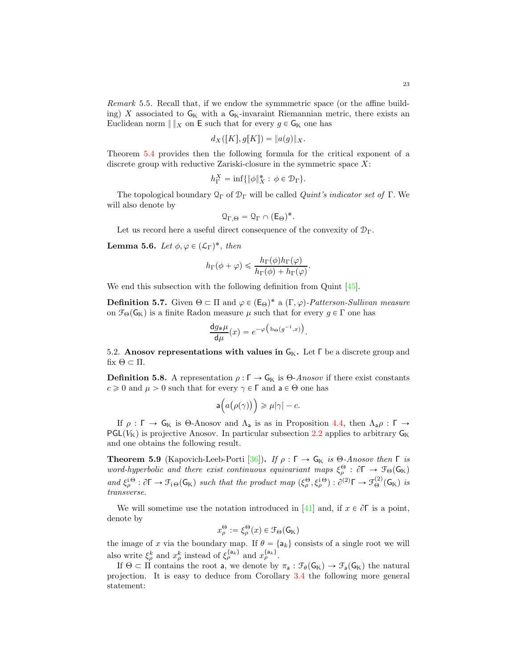<span id="page-22-2"></span><span id="page-22-1"></span>Remark 5.5. Recall that, if we endow the symmmetric space (or the affine building) X associated to  $G_{\mathbb{K}}$  with a  $G_{\mathbb{K}}$ -invaraint Riemannian metric, there exists an Euclidean norm  $\|x\|_X$  on E such that for every  $g \in \mathsf{G}_{\mathbb{K}}$  one has

$$
d_X([K], g[K]) = ||a(g)||_X.
$$

Theorem [5.4](#page-21-0) provides then the following formula for the critical exponent of a discrete group with reductive Zariski-closure in the symmetric space  $X$ :

$$
h_{\Gamma}^X = \inf \{ \|\phi\|_X^* : \phi \in \mathcal{D}_{\Gamma} \}.
$$

The topological boundary  $\mathcal{Q}_{\Gamma}$  of  $\mathcal{D}_{\Gamma}$  will be called *Quint's indicator set of*  $\Gamma$ . We will also denote by

$$
\mathfrak{Q}_{\Gamma,\Theta}=\mathfrak{Q}_{\Gamma}\cap(\mathsf{E}_{\Theta})^*.
$$

Let us record here a useful direct consequence of the convexity of  $\mathcal{D}_{\Gamma}$ .

<span id="page-22-0"></span>**Lemma 5.6.** Let  $\phi, \varphi \in (\mathcal{L}_\Gamma)^*$ , then

$$
h_{\Gamma}(\phi + \varphi) \leq \frac{h_{\Gamma}(\phi)h_{\Gamma}(\varphi)}{h_{\Gamma}(\phi) + h_{\Gamma}(\varphi)}.
$$

We end this subsection with the following definition from Quint [\[45\]](#page-43-7).

**Definition 5.7.** Given  $\Theta \subset \Pi$  and  $\varphi \in (E_{\Theta})^*$  a  $(\Gamma, \varphi)$ -Patterson-Sullivan measure on  $\mathcal{F}_{\Theta}(\mathsf{G}_{\mathbb{K}})$  is a finite Radon measure  $\mu$  such that for every  $g \in \Gamma$  one has

$$
\frac{\mathrm{d}g_{\ast}\mu}{\mathrm{d}\mu}(x) = e^{-\varphi\left(\mathrm{b}_{\Theta}(g^{-1},x)\right)}
$$

.

5.2. Anosov representations with values in  $G_K$ . Let  $\Gamma$  be a discrete group and fix  $\Theta \subset \Pi$ .

**Definition 5.8.** A representation  $\rho : \Gamma \to \mathsf{G}_{\mathbb{K}}$  is  $\Theta$ -Anosov if there exist constants  $c \geq 0$  and  $\mu > 0$  such that for every  $\gamma \in \Gamma$  and  $a \in \Theta$  one has

$$
\mathsf{a}\Big(a\big(\rho(\gamma)\big)\Big)\geqslant \mu|\gamma|-c.
$$

If  $\rho : \Gamma \to \mathsf{G}_{\mathbb{K}}$  is Θ-Anosov and  $\Lambda_a$  is as in Proposition [4.4,](#page-17-0) then  $\Lambda_a \rho : \Gamma \to$  $PGL(V<sub>K</sub>)$  is projective Anosov. In particular subsection [2.2](#page-9-0) applies to arbitrary  $G<sub>K</sub>$ and one obtains the following result.

**Theorem 5.9** (Kapovich-Leeb-Porti [\[36\]](#page-43-15)). If  $\rho : \Gamma \to \mathsf{G}_{\mathbb{K}}$  is  $\Theta$ -Anosov then  $\Gamma$  is word-hyperbolic and there exist continuous equivariant maps  $\xi_{\rho}^{\Theta}$  :  $\partial \Gamma \to \mathcal{F}_{\Theta}(G_{\mathbb{K}})$ and  $\xi_{\rho}^{\Theta}$ :  $\partial \Gamma \to \mathcal{F}_{i\Theta}(\mathsf{G}_{\mathbb{K}})$  such that the product map  $(\xi_{\rho}^{\Theta}, \xi_{\rho}^{i\Theta}) : \partial^{(2)}\Gamma \to \mathcal{F}_{\Theta}^{(2)}(\mathsf{G}_{\mathbb{K}})$  is transverse.

We will sometime use the notation introduced in [\[41\]](#page-43-1) and, if  $x \in \partial \Gamma$  is a point, denote by

$$
x^\Theta_\rho:=\xi^\Theta_\rho(x)\in\mathcal{F}_\Theta(\mathsf{G}_\mathbb{K})
$$

the image of x via the boundary map. If  $\theta = \{a_k\}$  consists of a single root we will also write  $\xi_{\rho}^{k}$  and  $x_{\rho}^{k}$  instead of  $\xi_{\rho}^{\{a_{k}\}}$  and  $x_{\rho}^{\{a_{k}\}}$ .

If  $\Theta \subset \Pi$  contains the root a, we denote by  $\pi_a : \mathcal{F}_{\theta}(G_K) \to \mathcal{F}_{a}(G_K)$  the natural projection. It is easy to deduce from Corollary [3.4](#page-12-1) the following more general statement: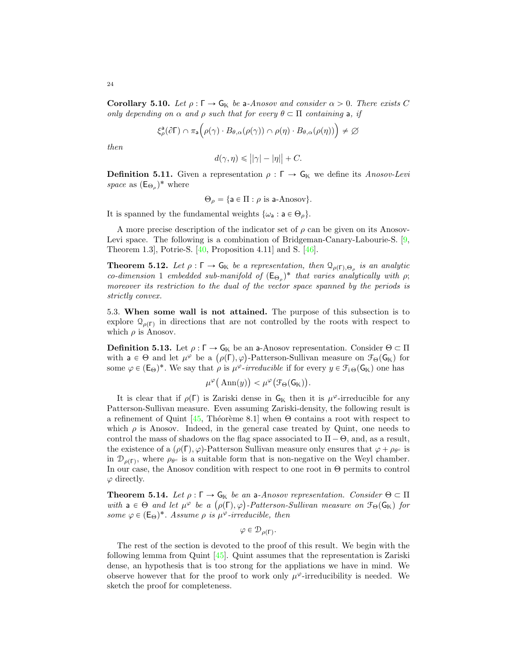<span id="page-23-4"></span><span id="page-23-3"></span>**Corollary 5.10.** Let  $\rho : \Gamma \to \mathsf{G}_{\mathbb{K}}$  be a-Anosov and consider  $\alpha > 0$ . There exists C only depending on  $\alpha$  and  $\rho$  such that for every  $\theta \subset \Pi$  containing a, if

$$
\xi_{\rho}^{\mathsf{a}}(\partial \Gamma) \cap \pi_{\mathsf{a}}\Big(\rho(\gamma) \cdot B_{\theta,\alpha}(\rho(\gamma)) \cap \rho(\eta) \cdot B_{\theta,\alpha}(\rho(\eta))\Big) \neq \varnothing
$$

then

$$
d(\gamma, \eta) \leq ||\gamma| - |\eta|| + C.
$$

**Definition 5.11.** Given a representation  $\rho : \Gamma \to \mathsf{G}_{\mathbb{K}}$  we define its Anosov-Levi space as  $(\mathsf{E}_{\Theta_{\rho}})^*$  where

$$
\Theta_{\rho} = \{ \mathsf{a} \in \Pi : \rho \text{ is a-Anosov} \}.
$$

It is spanned by the fundamental weights  $\{\omega_a : a \in \Theta_o\}.$ 

A more precise description of the indicator set of  $\rho$  can be given on its Anosov-Levi space. The following is a combination of Bridgeman-Canary-Labourie-S. [\[9,](#page-42-11) Theorem 1.3], Potrie-S. [\[40,](#page-43-5) Proposition 4.11] and S. [\[46\]](#page-43-16).

<span id="page-23-2"></span>**Theorem 5.12.** Let  $\rho : \Gamma \to \mathsf{G}_{\mathbb{K}}$  be a representation, then  $\Omega_{\rho(\Gamma),\Theta_{\rho}}$  is an analytic co-dimension 1 embedded sub-manifold of  $(E_{\Theta_{\rho}})^*$  that varies analytically with  $\rho$ ; moreover its restriction to the dual of the vector space spanned by the periods is strictly convex.

<span id="page-23-0"></span>5.3. When some wall is not attained. The purpose of this subsection is to explore  $\mathcal{Q}_{\rho(\Gamma)}$  in directions that are not controlled by the roots with respect to which  $\rho$  is Anosov.

**Definition 5.13.** Let  $\rho : \Gamma \to \mathsf{G}_{\mathbb{K}}$  be an a-Anosov representation. Consider  $\Theta \subset \Pi$ with  $a \in \Theta$  and let  $\mu^{\varphi}$  be a  $(\rho(\Gamma), \varphi)$ -Patterson-Sullivan measure on  $\mathcal{F}_{\Theta}(G_{\mathbb{K}})$  for some  $\varphi \in (E_{\Theta})^*$ . We say that  $\rho$  is  $\mu^{\varphi}\text{-}irreducible$  if for every  $y \in \mathcal{F}_{i\Theta}(G_{\mathbb{K}})$  one has

$$
\mu^{\varphi}\big(\operatorname{Ann}(y)\big)<\mu^{\varphi}\big(\mathfrak{F}_{\Theta}(\mathsf{G}_{\mathbb{K}})\big).
$$

It is clear that if  $\rho(\Gamma)$  is Zariski dense in  $G_K$  then it is  $\mu^{\varphi}$ -irreducible for any Patterson-Sullivan measure. Even assuming Zariski-density, the following result is a refinement of Quint [\[45,](#page-43-7) Théorème 8.1] when  $\Theta$  contains a root with respect to which  $\rho$  is Anosov. Indeed, in the general case treated by Quint, one needs to control the mass of shadows on the flag space associated to  $\Pi - \Theta$ , and, as a result, the existence of a  $(\rho(\Gamma), \varphi)$ -Patterson Sullivan measure only ensures that  $\varphi + \rho_{\theta^c}$  is in  $\mathcal{D}_{\rho(\Gamma)}$ , where  $\rho_{\theta^c}$  is a suitable form that is non-negative on the Weyl chamber. In our case, the Anosov condition with respect to one root in Θ permits to control  $\varphi$  directly.

<span id="page-23-1"></span>**Theorem 5.14.** Let  $\rho : \Gamma \to \mathsf{G}_{\mathbb{K}}$  be an a-Anosov representation. Consider  $\Theta \subset \Pi$ with  $a \in \Theta$  and let  $\mu^{\varphi}$  be a  $(\rho(\Gamma), \varphi)$ -Patterson-Sullivan measure on  $\mathcal{F}_{\Theta}(\mathsf{G}_{\mathbb{K}})$  for some  $\varphi \in (E_{\Theta})^*$ . Assume  $\rho$  is  $\mu^{\varphi}$ -irreducible, then

$$
\varphi\in \mathcal{D}_{\rho(\Gamma)}.
$$

The rest of the section is devoted to the proof of this result. We begin with the following lemma from Quint [\[45\]](#page-43-7). Quint assumes that the representation is Zariski dense, an hypothesis that is too strong for the appliations we have in mind. We observe however that for the proof to work only  $\mu^{\varphi}$ -irreducibility is needed. We sketch the proof for completeness.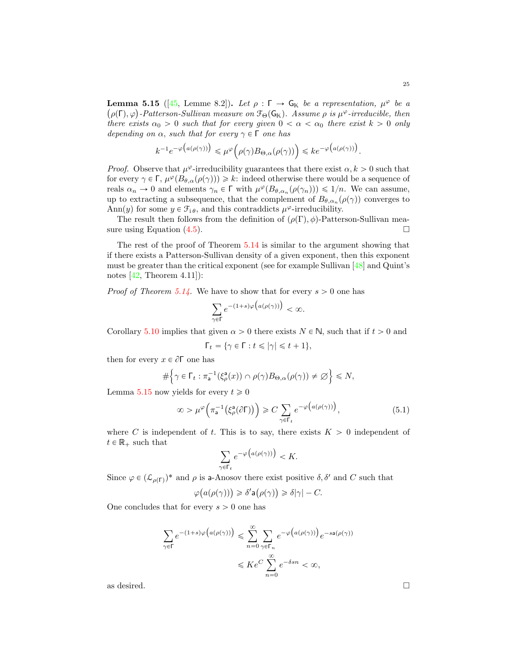<span id="page-24-1"></span><span id="page-24-0"></span>**Lemma 5.15** ([\[45,](#page-43-7) Lemme 8.2]). Let  $\rho : \Gamma \to \mathsf{G}_{\mathbb{K}}$  be a representation,  $\mu^{\varphi}$  be a  $(\rho(\Gamma), \varphi)$ -Patterson-Sullivan measure on  $\mathcal{F}_{\Theta}(\mathsf{G}_{\mathbb{K}})$ . Assume  $\rho$  is  $\mu^{\varphi}$ -irreducible, then there exists  $\alpha_0 > 0$  such that for every given  $0 < \alpha < \alpha_0$  there exist  $k > 0$  only depending on  $\alpha$ , such that for every  $\gamma \in \Gamma$  one has

$$
k^{-1}e^{-\varphi\big(a(\rho(\gamma))\big)} \leq \mu^{\varphi}\big(\rho(\gamma)B_{\Theta,\alpha}(\rho(\gamma))\big) \leq k e^{-\varphi\big(a(\rho(\gamma))\big)}.
$$

*Proof.* Observe that  $\mu^{\varphi}$ -irreducibility guarantees that there exist  $\alpha, k > 0$  such that for every  $\gamma \in \Gamma$ ,  $\mu^{\varphi}(B_{\theta,\alpha}(\rho(\gamma))) \geq k$ : indeed otherwise there would be a sequence of reals  $\alpha_n \to 0$  and elements  $\gamma_n \in \Gamma$  with  $\mu^{\varphi}(B_{\theta,\alpha_n}(\rho(\gamma_n))) \leq 1/n$ . We can assume, up to extracting a subsequence, that the complement of  $B_{\theta,\alpha_n}(\rho(\gamma))$  converges to Ann(y) for some  $y \in \mathcal{F}_{i,\theta}$ , and this contraddicts  $\mu^{\varphi}$ -irreducibility.

The result then follows from the definition of  $(\rho(\Gamma), \phi)$ -Patterson-Sullivan mea-<br>re using Equation (4.5). sure using Equation  $(4.5)$ .

The rest of the proof of Theorem [5.14](#page-23-1) is similar to the argument showing that if there exists a Patterson-Sullivan density of a given exponent, then this exponent must be greater than the critical exponent (see for example Sullivan [\[48\]](#page-43-3) and Quint's notes  $[42,$  Theorem  $4.11$ ]):

*Proof of Theorem [5.14.](#page-23-1)* We have to show that for every  $s > 0$  one has

$$
\sum_{\gamma \in \Gamma} e^{-(1+s)\varphi\big(a(\rho(\gamma))\big)} < \infty.
$$

Corollary [5.10](#page-23-3) implies that given  $\alpha > 0$  there exists  $N \in \mathbb{N}$ , such that if  $t > 0$  and

$$
\Gamma_t = \{ \gamma \in \Gamma : t \leq |\gamma| \leq t+1 \},\
$$

then for every  $x \in \partial \Gamma$  one has

$$
\#\Big\{\gamma\in\Gamma_t:\pi_a^{-1}(\xi_\rho^a(x))\cap\rho(\gamma)B_{\Theta,\alpha}(\rho(\gamma))\neq\varnothing\Big\}\leq N,
$$

Lemma [5.15](#page-24-0) now yields for every  $t \geq 0$ 

$$
\infty > \mu^{\varphi}\Big(\pi_a^{-1}\big(\xi_\rho^a(\partial \Gamma)\big)\Big) \geqslant C \sum_{\gamma \in \Gamma_t} e^{-\varphi\big(a(\rho(\gamma))\big)},\tag{5.1}
$$

where C is independent of t. This is to say, there exists  $K > 0$  independent of  $t \in \mathbb{R}_+$  such that

$$
\sum_{\gamma \in \Gamma_t} e^{-\varphi\big(a(\rho(\gamma))\big)} < K.
$$

Since  $\varphi \in (\mathcal{L}_{\rho(\Gamma)})^*$  and  $\rho$  is a-Anosov there exist positive  $\delta, \delta'$  and C such that

$$
\varphi\big(a(\rho(\gamma))\big) \geq \delta' \mathsf{a}\big(\rho(\gamma)\big) \geq \delta |\gamma| - C.
$$

One concludes that for every  $s > 0$  one has

$$
\sum_{\gamma \in \Gamma} e^{-(1+s)\varphi\big(a(\rho(\gamma))\big)} \leqslant \sum_{n=0}^{\infty} \sum_{\gamma \in \Gamma_n} e^{-\varphi\big(a(\rho(\gamma))\big)} e^{-sa(\rho(\gamma))}
$$
  

$$
\leqslant Ke^C \sum_{n=0}^{\infty} e^{-\delta s n} < \infty,
$$

as desired.  $\Box$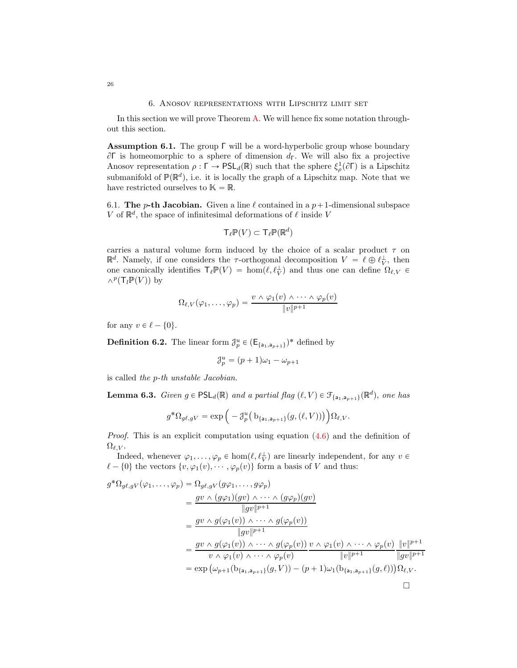## 6. Anosov representations with Lipschitz limit set

<span id="page-25-0"></span>In this section we will prove Theorem [A.](#page-2-1) We will hence fix some notation throughout this section.

<span id="page-25-1"></span>Assumption 6.1. The group Γ will be a word-hyperbolic group whose boundary  $\partial$ Γ is homeomorphic to a sphere of dimension  $d$ <sub>Γ</sub>. We will also fix a projective Anosov representation  $\rho : \Gamma \to \text{PSL}_d(\mathbb{R})$  such that the sphere  $\xi_\rho^1(\partial \Gamma)$  is a Lipschitz submanifold of  $\mathbb{P}(\mathbb{R}^d)$ , i.e. it is locally the graph of a Lipschitz map. Note that we have restricted ourselves to  $\mathbb{K} = \mathbb{R}$ .

6.1. The *p*-th Jacobian. Given a line  $\ell$  contained in a  $p+1$ -dimensional subspace V of  $\mathbb{R}^d$ , the space of infinitesimal deformations of  $\ell$  inside V

$$
\mathsf{T}_{\ell}\mathbb{P}(V)\subset \mathsf{T}_{\ell}\mathbb{P}(\mathbb{R}^d)
$$

carries a natural volume form induced by the choice of a scalar product  $\tau$  on  $\mathbb{R}^d$ . Namely, if one considers the  $\tau$ -orthogonal decomposition  $V = \ell \oplus \ell_V^{\perp}$ , then one canonically identifies  $\mathsf{T}_{\ell} \mathbb{P}(V) = \hom(\ell, \ell_V^{\perp})$  and thus one can define  $\Omega_{\ell, V}$  $\wedge^p({\sf T}_l{\Bbb P}(V))$  by

$$
\Omega_{\ell,V}(\varphi_1,\ldots,\varphi_p)=\frac{v \wedge \varphi_1(v) \wedge \cdots \wedge \varphi_p(v)}{\|v\|^{p+1}}
$$

for any  $v \in \ell - \{0\}.$ 

**Definition 6.2.** The linear form  $\mathcal{J}_p^u \in (\mathsf{E}_{\{a_1, a_{p+1}\}})^*$  defined by

$$
\mathcal{J}_p^u = (p+1)\omega_1 - \omega_{p+1}
$$

is called the p-th unstable Jacobian.

<span id="page-25-2"></span>**Lemma 6.3.** Given  $g \in PSL_d(\mathbb{R})$  and a partial flag  $(\ell, V) \in \mathcal{F}_{\{a_1, a_{p+1}\}}(\mathbb{R}^d)$ , one has

$$
g^*\Omega_{g\ell,gV} = \exp\Big(-\mathcal{J}_p^u\big(\mathbf{b}_{\{\mathsf{a}_1,\mathsf{a}_{p+1}\}}(g,(\ell,V))\big)\Big)\Omega_{\ell,V}.
$$

*Proof.* This is an explicit computation using equation  $(4.6)$  and the definition of  $\Omega_{\ell,V}.$ 

Indeed, whenever  $\varphi_1, \ldots, \varphi_p \in \text{hom}(\ell, \ell_V^{\perp})$  are linearly independent, for any  $v \in$  $\ell - \{0\}$  the vectors  $\{v, \varphi_1(v), \cdots, \varphi_p(v)\}$  form a basis of V and thus:

$$
g^*\Omega_{g\ell,gV}(\varphi_1,\ldots,\varphi_p) = \Omega_{g\ell,gV}(g\varphi_1,\ldots,g\varphi_p)
$$
  
\n
$$
= \frac{gv \wedge (g\varphi_1)(gv) \wedge \cdots \wedge (g\varphi_p)(gv)}{\|gv\|^{p+1}}
$$
  
\n
$$
= \frac{gv \wedge g(\varphi_1(v)) \wedge \cdots \wedge g(\varphi_p(v))}{\|gv\|^{p+1}}
$$
  
\n
$$
= \frac{gv \wedge g(\varphi_1(v)) \wedge \cdots \wedge g(\varphi_p(v))}{v \wedge \varphi_1(v) \wedge \cdots \wedge \varphi_p(v)} \frac{v \wedge \varphi_1(v) \wedge \cdots \wedge \varphi_p(v)}{\|v\|^{p+1}} \frac{\|v\|^{p+1}}{\|gv\|^{p+1}}
$$
  
\n
$$
= \exp\left(\omega_{p+1}(b_{\{a_1,a_{p+1}\}}(g,V)) - (p+1)\omega_1(b_{\{a_1,a_{p+1}\}}(g,\ell))\right) \Omega_{\ell,V}.
$$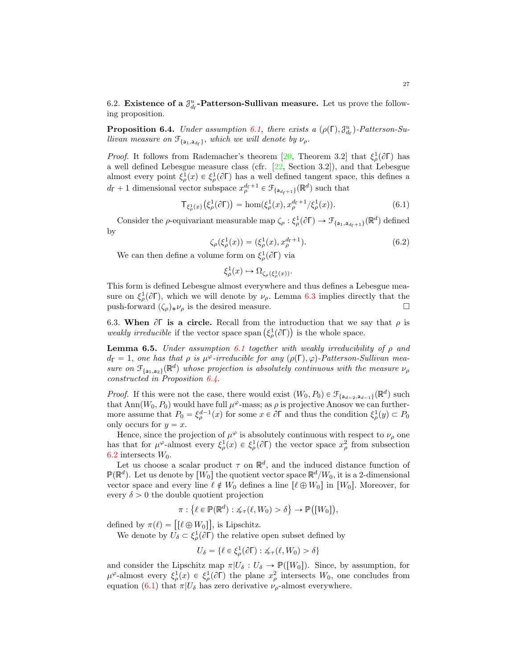<span id="page-26-5"></span><span id="page-26-1"></span>6.2. Existence of a  $\mathcal{J}_{d_{\Gamma}}^u$ -Patterson-Sullivan measure. Let us prove the following proposition.

<span id="page-26-0"></span>**Proposition 6.4.** Under assumption [6.1,](#page-25-1) there exists a  $(\rho(\Gamma), \mathcal{J}_{d_{\Gamma}}^u)$ -Patterson-Sullivan measure on  $\mathcal{F}_{\{a_1, a_{d_{\Gamma}}\}}$ , which we will denote by  $\nu_{\rho}$ .

*Proof.* It follows from Rademacher's theorem [\[20,](#page-42-12) Theorem 3.2] that  $\xi^1_\rho(\partial \Gamma)$  has a well defined Lebesgue measure class (cfr. [\[22,](#page-42-13) Section 3.2]), and that Lebesgue almost every point  $\xi_{\rho}^1(x) \in \xi_{\rho}^1(\partial \Gamma)$  has a well defined tangent space, this defines a  $d_{\Gamma} + 1$  dimensional vector subspace  $x_{\rho}^{d_{\Gamma}+1} \in \mathcal{F}_{\{a_{d_{\Gamma}+1}\}}(\mathbb{R}^d)$  such that

<span id="page-26-2"></span>
$$
\mathsf{T}_{\xi_{\rho}^{1}(x)}(\xi_{\rho}^{1}(\partial \Gamma)) = \hom(\xi_{\rho}^{1}(x), x_{\rho}^{d_{\Gamma}+1}/\xi_{\rho}^{1}(x)). \tag{6.1}
$$

Consider the  $\rho$ -equivariant measurable map  $\zeta_{\rho} : \xi_{\rho}^1(\partial \Gamma) \to \mathcal{F}_{\{a_1, a_{d_{\Gamma}+1}\}}(\mathbb{R}^d)$  defined by

<span id="page-26-4"></span>
$$
\zeta_{\rho}(\xi_{\rho}^{1}(x)) = (\xi_{\rho}^{1}(x), x_{\rho}^{d_{\Gamma}+1}). \tag{6.2}
$$

We can then define a volume form on  $\xi^1_\rho(\partial \Gamma)$  via

$$
\xi_{\rho}^1(x) \mapsto \Omega_{\zeta_{\rho}(\xi_{\rho}^1(x))}.
$$

This form is defined Lebesgue almost everywhere and thus defines a Lebesgue measure on  $\xi^1_\rho(\partial \Gamma)$ , which we will denote by  $\nu_\rho$ . Lemma [6.3](#page-25-2) implies directly that the push-forward  $(\zeta_{\rho})_* \nu_{\rho}$  is the desired measure.

6.3. When  $\partial \Gamma$  is a circle. Recall from the introduction that we say that  $\rho$  is weakly irreducible if the vector space span  $(\xi_{\rho}^1(\partial \Gamma))$  is the whole space.

<span id="page-26-3"></span>**Lemma 6.5.** Under assumption [6.1](#page-25-1) together with weakly irreducibility of  $\rho$  and  $d_{\Gamma} = 1$ , one has that  $\rho$  is  $\mu^{\varphi}$ -irreducible for any  $(\rho(\Gamma), \varphi)$ -Patterson-Sullivan measure on  $\mathcal{F}_{\{a_1, a_2\}}(\mathbb{R}^d)$  whose projection is absolutely continuous with the measure  $\nu_\rho$ constructed in Proposition [6.4.](#page-26-0)

*Proof.* If this were not the case, there would exist  $(W_0, P_0) \in \mathcal{F}_{\{a_{d-2}, a_{d-1}\}}(\mathbb{R}^d)$  such that Ann $(W_0, P_0)$  would have full  $\mu^{\varphi}$ -mass; as  $\rho$  is projective Anosov we can furthermore assume that  $P_0 = \xi_{\rho}^{d-1}(x)$  for some  $x \in \partial \Gamma$  and thus the condition  $\xi_{\rho}^1(y) \subset P_0$ only occurs for  $y = x$ .

Hence, since the projection of  $\mu^{\varphi}$  is absolutely continuous with respect to  $\nu_{\rho}$  one has that for  $\mu^{\varphi}$ -almost every  $\xi_{\rho}^1(x) \in \xi_{\rho}^1(\partial \Gamma)$  the vector space  $x_{\rho}^2$  from subsection [6.2](#page-26-1) intersects  $W_0$ .

Let us choose a scalar product  $\tau$  on  $\mathbb{R}^d$ , and the induced distance function of  $\mathbb{P}(\mathbb{R}^d)$ . Let us denote by  $[W_0]$  the quotient vector space  $\mathbb{R}^d/W_0$ , it is a 2-dimensional vector space and every line  $\ell \notin W_0$  defines a line  $\lbrack \ell \oplus W_0 \rbrack$  in  $\lbrack W_0 \rbrack$ . Moreover, for every  $\delta > 0$  the double quotient projection

$$
\pi: \left\{\ell \in \mathbb{P}(\mathbb{R}^d) : \measuredangle_\tau(\ell, W_0) > \delta\right\} \to \mathbb{P}\big([W_0]\big),
$$

defined by  $\pi(\ell) = [ [\ell \oplus W_0]]$ , is Lipschitz.

We denote by  $\bar{U}_{\delta} \subset \xi_{\rho}^1(\partial \bar{\Gamma})$  the relative open subset defined by

$$
U_{\delta} = \{ \ell \in \xi_{\rho}^{1}(\partial \Gamma) : \measuredangle_{\tau}(\ell, W_0) > \delta \}
$$

and consider the Lipschitz map  $\pi|U_{\delta}: U_{\delta} \to \mathbb{P}([W_0])$ . Since, by assumption, for  $\mu^{\varphi}$ -almost every  $\xi_{\rho}^1(x) \in \xi_{\rho}^1(\partial \Gamma)$  the plane  $x_{\rho}^2$  intersects  $W_0$ , one concludes from equation [\(6.1\)](#page-26-2) that  $\pi|U_{\delta}$  has zero derivative  $\nu_{\rho}$ -almost everywhere.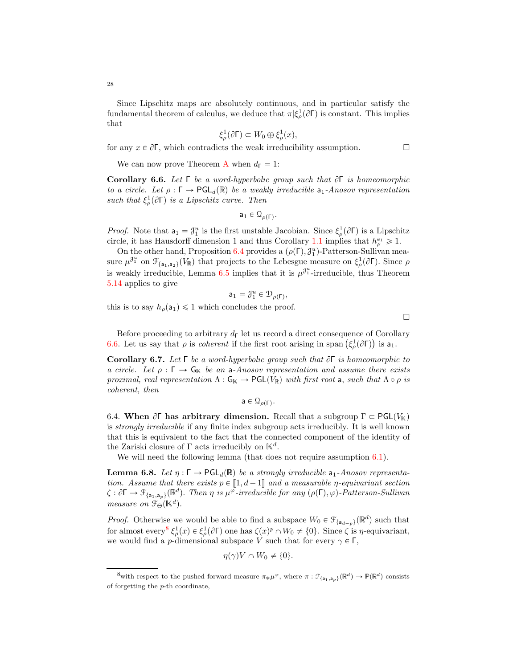Since Lipschitz maps are absolutely continuous, and in particular satisfy the fundamental theorem of calculus, we deduce that  $\pi$  $(\xi^1_\rho(\partial \Gamma))$  is constant. This implies that

$$
\xi_{\rho}^1(\partial \Gamma) \subset W_0 \oplus \xi_{\rho}^1(x),
$$

for any  $x \in \partial \Gamma$ , which contradicts the weak irreducibility assumption.

We can now prove Theorem [A](#page-2-1) when  $d_{\Gamma} = 1$ :

<span id="page-27-0"></span>Corollary 6.6. Let Γ be a word-hyperbolic group such that  $\partial \Gamma$  is homeomorphic to a circle. Let  $\rho : \Gamma \to \text{PGL}_d(\mathbb{R})$  be a weakly irreducible  $a_1$ -Anosov representation such that  $\xi_{\rho}^{1}(\partial \Gamma)$  is a Lipschitz curve. Then

 $\mathsf{a}_1 \in \mathbb{Q}_{\rho(\Gamma)}$ .

*Proof.* Note that  $a_1 = \mathcal{J}_1^u$  is the first unstable Jacobian. Since  $\xi_\rho^1(\partial \Gamma)$  is a Lipschitz circle, it has Hausdorff dimension 1 and thus Corollary [1.1](#page-3-0) implies that  $h_{\rho}^{a_1} \geq 1$ .

On the other hand, Proposition [6.4](#page-26-0) provides a  $(\rho(\Gamma), \mathcal{J}_1^u)$ -Patterson-Sullivan measure  $\mu^{3^u_1}$  on  $\mathcal{F}_{\{a_1, a_2\}}(V_{\mathbb{R}})$  that projects to the Lebesgue measure on  $\xi^1_\rho(\partial \Gamma)$ . Since  $\rho$ is weakly irreducible, Lemma [6.5](#page-26-3) implies that it is  $\mu^{3^u_1}$ -irreducible, thus Theorem [5.14](#page-23-1) applies to give

$$
\mathsf{a}_1=\mathcal{J}_1^u\in \mathcal{D}_{\rho(\Gamma)},
$$

this is to say  $h_{\rho}(a_1) \leq 1$  which concludes the proof.

 $\Box$ 

Before proceeding to arbitrary  $d_{\Gamma}$  let us record a direct consequence of Corollary [6.6.](#page-27-0) Let us say that  $\rho$  is *coherent* if the first root arising in span  $(\xi_{\rho}^1(\partial \Gamma))$  is  $a_1$ .

<span id="page-27-3"></span>**Corollary 6.7.** Let  $\Gamma$  be a word-hyperbolic group such that  $\partial \Gamma$  is homeomorphic to a circle. Let  $\rho : \Gamma \to \mathsf{G}_{\mathbb{K}}$  be an a-Anosov representation and assume there exists proximal, real representation  $\Lambda : \mathsf{G}_{\mathbb{K}} \to \mathsf{PGL}(V_\mathbb{R})$  with first root a, such that  $\Lambda \circ \rho$  is coherent, then

$$
\mathsf{a}\in\mathfrak{Q}_{\rho(\Gamma)}.
$$

6.4. When  $\partial \Gamma$  has arbitrary dimension. Recall that a subgroup  $\Gamma \subset \text{PGL}(V_\mathbb{K})$ is strongly irreducible if any finite index subgroup acts irreducibly. It is well known that this is equivalent to the fact that the connected component of the identity of the Zariski closure of  $\Gamma$  acts irreducibly on  $\mathbb{K}^d$ .

We will need the following lemma (that does not require assumption [6.1\)](#page-25-1).

<span id="page-27-2"></span>**Lemma 6.8.** Let  $\eta : \Gamma \to \text{PGL}_d(\mathbb{R})$  be a strongly irreducible  $a_1$ -Anosov representation. Assume that there exists  $p \in [1, d-1]$  and a measurable  $\eta$ -equivariant section  $\zeta : \partial \Gamma \to \mathcal{F}_{\{a_1, a_p\}}(\mathbb{R}^d)$ . Then  $\eta$  is  $\mu^{\varphi}\text{-irreducible for any }(\rho(\Gamma), \varphi)\text{-Patterson-Sullivan}$ measure on  $\mathfrak{F}_{\Theta}(\mathbb{K}^d)$ .

*Proof.* Otherwise we would be able to find a subspace  $W_0 \in \mathcal{F}_{\{a_{d-p}\}}(\mathbb{R}^d)$  such that for almost every<sup>[8](#page-27-1)</sup>  $\xi_{\rho}^1(x) \in \xi_{\rho}^1(\partial \Gamma)$  one has  $\zeta(x)^p \cap W_0 \neq \{0\}$ . Since  $\zeta$  is  $\eta$ -equivariant, we would find a *p*-dimensional subspace V such that for every  $\gamma \in \Gamma$ ,

$$
\eta(\gamma)V\cap W_0\neq\{0\}.
$$

<span id="page-27-1"></span><sup>&</sup>lt;sup>8</sup>with respect to the pushed forward measure  $\pi_*\mu^{\varphi}$ , where  $\pi: \mathcal{F}_{\{a_1, a_p\}}(\mathbb{R}^d) \to \mathbb{P}(\mathbb{R}^d)$  consists of forgetting the p-th coordinate,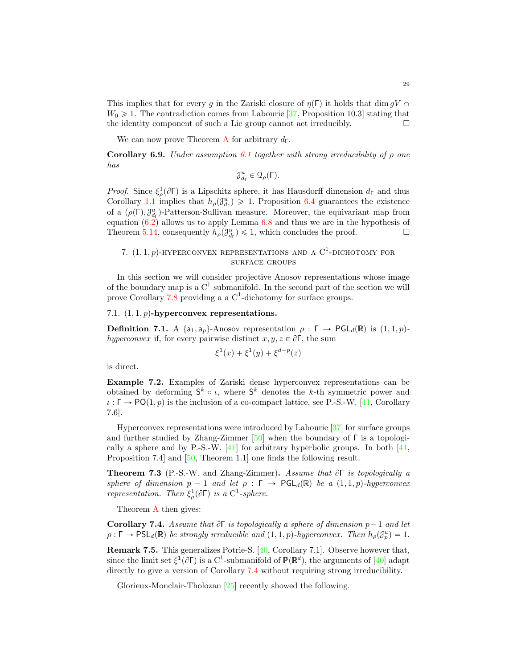<span id="page-28-3"></span>This implies that for every g in the Zariski closure of  $\eta(\Gamma)$  it holds that dim gV  $\cap$  $W_0 \geq 1$ . The contradiction comes from Labourie [\[37,](#page-43-0) Proposition 10.3] stating that the identity component of such a Lie group cannot act irreducibly. the identity component of such a Lie group cannot act irreducibly.

We can now prove Theorem [A](#page-2-1) for arbitrary  $d_{\Gamma}$ .

**Corollary 6.9.** Under assumption [6.1](#page-25-1) together with strong irreducibility of  $\rho$  one has

$$
\mathcal{J}^u_{d_{\Gamma}} \in \mathcal{Q}_{\rho}(\Gamma).
$$

*Proof.* Since  $\xi_{\rho}^1(\partial \Gamma)$  is a Lipschitz sphere, it has Hausdorff dimension  $d_{\Gamma}$  and thus Corollary [1.1](#page-3-0) implies that  $h_{\rho}(\mathcal{J}_{d_{\Gamma}}^u) \geq 1$ . Proposition [6.4](#page-26-0) guarantees the existence of a  $(\rho(\Gamma), \mathcal{J}^u_{d_{\Gamma}})$ -Patterson-Sullivan measure. Moreover, the equivariant map from equation [\(6.2\)](#page-26-4) allows us to apply Lemma [6.8](#page-27-2) and thus we are in the hypothesis of Theorem [5.14,](#page-23-1) consequently  $h_{\rho}(\mathcal{J}_{d_{\Gamma}}^u) \leq 1$ , which concludes the proof.

# <span id="page-28-0"></span>7.  $(1, 1, p)$ -HYPERCONVEX REPRESENTATIONS AND A C<sup>1</sup>-DICHOTOMY FOR surface groups

In this section we will consider projective Anosov representations whose image of the boundary map is a  $C^1$  submanifold. In the second part of the section we will prove Corollary [7.8](#page-30-0) providing a a  $C^1$ -dichotomy for surface groups.

## 7.1.  $(1, 1, p)$ -hyperconvex representations.

**Definition 7.1.** A  $\{a_1, a_p\}$ -Anosov representation  $\rho : \Gamma \to \text{PGL}_d(\mathbb{R})$  is  $(1, 1, p)$ hyperconvex if, for every pairwise distinct  $x, y, z \in \partial \Gamma$ , the sum

$$
\xi^{1}(x) + \xi^{1}(y) + \xi^{d-p}(z)
$$

is direct.

Example 7.2. Examples of Zariski dense hyperconvex representations can be obtained by deforming  $S^k \circ \iota$ , where  $S^k$  denotes the k-th symmetric power and  $\iota : \Gamma \to \mathsf{PO}(1,p)$  is the inclusion of a co-compact lattice, see P.-S.-W. [\[41,](#page-43-1) Corollary 7.6].

Hyperconvex representations were introduced by Labourie [\[37\]](#page-43-0) for surface groups and further studied by Zhang-Zimmer  $[50]$  when the boundary of  $\Gamma$  is a topologically a sphere and by P.-S.-W.  $[41]$  for arbitrary hyperbolic groups. In both  $[41]$ , Proposition 7.4] and [\[50,](#page-43-2) Theorem 1.1] one finds the following result.

<span id="page-28-2"></span>**Theorem 7.3** (P.-S.-W. and Zhang-Zimmer). Assume that  $\partial \Gamma$  is topologically a sphere of dimension  $p - 1$  and let  $\rho : \Gamma \to \text{PGL}_d(\mathbb{R})$  be a  $(1, 1, p)$ -hyperconvex representation. Then  $\xi^1_\rho(\partial \Gamma)$  is a C<sup>1</sup>-sphere.

Theorem [A](#page-2-1) then gives:

<span id="page-28-1"></span>**Corollary 7.4.** Assume that  $\partial \Gamma$  is topologically a sphere of dimension  $p-1$  and let  $\rho: \Gamma \to \mathsf{PSL}_d(\mathbb{R})$  be strongly irreducible and  $(1, 1, p)$ -hyperconvex. Then  $h_\rho(\mathcal{J}_p^u) = 1$ .

Remark 7.5. This generalizes Potrie-S. [\[40,](#page-43-5) Corollary 7.1]. Observe however that, since the limit set  $\xi^1(\partial \Gamma)$  is a C<sup>1</sup>-submanifold of  $\mathbb{P}(\mathbb{R}^d)$ , the arguments of [\[40\]](#page-43-5) adapt directly to give a version of Corollary [7.4](#page-28-1) without requiring strong irreducibility.

Glorieux-Monclair-Tholozan [\[25\]](#page-42-5) recently showed the following.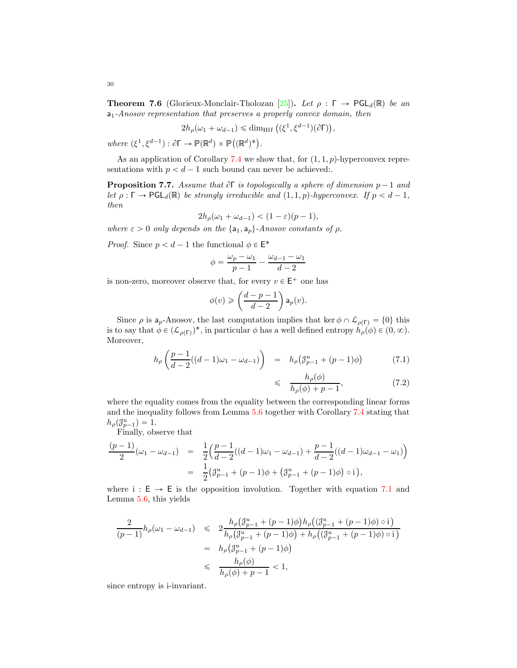<span id="page-29-1"></span>**Theorem 7.6** (Glorieux-Monclair-Tholozan [\[25\]](#page-42-5)). Let  $\rho : \Gamma \to \text{PGL}_d(\mathbb{R})$  be an  $a_1$ -Anosov representation that preserves a properly convex domain, then

$$
2h_{\rho}(\omega_1 + \omega_{d-1}) \leq \dim_{\mathrm{Hff}} \left( (\xi^1, \xi^{d-1})(\partial \Gamma) \right),
$$

where  $(\xi^1, \xi^{d-1}) : \partial \Gamma \to \mathbb{P}(\mathbb{R}^d) \times \mathbb{P}((\mathbb{R}^d)^*)$ .

As an application of Corollary [7.4](#page-28-1) we show that, for  $(1, 1, p)$ -hyperconvex representations with  $p < d - 1$  such bound can never be achieved:.

**Proposition 7.7.** Assume that  $\partial \Gamma$  is topologically a sphere of dimension  $p-1$  and let  $\rho: \Gamma \to \text{PGL}_d(\mathbb{R})$  be strongly irreducible and  $(1, 1, p)$ -hyperconvex. If  $p < d - 1$ , then

$$
2h_{\rho}(\omega_1 + \omega_{d-1}) < (1 - \varepsilon)(p - 1),
$$

where  $\varepsilon > 0$  only depends on the  $\{a_1, a_p\}$ -Anosov constants of  $\rho$ .

*Proof.* Since  $p < d - 1$  the functional  $\phi \in \mathsf{E}^*$ 

$$
\phi = \frac{\omega_p - \omega_1}{p - 1} - \frac{\omega_{d-1} - \omega_1}{d - 2}
$$

is non-zero, moreover observe that, for every  $v \in \mathsf{E}^+$  one has

$$
\phi(v) \geqslant \left(\frac{d-p-1}{d-2}\right) \mathsf{a}_p(v).
$$

Since  $\rho$  is  $a_p$ -Anosov, the last computation implies that ker  $\phi \cap \mathcal{L}_{\rho(\Gamma)} = \{0\}$  this is to say that  $\phi \in (\mathcal{L}_{\rho(\Gamma)})^*$ , in particular  $\phi$  has a well defined entropy  $h_{\rho}(\phi) \in (0, \infty)$ . Moreover,

<span id="page-29-0"></span>
$$
h_{\rho}\left(\frac{p-1}{d-2}((d-1)\omega_1 - \omega_{d-1})\right) = h_{\rho}\left(\mathcal{J}_{p-1}^{u} + (p-1)\phi\right)
$$
(7.1)

$$
\leqslant \quad \frac{h_{\rho}(\phi)}{h_{\rho}(\phi) + p - 1},\tag{7.2}
$$

where the equality comes from the equality between the corresponding linear forms and the inequality follows from Lemma [5.6](#page-22-0) together with Corollary [7.4](#page-28-1) stating that  $h_\rho(\mathcal{J}_{p-1}^u) = 1.$ 

Finally, observe that

$$
\frac{(p-1)}{2}(\omega_1 - \omega_{d-1}) = \frac{1}{2} \left( \frac{p-1}{d-2}((d-1)\omega_1 - \omega_{d-1}) + \frac{p-1}{d-2}((d-1)\omega_{d-1} - \omega_1) \right)
$$
  
= 
$$
\frac{1}{2} \left( \mathcal{J}_{p-1}^u + (p-1)\phi + \left( \mathcal{J}_{p-1}^u + (p-1)\phi \right) \circ i \right),
$$

where  $i : E \rightarrow E$  is the opposition involution. Together with equation [7.1](#page-29-0) and Lemma [5.6,](#page-22-0) this yields

$$
\frac{2}{(p-1)}h_{\rho}(\omega_{1}-\omega_{d-1}) \leq 2\frac{h_{\rho}(\mathcal{J}_{p-1}^{u}+(p-1)\phi)h_{\rho}((\mathcal{J}_{p-1}^{u}+(p-1)\phi)\circ i)}{h_{\rho}(\mathcal{J}_{p-1}^{u}+(p-1)\phi)+h_{\rho}((\mathcal{J}_{p-1}^{u}+(p-1)\phi)\circ i)}
$$
  
=  $h_{\rho}(\mathcal{J}_{p-1}^{u}+(p-1)\phi)$   

$$
\leq \frac{h_{\rho}(\phi)}{h_{\rho}(\phi)+p-1}<1,
$$

since entropy is i-invariant.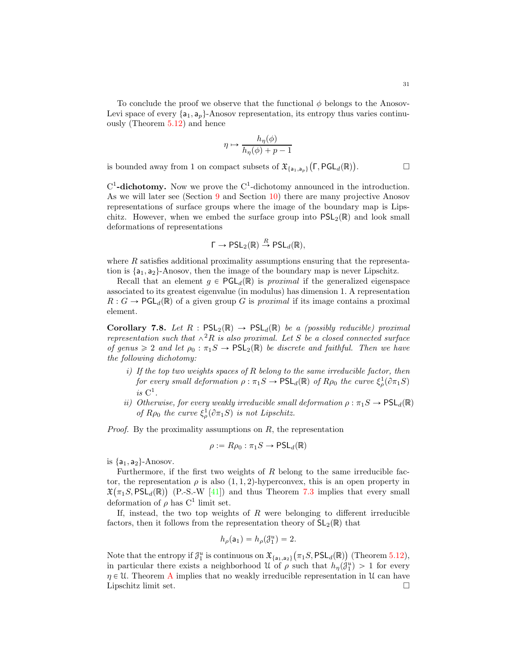<span id="page-30-1"></span>To conclude the proof we observe that the functional  $\phi$  belongs to the Anosov-Levi space of every  $\{a_1, a_p\}$ -Anosov representation, its entropy thus varies continuously (Theorem [5.12\)](#page-23-2) and hence

$$
\eta \mapsto \frac{h_{\eta}(\phi)}{h_{\eta}(\phi) + p - 1}
$$

is bounded away from 1 on compact subsets of  $\mathfrak{X}_{\{\mathsf{a}_1,\mathsf{a}_p\}}\big(\Gamma,\mathsf{PGL}_d(\mathbb R)\big)$ 

 $C^1$ -dichotomy. Now we prove the  $C^1$ -dichotomy announced in the introduction. As we will later see (Section [9](#page-33-0) and Section [10\)](#page-37-0) there are many projective Anosov representations of surface groups where the image of the boundary map is Lipschitz. However, when we embed the surface group into  $PSL_2(\mathbb{R})$  and look small deformations of representations

$$
\Gamma \to \mathsf{PSL}_2(\mathbb{R}) \stackrel{R}{\to} \mathsf{PSL}_d(\mathbb{R}),
$$

where  $R$  satisfies additional proximality assumptions ensuring that the representation is  $\{a_1, a_2\}$ -Anosov, then the image of the boundary map is never Lipschitz.

Recall that an element  $g \in \text{PGL}_d(\mathbb{R})$  is proximal if the generalized eigenspace associated to its greatest eigenvalue (in modulus) has dimension 1. A representation  $R: G \to \text{PGL}_d(\mathbb{R})$  of a given group G is proximal if its image contains a proximal element.

<span id="page-30-0"></span>**Corollary 7.8.** Let  $R : PSL_2(\mathbb{R}) \to PSL_d(\mathbb{R})$  be a (possibly reducible) proximal representation such that  $\wedge^2R$  is also proximal. Let S be a closed connected surface of genus  $\geq 2$  and let  $\rho_0 : \pi_1S \to \text{PSL}_2(\mathbb{R})$  be discrete and faithful. Then we have the following dichotomy:

- i) If the top two weights spaces of  $R$  belong to the same irreducible factor, then for every small deformation  $\rho : \pi_1S \to \mathrm{PSL}_d(\mathbb{R})$  of  $R\rho_0$  the curve  $\xi^1_\rho(\partial \pi_1S)$ is  $C^1$ .
- ii) Otherwise, for every weakly irreducible small deformation  $\rho : \pi_1S \to \text{PSL}_d(\mathbb{R})$ of  $R\rho_0$  the curve  $\xi^1_\rho(\partial \pi_1 S)$  is not Lipschitz.

*Proof.* By the proximality assumptions on  $R$ , the representation

$$
\rho := R\rho_0 : \pi_1 S \to \mathsf{PSL}_d(\mathbb{R})
$$

is  $\{a_1, a_2\}$ -Anosov.

Furthermore, if the first two weights of  $R$  belong to the same irreducible factor, the representation  $\rho$  is also  $(1, 1, 2)$ -hyperconvex, this is an open property in  $\mathfrak{X}(\pi_1 S, \mathsf{PSL}_d(\mathbb{R}))$  (P.-S.-W [\[41\]](#page-43-1)) and thus Theorem [7.3](#page-28-2) implies that every small deformation of  $\rho$  has  $C^1$  limit set.

If, instead, the two top weights of  $R$  were belonging to different irreducible factors, then it follows from the representation theory of  $SL_2(\mathbb{R})$  that

$$
h_{\rho}(\mathsf{a}_1)=h_{\rho}(\mathcal{J}_1^u)=2.
$$

Note that the entropy if  $\mathcal{J}_1^u$  is continuous on  $\mathfrak{X}_{\{a_1, a_2\}}(\pi_1 S, \text{PSL}_d(\mathbb{R}))$  (Theorem [5.12\)](#page-23-2), in particular there exists a neighborhood U of  $\rho$  such that  $h_{\eta}(\tilde{\mathcal{J}}_1^u) > 1$  for every  $\eta \in \mathcal{U}$ . Theorem [A](#page-2-1) implies that no weakly irreducible representation in  $\mathcal{U}$  can have Lipschitz limit set. Lipschitz limit set.

 $\Box$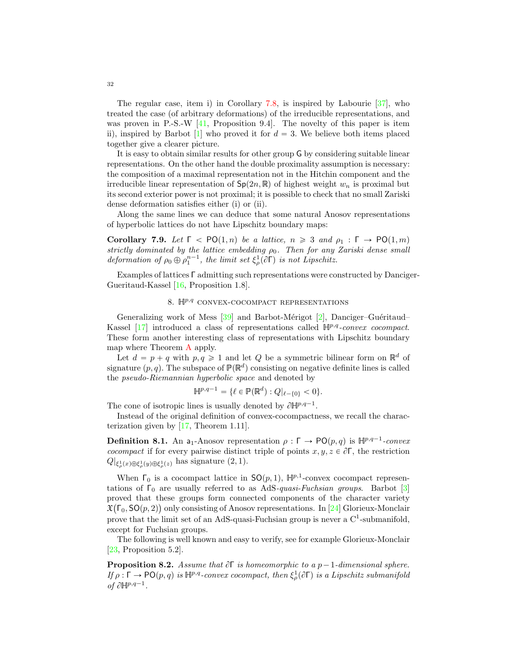<span id="page-31-1"></span>The regular case, item i) in Corollary [7.8,](#page-30-0) is inspired by Labourie [\[37\]](#page-43-0), who treated the case (of arbitrary deformations) of the irreducible representations, and was proven in P.-S.-W [\[41,](#page-43-1) Proposition 9.4]. The novelty of this paper is item ii), inspired by Barbot [\[1\]](#page-41-4) who proved it for  $d = 3$ . We believe both items placed together give a clearer picture.

It is easy to obtain similar results for other group G by considering suitable linear representations. On the other hand the double proximality assumption is necessary: the composition of a maximal representation not in the Hitchin component and the irreducible linear representation of  $Sp(2n, \mathbb{R})$  of highest weight  $w_n$  is proximal but its second exterior power is not proximal; it is possible to check that no small Zariski dense deformation satisfies either (i) or (ii).

Along the same lines we can deduce that some natural Anosov representations of hyperbolic lattices do not have Lipschitz boundary maps:

Corollary 7.9. Let  $\Gamma$   $\leq$  PO $(1, n)$  be a lattice,  $n \geq 3$  and  $\rho_1 : \Gamma \rightarrow \text{PO}(1, m)$ strictly dominated by the lattice embedding  $\rho_0$ . Then for any Zariski dense small deformation of  $\rho_0 \oplus \rho_1^{n-1}$ , the limit set  $\xi_\rho^1(\partial \Gamma)$  is not Lipschitz.

<span id="page-31-0"></span>Examples of lattices Γ admitting such representations were constructed by Danciger-Gueritaud-Kassel [\[16,](#page-42-14) Proposition 1.8].

## 8.  $\mathbb{H}^{p,q}$  CONVEX-COCOMPACT REPRESENTATIONS

Generalizing work of Mess [\[39\]](#page-43-9) and Barbot-Mérigot [\[2\]](#page-41-3), Danciger-Guéritaud– Kassel [\[17\]](#page-42-1) introduced a class of representations called  $\mathbb{H}^{p,q}$ -convex cocompact. These form another interesting class of representations with Lipschitz boundary map where Theorem [A](#page-2-1) apply.

Let  $d = p + q$  with  $p, q \geq 1$  and let Q be a symmetric bilinear form on  $\mathbb{R}^d$  of signature  $(p, q)$ . The subspace of  $\mathbb{P}(\mathbb{R}^d)$  consisting on negative definite lines is called the pseudo-Riemannian hyperbolic space and denoted by

$$
\mathbb{H}^{p,q-1} = \{ \ell \in \mathbb{P}(\mathbb{R}^d) : Q|_{\ell-\{0\}} < 0 \}.
$$

The cone of isotropic lines is usually denoted by  $\partial \mathbb{H}^{p,q-1}$ .

Instead of the original definition of convex-cocompactness, we recall the characterization given by [\[17,](#page-42-1) Theorem 1.11].

**Definition 8.1.** An a<sub>1</sub>-Anosov representation  $\rho : \Gamma \to \text{PO}(p,q)$  is  $\mathbb{H}^{p,q-1}$ -convex cocompact if for every pairwise distinct triple of points  $x, y, z \in \partial \Gamma$ , the restriction  $Q|_{\xi^1_\rho(x)\oplus\xi^1_\rho(y)\oplus\xi^1_\rho(z)}$  has signature  $(2,1)$ .

When  $\Gamma_0$  is a cocompact lattice in  $SO(p,1)$ ,  $\mathbb{H}^{p,1}$ -convex cocompact representations of  $\Gamma_0$  are usually referred to as AdS-quasi-Fuchsian groups. Barbot [\[3\]](#page-41-5) proved that these groups form connected components of the character variety  $\mathfrak{X}(\Gamma_0,\mathsf{SO}(p,2))$  only consisting of Anosov representations. In [\[24\]](#page-42-15) Glorieux-Monclair prove that the limit set of an AdS-quasi-Fuchsian group is never a  $C<sup>1</sup>$ -submanifold, except for Fuchsian groups.

The following is well known and easy to verify, see for example Glorieux-Monclair [\[23,](#page-42-9) Proposition 5.2].

**Proposition 8.2.** Assume that  $\partial \Gamma$  is homeomorphic to a p-1-dimensional sphere. If  $\rho : \Gamma \to \mathrm{PO}(p,q)$  is  $\mathbb{H}^{p,q}$ -convex cocompact, then  $\xi^1_\rho(\partial \Gamma)$  is a Lipschitz submanifold of  $\partial \mathbb{H}^{p,q-1}$ .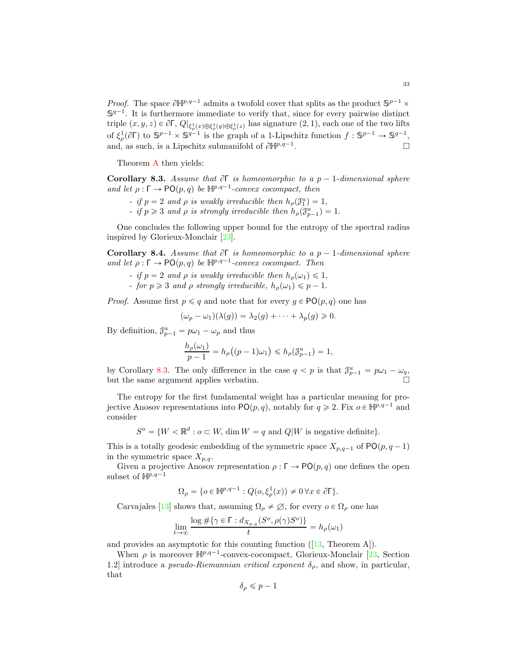<span id="page-32-2"></span>*Proof.* The space  $\partial \mathbb{H}^{p,q-1}$  admits a twofold cover that splits as the product  $\mathbb{S}^{p-1}$   $\times$  $\mathbb{S}^{q-1}$ . It is furthermore immediate to verify that, since for every pairwise distinct triple  $(x, y, z) \in \partial \Gamma$ ,  $Q|_{\xi^1_{\rho}(x)\oplus \xi^1_{\rho}(y)\oplus \xi^1_{\rho}(z)}$  has signature  $(2, 1)$ , each one of the two lifts of  $\xi_{\rho}^1(\partial \Gamma)$  to  $\mathbb{S}^{p-1} \times \mathbb{S}^{q-1}$  is the graph of a 1-Lipschitz function  $f : \mathbb{S}^{p-1} \to \mathbb{S}^{q-1}$ , and, as such, is a Lipschitz submanifold of  $\partial \mathbb{H}^{p,q-1}$ . . В последните постание и производите на производите по село в постание и производите на применение и производ<br>В постание и производите по село в постание и производите по село в постание и производите по село в постание

Theorem [A](#page-2-1) then yields:

<span id="page-32-0"></span>Corollary 8.3. Assume that  $\partial \Gamma$  is homeomorphic to a p – 1-dimensional sphere and let  $\rho : \Gamma \to \mathsf{PO}(p,q)$  be  $\mathbb{H}^{p,q-1}$ -convex cocompact, then

- if  $p = 2$  and  $\rho$  is weakly irreducible then  $h_{\rho}(\mathcal{J}_{1}^{u}) = 1$ ,
- if  $p \geq 3$  and  $\rho$  is strongly irreducible then  $h_{\rho}(\mathcal{J}_{p-1}^{u}) = 1$ .

One concludes the following upper bound for the entropy of the spectral radius inspired by Glorieux-Monclair [\[23\]](#page-42-9).

<span id="page-32-1"></span>**Corollary 8.4.** Assume that  $\partial \Gamma$  is homeomorphic to a  $p - 1$ -dimensional sphere and let  $\rho : \Gamma \to \mathsf{PO}(p,q)$  be  $\mathbb{H}^{p,q-1}$ -convex cocompact. Then

- if  $p = 2$  and  $\rho$  is weakly irreducible then  $h_{\rho}(\omega_1) \leq 1$ ,
- for  $p \geq 3$  and  $\rho$  strongly irreducible,  $h_{\rho}(\omega_1) \leq p 1$ .

*Proof.* Assume first  $p \le q$  and note that for every  $q \in \text{PO}(p, q)$  one has

$$
(\omega_p - \omega_1)(\lambda(g)) = \lambda_2(g) + \cdots + \lambda_p(g) \geq 0.
$$

By definition,  $\mathcal{J}_{p-1}^u = p\omega_1 - \omega_p$  and thus

$$
\frac{h_{\rho}(\omega_1)}{p-1} = h_{\rho}\big((p-1)\omega_1\big) \leq h_{\rho}(\mathcal{J}_{p-1}^u) = 1,
$$

by Corollary [8.3.](#page-32-0) The only difference in the case  $q < p$  is that  $\mathcal{J}_{p-1}^u = p\omega_1 - \omega_q$ , but the same argument applies verbatim.

The entropy for the first fundamental weight has a particular meaning for projective Anosov representations into  $PO(p, q)$ , notably for  $q \geq 2$ . Fix  $o \in \mathbb{H}^{p,q-1}$  and consider

$$
S^{o} = \{W < \mathbb{R}^{d} : o \subset W, \dim W = q \text{ and } Q|W \text{ is negative definite}\}.
$$

This is a totally geodesic embedding of the symmetric space  $X_{p,q-1}$  of  $\mathsf{PO}(p, q - 1)$ in the symmetric space  $X_{p,q}$ .

Given a projective Anosov representation  $\rho : \Gamma \to \mathsf{PO}(p,q)$  one defines the open subset of  $\mathbb{H}^{p,q-1}$ 

$$
\Omega_{\rho} = \{ o \in \mathbb{H}^{p,q-1} : Q(o, \xi_{\rho}^1(x)) \neq 0 \,\forall x \in \partial \Gamma \}.
$$

Carvajales [\[13\]](#page-42-16) shows that, assuming  $\Omega_{\rho} \neq \emptyset$ , for every  $o \in \Omega_{\rho}$  one has

$$
\lim_{t \to \infty} \frac{\log \# \{ \gamma \in \Gamma : d_{X_{p,q}}(S^o, \rho(\gamma)S^o) \}}{t} = h_{\rho}(\omega_1)
$$

andprovides an asymptotic for this counting function  $([13,$  $([13,$  Theorem A]).

When  $\rho$  is moreover  $\mathbb{H}^{p,q-1}$ -convex-cocompact, Glorieux-Monclair [\[23,](#page-42-9) Section 1.2] introduce a *pseudo-Riemannian critical exponent*  $\delta_{\rho}$ , and show, in particular, that

$$
\delta_{\rho} \leqslant p-1
$$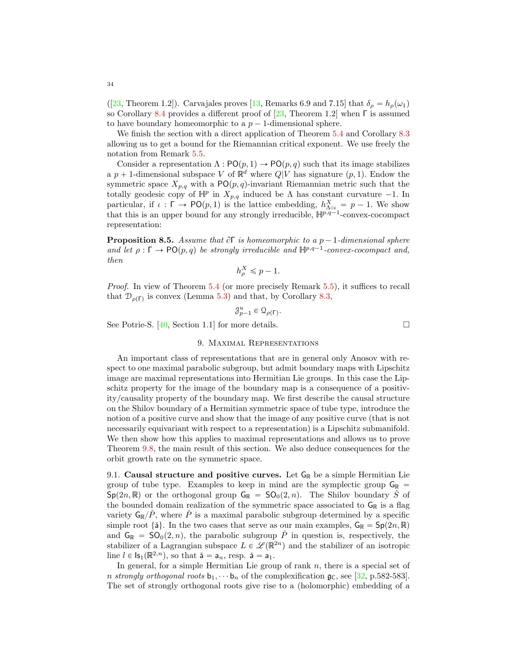<span id="page-33-1"></span>([\[23,](#page-42-9) Theorem 1.2]). Carvajales proves [\[13,](#page-42-16) Remarks 6.9 and 7.15] that  $\delta_{\rho} = h_{\rho}(\omega_1)$ so Corollary [8.4](#page-32-1) provides a different proof of [\[23,](#page-42-9) Theorem 1.2] when Γ is assumed to have boundary homeomorphic to a  $p - 1$ -dimensional sphere.

We finish the section with a direct application of Theorem [5.4](#page-21-0) and Corollary [8.3](#page-32-0) allowing us to get a bound for the Riemannian critical exponent. We use freely the notation from Remark [5.5.](#page-22-1)

Consider a representation  $\Lambda : \mathsf{PO}(p,1) \to \mathsf{PO}(p,q)$  such that its image stabilizes a  $p + 1$ -dimensional subspace V of  $\mathbb{R}^d$  where  $Q|V$  has signature  $(p, 1)$ . Endow the symmetric space  $X_{p,q}$  with a PO $(p,q)$ -invariant Riemannian metric such that the totally geodesic copy of  $\mathbb{H}^p$  in  $X_{p,q}$  induced be  $\Lambda$  has constant curvature  $-1$ . In particular, if  $\iota : \Gamma \to \text{PO}(p, 1)$  is the lattice embedding,  $h_{\Lambda \circ \iota}^X = p - 1$ . We show that this is an upper bound for any strongly irreducible,  $\mathbb{H}^{p,q-1}$ -convex-cocompact representation:

**Proposition 8.5.** Assume that  $\partial \Gamma$  is homeomorphic to a p - 1-dimensional sphere and let  $\rho : \Gamma \to \mathsf{PO}(p,q)$  be strongly irreducible and  $\mathbb{H}^{p,q-1}$ -convex-cocompact and, then

$$
h_{\rho}^X \leqslant p-1.
$$

Proof. In view of Theorem [5.4](#page-21-0) (or more precisely Remark [5.5\)](#page-22-1), it suffices to recall that  $\mathcal{D}_{\rho(\Gamma)}$  is convex (Lemma [5.3\)](#page-21-1) and that, by Corollary [8.3,](#page-32-0)

$$
\mathcal{J}_{p-1}^u\in\mathfrak{Q}_{\rho(\Gamma)}.
$$

<span id="page-33-0"></span>See Potrie-S. [\[40,](#page-43-5) Section 1.1] for more details.

## 9. Maximal Representations

An important class of representations that are in general only Anosov with respect to one maximal parabolic subgroup, but admit boundary maps with Lipschitz image are maximal representations into Hermitian Lie groups. In this case the Lipschitz property for the image of the boundary map is a consequence of a positivity/causality property of the boundary map. We first describe the causal structure on the Shilov boundary of a Hermitian symmetric space of tube type, introduce the notion of a positive curve and show that the image of any positive curve (that is not necessarily equivariant with respect to a representation) is a Lipschitz submanifold. We then show how this applies to maximal representations and allows us to prove Theorem [9.8,](#page-36-1) the main result of this section. We also deduce consequences for the orbit growth rate on the symmetric space.

9.1. Causal structure and positive curves. Let  $G_{\mathbb{R}}$  be a simple Hermitian Lie group of tube type. Examples to keep in mind are the symplectic group  $\mathsf{G}_{\mathbb{R}}$  =  $Sp(2n, \mathbb{R})$  or the orthogonal group  $G_{\mathbb{R}} = SO_0(2, n)$ . The Shilov boundary S of the bounded domain realization of the symmetric space associated to  $G_{\mathbb{R}}$  is a flag variety  $G_{\mathbb{R}}/\check{P}$ , where  $\check{P}$  is a maximal parabolic subgroup determined by a specific simple root { $\tilde{a}$ }. In the two cases that serve as our main examples,  $G_{\mathbb{R}} = Sp(2n, \mathbb{R})$ and  $G_{\mathbb{R}} = SO_0(2, n)$ , the parabolic subgroup  $\check{P}$  in question is, respectively, the stabilizer of a Lagrangian subspace  $L \in \mathcal{L}(\mathbb{R}^{2n})$  and the stabilizer of an isotropic line  $l \in \textsf{ls}_1(\mathbb{R}^{2,n})$ , so that  $\check{\mathsf{a}} = \mathsf{a}_n$ , resp.  $\check{\mathsf{a}} = \mathsf{a}_1$ .

In general, for a simple Hermitian Lie group of rank  $n$ , there is a special set of n strongly orthogonal roots  $b_1, \dots, b_n$  of the complexification  $\mathfrak{g}_\mathbb{C}$ , see [\[32,](#page-42-17) p.582-583]. The set of strongly orthogonal roots give rise to a (holomorphic) embedding of a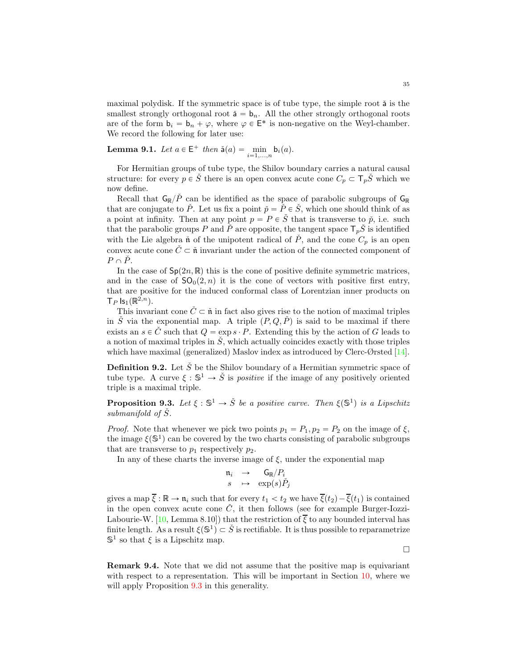<span id="page-34-2"></span>maximal polydisk. If the symmetric space is of tube type, the simple root  $\check{a}$  is the smallest strongly orthogonal root  $\check{a} = b_n$ . All the other strongly orthogonal roots are of the form  $\mathbf{b}_i = \mathbf{b}_n + \varphi$ , where  $\varphi \in \mathsf{E}^*$  is non-negative on the Weyl-chamber. We record the following for later use:

<span id="page-34-1"></span>**Lemma 9.1.** Let  $a \in E^+$  then  $\check{a}(a) = \min_{i=1,...,n} b_i(a)$ .

For Hermitian groups of tube type, the Shilov boundary carries a natural causal structure: for every  $p \in S$  there is an open convex acute cone  $C_p \subset \mathsf{T}_pS$ <sup>which</sup> we now define.

Recall that  $\mathsf{G}_{\mathbb{R}}/\check{P}$  can be identified as the space of parabolic subgroups of  $\mathsf{G}_{\mathbb{R}}$ that are conjugate to  $\check{P}$ . Let us fix a point  $\check{p} = \check{P} \in \check{S}$ , which one should think of as a point at infinity. Then at any point  $p = P \in \check{S}$  that is transverse to  $\check{p}$ , i.e. such that the parabolic groups P and P are opposite, the tangent space  $T_pS$  is identified with the Lie algebra  $\check{\mathfrak{n}}$  of the unipotent radical of P, and the cone  $C_p$  is an open convex acute cone  $\check{C} \subset \check{\mathfrak{n}}$  invariant under the action of the connected component of  $P \cap \check{P}$ .

In the case of  $Sp(2n, \mathbb{R})$  this is the cone of positive definite symmetric matrices, and in the case of  $SO_0(2, n)$  it is the cone of vectors with positive first entry, that are positive for the induced conformal class of Lorentzian inner products on  $\mathsf{T}_P$  ls<sub>1</sub> $(\mathbb{R}^{2,n})$ .

This invariant cone  $\check{C} \subset \check{\mathfrak{n}}$  in fact also gives rise to the notion of maximal triples in  $\check{S}$  via the exponential map. A triple  $(P, Q, \check{P})$  is said to be maximal if there exists an  $s \in C$  such that  $Q = \exp s \cdot P$ . Extending this by the action of G leads to a notion of maximal triples in  $\check{S}$ , which actually coincides exactly with those triples which have maximal (generalized) Maslov index as introduced by Clerc-Ørsted [\[14\]](#page-42-18).

**Definition 9.2.** Let  $\check{S}$  be the Shilov boundary of a Hermitian symmetric space of tube type. A curve  $\xi : \mathbb{S}^1 \to \check{S}$  is *positive* if the image of any positively oriented triple is a maximal triple.

<span id="page-34-0"></span>**Proposition 9.3.** Let  $\xi : \mathbb{S}^1 \to \check{S}$  be a positive curve. Then  $\xi(\mathbb{S}^1)$  is a Lipschitz submanifold of  $\dot{S}$ .

*Proof.* Note that whenever we pick two points  $p_1 = P_1$ ,  $p_2 = P_2$  on the image of  $\xi$ , the image  $\xi(\mathbb{S}^1)$  can be covered by the two charts consisting of parabolic subgroups that are transverse to  $p_1$  respectively  $p_2$ .

In any of these charts the inverse image of  $\xi$ , under the exponential map

$$
\begin{array}{rcl}\n\mathfrak{n}_i & \to & \mathsf{G}_{\mathbb{R}}/P_i \\
s & \mapsto & \exp(s)\check{P}_j\n\end{array}
$$

gives a map  $\overline{\xi}: \mathbb{R} \to \mathfrak{n}_i$  such that for every  $t_1 < t_2$  we have  $\overline{\xi}(t_2) - \overline{\xi}(t_1)$  is contained in the open convex acute cone  $\check{C}$ , it then follows (see for example Burger-Iozzi-Labourie-W. [\[10,](#page-42-19) Lemma 8.10]) that the restriction of  $\overline{\xi}$  to any bounded interval has finite length. As a result  $\xi(\mathbb{S}^1) \subset \check{S}$  is rectifiable. It is thus possible to reparametrize  $\mathbb{S}^1$  so that  $\xi$  is a Lipschitz map.

 $\Box$ 

Remark 9.4. Note that we did not assume that the positive map is equivariant with respect to a representation. This will be important in Section [10,](#page-37-0) where we will apply Proposition  $9.3$  in this generality.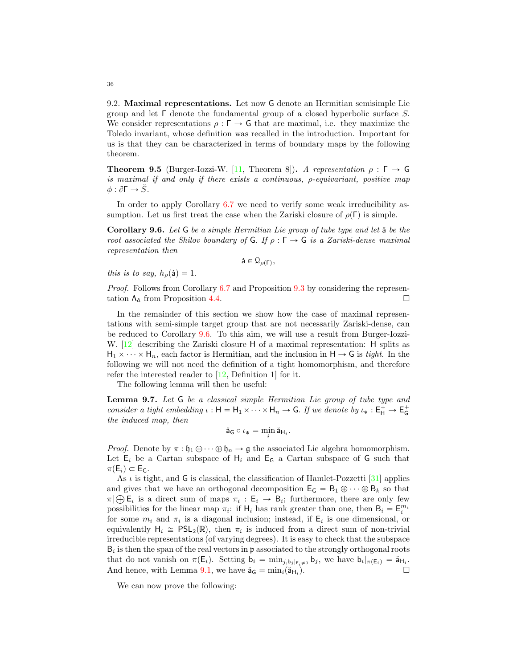9.2. Maximal representations. Let now G denote an Hermitian semisimple Lie group and let Γ denote the fundamental group of a closed hyperbolic surface S. We consider representations  $\rho : \Gamma \to G$  that are maximal, i.e. they maximize the Toledo invariant, whose definition was recalled in the introduction. Important for us is that they can be characterized in terms of boundary maps by the following theorem.

**Theorem 9.5** (Burger-Iozzi-W. [\[11,](#page-42-0) Theorem 8]). A representation  $\rho : \Gamma \to \mathsf{G}$ is maximal if and only if there exists a continuous, ρ-equivariant, positive map  $\phi: \partial \Gamma \to \check{S}$ .

In order to apply Corollary [6.7](#page-27-3) we need to verify some weak irreducibility assumption. Let us first treat the case when the Zariski closure of  $\rho(\Gamma)$  is simple.

<span id="page-35-0"></span>**Corollary 9.6.** Let  $G$  be a simple Hermitian Lie group of tube type and let  $\check{a}$  be the root associated the Shilov boundary of G. If  $\rho : \Gamma \to G$  is a Zariski-dense maximal representation then

 $\check{\mathsf{a}} \in \mathcal{Q}_{\rho(\Gamma)},$ 

this is to say,  $h_{\rho}(\check{a}) = 1$ .

Proof. Follows from Corollary [6.7](#page-27-3) and Proposition [9.3](#page-34-0) by considering the representation  $\Lambda_{\tilde{a}}$  from Proposition [4.4.](#page-17-0)

In the remainder of this section we show how the case of maximal representations with semi-simple target group that are not necessarily Zariski-dense, can be reduced to Corollary [9.6.](#page-35-0) To this aim, we will use a result from Burger-Iozzi-W. [\[12\]](#page-42-20) describing the Zariski closure H of a maximal representation: H splits as  $H_1 \times \cdots \times H_n$ , each factor is Hermitian, and the inclusion in  $H \to G$  is tight. In the following we will not need the definition of a tight homomorphism, and therefore refer the interested reader to [\[12,](#page-42-20) Definition 1] for it.

The following lemma will then be useful:

<span id="page-35-1"></span>Lemma 9.7. Let G be a classical simple Hermitian Lie group of tube type and consider a tight embedding  $\iota : H = H_1 \times \cdots \times H_n \to G$ . If we denote by  $\iota_* : E_H^+ \to E_G^+$ the induced map, then

$$
\check{\mathsf{a}}_{\mathsf{G}}\circ \iota_*=\min_i \check{\mathsf{a}}_{\mathsf{H}_i}.
$$

*Proof.* Denote by  $\pi : \mathfrak{h}_1 \oplus \cdots \oplus \mathfrak{h}_n \to \mathfrak{g}$  the associated Lie algebra homomorphism. Let  $E_i$  be a Cartan subspace of  $H_i$  and  $E_G$  a Cartan subspace of G such that  $\pi(E_i) \subset E_G$ .

As  $\iota$  is tight, and G is classical, the classification of Hamlet-Pozzetti [\[31\]](#page-42-21) applies and gives that we have an orthogonal decomposition  $E_G = B_1 \oplus \cdots \oplus B_k$  so that  $\pi | \bigoplus \mathsf{E}_i$  is a direct sum of maps  $\pi_i : \mathsf{E}_i \to \mathsf{B}_i$ ; furthermore, there are only few possibilities for the linear map  $\pi_i$ : if  $H_i$  has rank greater than one, then  $B_i = E_i^{m_i}$ for some  $m_i$  and  $\pi_i$  is a diagonal inclusion; instead, if  $\mathsf{E}_i$  is one dimensional, or equivalently  $H_i \cong PSL_2(\mathbb{R})$ , then  $\pi_i$  is induced from a direct sum of non-trivial irreducible representations (of varying degrees). It is easy to check that the subspace  $B_i$  is then the span of the real vectors in  $\mathfrak p$  associated to the strongly orthogonal roots that do not vanish on  $\pi(\mathsf{E}_i)$ . Setting  $\mathsf{b}_i = \min_{j, \mathsf{b}_j | \mathsf{E}_i \neq 0} \mathsf{b}_j$ , we have  $\mathsf{b}_i |_{\pi(\mathsf{E}_i)} = \check{\mathsf{a}}_{\mathsf{H}_i}$ . And hence, with Lemma [9.1,](#page-34-1) we have  $\check{a}_G = \min_i(\check{a}_{H_i})$ .  $\Box$ 

We can now prove the following:

<span id="page-35-2"></span>36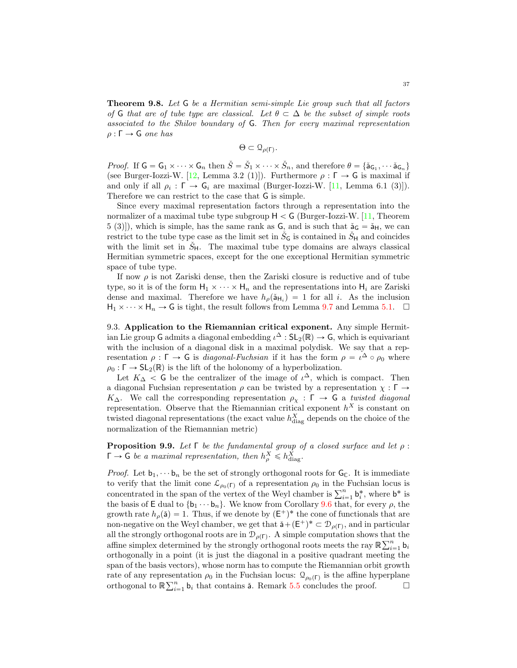<span id="page-36-2"></span><span id="page-36-1"></span>Theorem 9.8. Let G be a Hermitian semi-simple Lie group such that all factors of G that are of tube type are classical. Let  $\theta \subset \Delta$  be the subset of simple roots associated to the Shilov boundary of G. Then for every maximal representation  $ρ : Γ → G$  one has

$$
\Theta \subset \mathfrak{Q}_{\rho(\Gamma)}.
$$

*Proof.* If  $G = G_1 \times \cdots \times G_n$  then  $\check{S} = \check{S}_1 \times \cdots \times \check{S}_n$ , and therefore  $\theta = {\{\check{a}_{G_1}, \cdots \check{a}_{G_n}\}}$ (see Burger-Iozzi-W. [\[12,](#page-42-20) Lemma 3.2 (1)]). Furthermore  $\rho : \Gamma \to G$  is maximal if and only if all  $\rho_i : \Gamma \to \mathsf{G}_i$  are maximal (Burger-Iozzi-W. [\[11,](#page-42-0) Lemma 6.1 (3)]). Therefore we can restrict to the case that G is simple.

Since every maximal representation factors through a representation into the normalizer of a maximal tube type subgroup  $H < G$  (Burger-Iozzi-W. [\[11,](#page-42-0) Theorem 5 (3)]), which is simple, has the same rank as  $\mathsf{G}$ , and is such that  $\check{a}_{\mathsf{G}} = \check{a}_{\mathsf{H}}$ , we can restrict to the tube type case as the limit set in  $\check{S}_G$  is contained in  $\check{S}_H$  and coincides with the limit set in  $\check{S}_{H}$ . The maximal tube type domains are always classical Hermitian symmetric spaces, except for the one exceptional Hermitian symmetric space of tube type.

If now  $\rho$  is not Zariski dense, then the Zariski closure is reductive and of tube type, so it is of the form  $H_1 \times \cdots \times H_n$  and the representations into  $H_i$  are Zariski dense and maximal. Therefore we have  $h_{\rho}(\mathbf{a}_{\mathsf{H}_i}) = 1$  for all i. As the inclusion  $H_1 \times \cdots \times H_n \to G$  is tight, the result follows from Lemma [9.7](#page-35-1) and Lemma [5.1.](#page-21-2)  $\Box$ 

9.3. Application to the Riemannian critical exponent. Any simple Hermitian Lie group G admits a diagonal embedding  $\iota^{\Delta} : SL_2(\mathbb{R}) \to G$ , which is equivariant with the inclusion of a diagonal disk in a maximal polydisk. We say that a representation  $\rho : \Gamma \to G$  is *diagonal-Fuchsian* if it has the form  $\rho = \iota^{\Delta} \circ \rho_0$  where  $\rho_0 : \Gamma \to SL_2(\mathbb{R})$  is the lift of the holonomy of a hyperbolization.

Let  $K_{\Delta}$  < G be the centralizer of the image of  $\iota^{\Delta}$ , which is compact. Then a diagonal Fuchsian representation  $\rho$  can be twisted by a representation  $\chi : \Gamma \to$ K<sub>Δ</sub>. We call the corresponding representation  $\rho_{\chi} : \Gamma \to \mathsf{G}$  a twisted diagonal representation. Observe that the Riemannian critical exponent  $h^X$  is constant on twisted diagonal representations (the exact value  $h_{\text{diag}}^X$  depends on the choice of the normalization of the Riemannian metric)

<span id="page-36-0"></span>**Proposition 9.9.** Let  $\Gamma$  be the fundamental group of a closed surface and let  $\rho$ :  $\Gamma \to G$  be a maximal representation, then  $h_{\rho}^X \leq h_{\text{diag}}^X$ .

*Proof.* Let  $b_1, \dots, b_n$  be the set of strongly orthogonal roots for  $G_C$ . It is immediate to verify that the limit cone  $\mathcal{L}_{\rho_0(\Gamma)}$  of a representation  $\rho_0$  in the Fuchsian locus is concentrated in the span of the vertex of the Weyl chamber is  $\sum_{i=1}^{n} \mathbf{b}_i^*$ , where  $\mathbf{b}^*$  is the basis of E dual to  $\{b_1 \cdots b_n\}$ . We know from Corollary [9.6](#page-35-0) that, for every  $\rho$ , the growth rate  $h_{\rho}(\mathbf{\check{a}}) = 1$ . Thus, if we denote by  $(\mathsf{E}^+)^*$  the cone of functionals that are non-negative on the Weyl chamber, we get that  $\check{a} + (\mathsf{E}^+)^* \subset \mathcal{D}_{\rho(\Gamma)}$ , and in particular all the strongly orthogonal roots are in  $\mathcal{D}_{\rho(\Gamma)}$ . A simple computation shows that the affine simplex determined by the strongly orthogonal roots meets the ray  $\mathbb{R} \sum_{i=1}^{n} \mathbf{b}_i$ orthogonally in a point (it is just the diagonal in a positive quadrant meeting the span of the basis vectors), whose norm has to compute the Riemannian orbit growth rate of any representation  $\rho_0$  in the Fuchsian locus:  $\mathcal{Q}_{\rho_0(\Gamma)}$  is the affine hyperplane orthogonal to  $\mathbb{R} \sum_{i=1}^{n} \mathbf{b}_i$  that contains **ă**. Remark [5.5](#page-22-1) concludes the proof.  $\Box$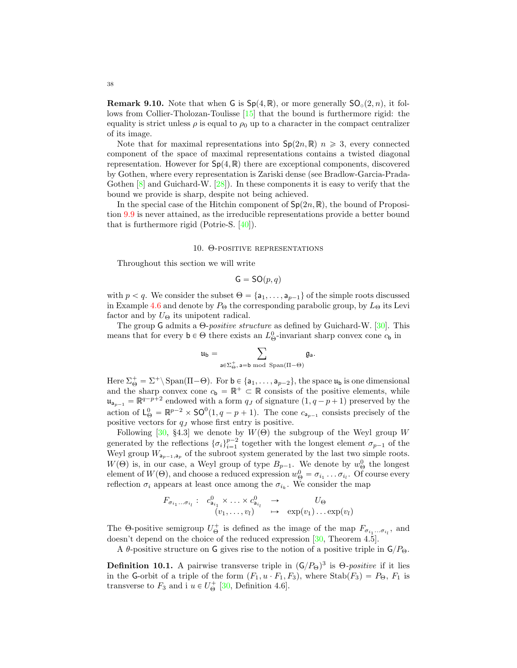<span id="page-37-1"></span>**Remark 9.10.** Note that when G is  $Sp(4, \mathbb{R})$ , or more generally  $SO_0(2, n)$ , it follows from Collier-Tholozan-Toulisse [\[15\]](#page-42-8) that the bound is furthermore rigid: the equality is strict unless  $\rho$  is equal to  $\rho_0$  up to a character in the compact centralizer of its image.

Note that for maximal representations into  $\mathsf{Sp}(2n,\mathbb{R})$   $n \geqslant 3$ , every connected component of the space of maximal representations contains a twisted diagonal representation. However for  $Sp(4, \mathbb{R})$  there are exceptional components, discovered by Gothen, where every representation is Zariski dense (see Bradlow-Garcia-Prada-Gothen  $[8]$  and Guichard-W.  $[28]$ . In these components it is easy to verify that the bound we provide is sharp, despite not being achieved.

In the special case of the Hitchin component of  $Sp(2n, \mathbb{R})$ , the bound of Proposition [9.9](#page-36-0) is never attained, as the irreducible representations provide a better bound that is furthermore rigid (Potrie-S. [\[40\]](#page-43-5)).

### 10. Θ-positive representations

<span id="page-37-0"></span>Throughout this section we will write

$$
\mathsf{G} = \mathsf{SO}(p,q)
$$

with  $p < q$ . We consider the subset  $\Theta = \{a_1, \ldots, a_{p-1}\}\$  of the simple roots discussed in Example [4.6](#page-18-1) and denote by  $P_{\Theta}$  the corresponding parabolic group, by  $L_{\Theta}$  its Levi factor and by  $U_{\Theta}$  its unipotent radical.

The group G admits a  $\Theta$ -*positive structure* as defined by Guichard-W. [\[30\]](#page-42-7). This means that for every  $\mathbf{b} \in \Theta$  there exists an  $L^0_{\Theta}$ -invariant sharp convex cone  $c_{\mathbf{b}}$  in

$$
\mathfrak{u}_b=\sum_{\mathsf{a}\in \Sigma_{\Theta}^+,\, \mathsf{a}=\mathsf{b} \bmod \ \mathrm{Span}(\Pi-\Theta)} \mathfrak{g}_\mathsf{a}.
$$

Here  $\Sigma_{\Theta}^+ = \Sigma^+ \backslash \operatorname{Span}(\Pi - \Theta)$ . For  $\mathsf{b} \in \{a_1, \ldots, a_{p-2}\}$ , the space  $\mathfrak{u}_{\mathsf{b}}$  is one dimensional and the sharp convex cone  $c_{\mathbf{b}} = \mathbb{R}^+ \subset \mathbb{R}$  consists of the positive elements, while  $\mathfrak{u}_{a_{p-1}} = \mathbb{R}^{q-p+2}$  endowed with a form  $q_J$  of signature  $(1, q-p+1)$  preserved by the action of  $L^0_{\Theta} = \mathbb{R}^{p-2} \times SO^0(1, q-p+1)$ . The cone  $c_{a_{p-1}}$  consists precisely of the positive vectors for  $q_J$  whose first entry is positive.

Following [\[30,](#page-42-7) §4.3] we denote by  $W(\Theta)$  the subgroup of the Weyl group W generated by the reflections  $\{\sigma_i\}_{i=1}^{p-2}$  together with the longest element  $\sigma_{p-1}$  of the generated by the renections  $\{o_i\}_{i=1}^N$  together with the longest element  $o_{p-1}$  or the Weyl group  $W_{a_{p-1},a_p}$  of the subroot system generated by the last two simple roots.  $W(\Theta)$  is, in our case, a Weyl group of type  $B_{p-1}$ . We denote by  $w_{\Theta}^0$  the longest element of  $W(\Theta)$ , and choose a reduced expression  $w_{\Theta}^0 = \sigma_{i_1} \dots \sigma_{i_l}$ . Of course every reflection  $\sigma_i$  appears at least once among the  $\sigma_{i_k}$ . We consider the map

$$
F_{\sigma_{i_1}...\sigma_{i_l}}: c^0_{a_{i_1}} \times ... \times c^0_{a_{i_l}} \rightarrow U_{\Theta}
$$
  

$$
(v_1,...,v_l) \rightarrow \exp(v_1)... \exp(v_l)
$$

The  $\Theta$ -positive semigroup  $U_{\Theta}^+$  is defined as the image of the map  $F_{\sigma_{i_1}...\sigma_{i_l}}$ , and doesn't depend on the choice of the reduced expression [\[30,](#page-42-7) Theorem 4.5].

A  $\theta$ -positive structure on G gives rise to the notion of a positive triple in  $\mathsf{G}/P_{\Theta}$ .

**Definition 10.1.** A pairwise transverse triple in  $(G/P_{\Theta})^3$  is  $\Theta$ -positive if it lies in the G-orbit of a triple of the form  $(F_1, u \cdot F_1, F_3)$ , where  $Stab(F_3) = P_{\Theta}$ ,  $F_1$  is transverse to  $F_3$  and i  $u \in U_{\Theta}^+$  [\[30,](#page-42-7) Definition 4.6].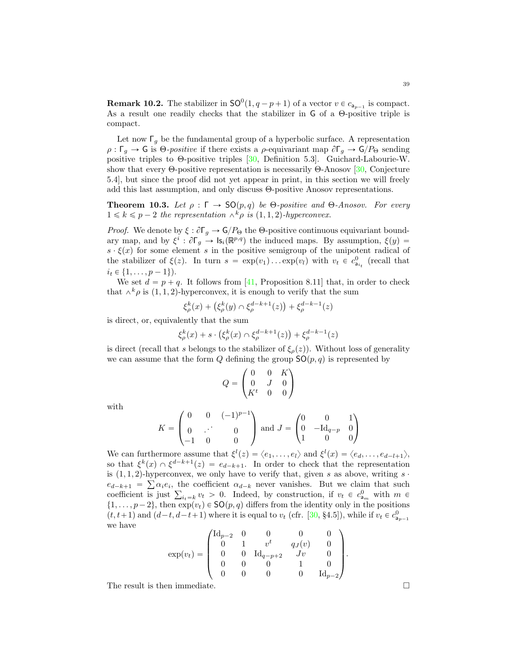<span id="page-38-2"></span><span id="page-38-1"></span>**Remark 10.2.** The stabilizer in  $\mathsf{SO}^0(1, q-p+1)$  of a vector  $v \in c_{a_{p-1}}$  is compact. As a result one readily checks that the stabilizer in G of a Θ-positive triple is compact.

Let now  $\lceil q \rceil$  be the fundamental group of a hyperbolic surface. A representation  $\rho : \Gamma_g \to G$  is  $\Theta$ -positive if there exists a  $\rho$ -equivariant map  $\partial \Gamma_g \to G/P_{\Theta}$  sending positive triples to Θ-positive triples [\[30,](#page-42-7) Definition 5.3]. Guichard-Labourie-W. show that every Θ-positive representation is necessarily  $\Theta$ -Anosov [\[30,](#page-42-7) Conjecture 5.4], but since the proof did not yet appear in print, in this section we will freely add this last assumption, and only discuss Θ-positive Anosov representations.

<span id="page-38-0"></span>**Theorem 10.3.** Let  $\rho : \Gamma \to SO(p,q)$  be  $\Theta$ -positive and  $\Theta$ -Anosov. For every  $1 \leq k \leq p-2$  the representation  $\wedge^k \rho$  is  $(1, 1, 2)$ -hyperconvex.

*Proof.* We denote by  $\xi : \partial \Gamma_g \to \mathsf{G}/P_\Theta$  the  $\Theta$ -positive continuous equivariant boundary map, and by  $\xi^i$ :  $\partial \Gamma_g \to \mathsf{Is}_i(\mathbb{R}^{p,q})$  the induced maps. By assumption,  $\xi(y) =$  $s \cdot \xi(x)$  for some element s in the positive semigroup of the unipotent radical of the stabilizer of  $\xi(z)$ . In turn  $s = \exp(v_1) \dots \exp(v_l)$  with  $v_t \in c_{a_{i_t}}^0$  (recall that  $i_t \in \{1, \ldots, p - 1\}.$ 

We set  $d = p + q$ . It follows from [\[41,](#page-43-1) Proposition 8.11] that, in order to check that  $\wedge^k \rho$  is  $(1, 1, 2)$ -hyperconvex, it is enough to verify that the sum

$$
\xi_{\rho}^{k}(x) + (\xi_{\rho}^{k}(y) \cap \xi_{\rho}^{d-k+1}(z)) + \xi_{\rho}^{d-k-1}(z)
$$

is direct, or, equivalently that the sum

$$
\xi_{\rho}^{k}(x) + s \cdot (\xi_{\rho}^{k}(x) \cap \xi_{\rho}^{d-k+1}(z)) + \xi_{\rho}^{d-k-1}(z)
$$

is direct (recall that s belongs to the stabilizer of  $\xi_{\rho}(z)$ ). Without loss of generality we can assume that the form Q defining the group  $SO(p, q)$  is represented by

$$
Q = \begin{pmatrix} 0 & 0 & K \\ 0 & J & 0 \\ K^t & 0 & 0 \end{pmatrix}
$$

with

$$
K = \begin{pmatrix} 0 & 0 & (-1)^{p-1} \\ 0 & \cdot & 0 \\ -1 & 0 & 0 \end{pmatrix} \text{ and } J = \begin{pmatrix} 0 & 0 & 1 \\ 0 & -\text{Id}_{q-p} & 0 \\ 1 & 0 & 0 \end{pmatrix}
$$

We can furthermore assume that  $\xi^{l}(z) = \langle e_1, \ldots, e_l \rangle$  and  $\xi^{l}(x) = \langle e_d, \ldots, e_{d-l+1} \rangle$ , so that  $\xi^k(x) \cap \xi^{d-k+1}(z) = e_{d-k+1}$ . In order to check that the representation is  $(1, 1, 2)$ -hyperconvex, we only have to verify that, given s as above, writing s  $\cdot$  $e_{d-k+1} = \sum \alpha_i e_i$ , the coefficient  $\alpha_{d-k}$  never vanishes. But we claim that such coefficient is just  $\sum_{i_t=k} v_t > 0$ . Indeed, by construction, if  $v_t \in c^0_{a_m}$  with  $m \in$  $\{1, \ldots, p-2\}$ , then  $\exp(v_t) \in \mathsf{SO}(p, q)$  differs from the identity only in the positions  $(t, t+1)$  and  $(d-t, d-t+1)$  where it is equal to  $v_t$  (cfr. [\[30,](#page-42-7) §4.5]), while if  $v_t \in c^0_{a_{p-1}}$ we have  $\sqrt{1}$ 

$$
\exp(v_t) = \begin{pmatrix} \text{Id}_{p-2} & 0 & 0 & 0 & 0 \\ 0 & 1 & v^t & q_J(v) & 0 \\ 0 & 0 & \text{Id}_{q-p+2} & Jv & 0 \\ 0 & 0 & 0 & 1 & 0 \\ 0 & 0 & 0 & 0 & \text{Id}_{p-2} \end{pmatrix}.
$$

The result is then immediate.

39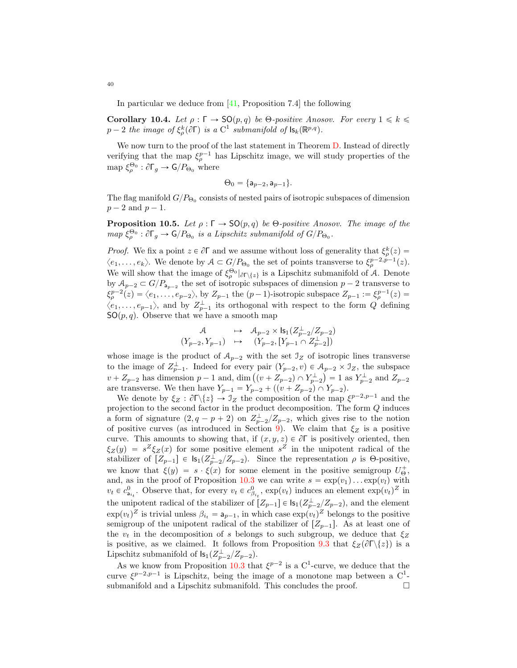In particular we deduce from [\[41,](#page-43-1) Proposition 7.4] the following

<span id="page-39-0"></span>Corollary 10.4. Let  $\rho : \Gamma \to SO(p,q)$  be  $\Theta$ -positive Anosov. For every  $1 \leq k \leq \Theta$  $p-2$  the image of  $\xi^k_\rho(\partial \Gamma)$  is a  $C^1$  submanifold of  $\mathsf{ls}_k(\mathbb{R}^{p,q})$ .

We now turn to the proof of the last statement in Theorem [D.](#page-5-0) Instead of directly verifying that the map  $\xi_{\rho}^{p-1}$  has Lipschitz image, we will study properties of the map  $\xi_{\rho}^{\Theta_0}$ :  $\partial \Gamma_g \to \mathsf{G}/P_{\Theta_0}$  where

$$
\Theta_0 = \{ \mathsf{a}_{p-2}, \mathsf{a}_{p-1} \}.
$$

The flag manifold  $G/P_{\Theta_0}$  consists of nested pairs of isotropic subspaces of dimension  $p-2$  and  $p-1$ .

<span id="page-39-1"></span>**Proposition 10.5.** Let  $\rho : \Gamma \to SO(p,q)$  be  $\Theta$ -positive Anosov. The image of the  $map \ \xi^{\Theta_0}_\rho : \partial \Gamma_g \to \mathsf{G}/P_{\Theta_0}$  is a Lipschitz submanifold of  $G/P_{\Theta_0}$ .

*Proof.* We fix a point  $z \in \partial \Gamma$  and we assume without loss of generality that  $\xi_{\rho}^{k}(z) =$  $\langle e_1,\ldots,e_k\rangle$ . We denote by  $\mathcal{A}\subset G/P_{\Theta_0}$  the set of points transverse to  $\xi_{\rho}^{p-2,p-1}(z)$ . We will show that the image of  $\xi^{\Theta_0}_{\rho} |_{\partial \Gamma \setminus \{z\}}$  is a Lipschitz submanifold of A. Denote by  $A_{p-2} \subset G/P_{a_{p-2}}$  the set of isotropic subspaces of dimension  $p-2$  transverse to  $\xi_p^{p-2}(z) = \langle e_1, \ldots, e_{p-2} \rangle$ , by  $Z_{p-1}$  the  $(p-1)$ -isotropic subspace  $Z_{p-1} := \xi_p^{p-1}(z) =$  $\langle e_1, \ldots, e_{p-1} \rangle$ , and by  $Z_{p-1}^{\perp}$  its orthogonal with respect to the form Q defining  $SO(p, q)$ . Observe that we have a smooth map

$$
\begin{array}{ccc} \mathcal{A} & \mapsto & \mathcal{A}_{p-2} \times \mathsf{ls}_1(Z_{p-2}^\perp/Z_{p-2}) \\ (Y_{p-2},Y_{p-1}) & \mapsto & (Y_{p-2},[Y_{p-1}\cap Z_{p-2}^\perp]) \end{array}
$$

whose image is the product of  $A_{p-2}$  with the set  $\mathcal{I}_Z$  of isotropic lines transverse to the image of  $Z_{p-1}^{\perp}$ . Indeed for every pair  $(Y_{p-2}, v) \in \mathcal{A}_{p-2} \times \mathcal{I}_Z$ , the subspace  $v + Z_{p-2}$  has dimension  $p-1$  and, dim  $((v + Z_{p-2}) \cap Y^{\perp}_{p-2}) = 1$  as  $Y^{\perp}_{p-2}$  and  $Z_{p-2}$ are transverse. We then have  $Y_{p-1} = Y_{p-2} + ((v + Z_{p-2}) \cap Y_{p-2}).$ 

We denote by  $\xi_Z : \partial \Gamma \backslash \{z\} \to \mathcal{I}_Z$  the composition of the map  $\xi^{p-2,p-1}$  and the projection to the second factor in the product decomposition. The form Q induces a form of signature  $(2, q - p + 2)$  on  $Z_{p-2}^{\perp}/Z_{p-2}$ , which gives rise to the notion of positive curves (as introduced in Section [9\)](#page-33-0). We claim that  $\xi_Z$  is a positive curve. This amounts to showing that, if  $(x, y, z) \in \partial \Gamma$  is positively oriented, then  $\xi_Z(y) = s^Z \xi_Z(x)$  for some positive element  $s^Z$  in the unipotent radical of the stabilizer of  $[Z_{p-1}] \in \mathsf{ls}_1(Z_{p-2}^{\perp}/Z_{p-2})$ . Since the representation  $\rho$  is  $\Theta$ -positive, we know that  $\xi(y) = s \cdot \xi(x)$  for some element in the positive semigroup  $U_{\Theta}^+$ , and, as in the proof of Proposition [10.3](#page-38-0) we can write  $s = \exp(v_1) \dots \exp(v_l)$  with  $v_t \in c_{a_{i_t}}^0$ . Observe that, for every  $v_t \in c_{\beta_{i_t}}^0$ ,  $\exp(v_t)$  induces an element  $\exp(v_t)^Z$  in the unipotent radical of the stabilizer of  $[Z_{p-1}] \in \mathsf{Is}_1(Z_{p-2}^{\perp}/Z_{p-2})$ , and the element  $\exp(v_t)^Z$  is trivial unless  $\beta_{i_t} = \mathsf{a}_{p-1}$ , in which case  $\exp(v_t)^Z$  belongs to the positive semigroup of the unipotent radical of the stabilizer of  $[Z_{p-1}]$ . As at least one of the  $v_t$  in the decomposition of s belongs to such subgroup, we deduce that  $\xi_Z$ is positive, as we claimed. It follows from Proposition [9.3](#page-34-0) that  $\xi_Z(\partial\Gamma\backslash\{z\})$  is a Lipschitz submanifold of  $\mathsf{ls}_1(Z_{p-2}^\perp/Z_{p-2})$ .

As we know from Proposition [10.3](#page-38-0) that  $\xi^{p-2}$  is a C<sup>1</sup>-curve, we deduce that the curve  $\xi^{p-2,p-1}$  is Lipschitz, being the image of a monotone map between a  $C^1$ submanifold and a Lipschitz submanifold. This concludes the proof.  $\Box$ 

<span id="page-39-2"></span>40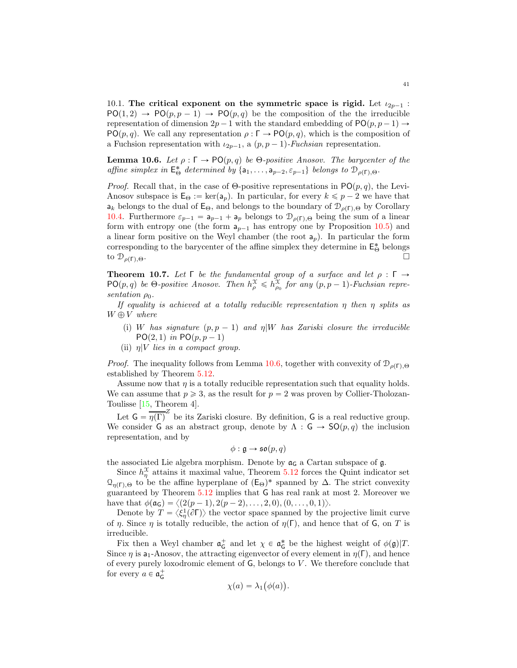<span id="page-40-2"></span>10.1. The critical exponent on the symmetric space is rigid. Let  $\iota_{2p-1}$  :  $PO(1, 2) \rightarrow PO(p, p - 1) \rightarrow PO(p, q)$  be the composition of the the irreducible representation of dimension  $2p - 1$  with the standard embedding of PO $(p, p - 1) \rightarrow$ PO $(p, q)$ . We call any representation  $\rho : \Gamma \to \text{PO}(p, q)$ , which is the composition of a Fuchsion representation with  $u_{2p-1}$ , a  $(p, p - 1)$ -Fuchsian representation.

<span id="page-40-1"></span>**Lemma 10.6.** Let  $\rho : \Gamma \to \mathsf{PO}(p,q)$  be  $\Theta$ -positive Anosov. The barycenter of the affine simplex in  $E^*_{\Theta}$  determined by  $\{a_1, \ldots, a_{p-2}, \varepsilon_{p-1}\}$  belongs to  $\mathcal{D}_{\rho(\Gamma), \Theta}$ .

*Proof.* Recall that, in the case of Θ-positive representations in  $PO(p, q)$ , the Levi-Anosov subspace is  $\mathsf{E}_{\Theta} := \ker(\mathsf{a}_p)$ . In particular, for every  $k \leqslant p - 2$  we have that  $a_k$  belongs to the dual of  $E_{\Theta}$ , and belongs to the boundary of  $\mathcal{D}_{\rho(\Gamma),\Theta}$  by Corollary [10.4.](#page-39-0) Furthermore  $\varepsilon_{p-1} = a_{p-1} + a_p$  belongs to  $\mathcal{D}_{\rho(\Gamma),\Theta}$  being the sum of a linear form with entropy one (the form  $a_{p-1}$  has entropy one by Proposition [10.5\)](#page-39-1) and a linear form positive on the Weyl chamber (the root  $a_p$ ). In particular the form corresponding to the barycenter of the affine simplex they determine in  $\mathsf{E}^*_{\Theta}$  belongs to  $\mathcal{D}_{\rho(\Gamma),\Theta}$ .

<span id="page-40-0"></span>**Theorem 10.7.** Let  $\Gamma$  be the fundamental group of a surface and let  $\rho : \Gamma \to \mathbb{R}$  $PO(p, q)$  be  $\Theta$ -positive Anosov. Then  $h_{\rho}^{\mathcal{X}} \leq h_{\rho_0}^{\mathcal{X}}$  for any  $(p, p - 1)$ -Fuchsian representation  $\rho_0$ .

If equality is achieved at a totally reducible representation  $\eta$  then  $\eta$  splits as  $W \oplus V$  where

- (i) W has signature  $(p, p 1)$  and  $\eta | W$  has Zariski closure the irreducible  $PO(2, 1)$  in  $PO(p, p - 1)$
- (ii)  $\eta$ |V lies in a compact group.

*Proof.* The inequality follows from Lemma [10.6,](#page-40-1) together with convexity of  $\mathcal{D}_{\rho(\Gamma),\Theta}$ established by Theorem [5.12.](#page-23-2)

Assume now that  $\eta$  is a totally reducible representation such that equality holds. We can assume that  $p \geq 3$ , as the result for  $p = 2$  was proven by Collier-Tholozan-Toulisse [\[15,](#page-42-8) Theorem 4].

Let  $G = \overline{\eta(\Gamma)}^Z$  be its Zariski closure. By definition, G is a real reductive group. We consider G as an abstract group, denote by  $\Lambda : G \to SO(p,q)$  the inclusion representation, and by

$$
\phi : \mathfrak{g} \to \mathfrak{so}(p,q)
$$

the associated Lie algebra morphism. Denote by  $\mathfrak{a}_G$  a Cartan subspace of g.

Since  $h_{\eta}^{\mathcal{X}}$  attains it maximal value, Theorem [5.12](#page-23-2) forces the Quint indicator set  $\Omega_{\eta(\Gamma),\Theta}$  to be the affine hyperplane of  $(\mathsf{E}_{\Theta})^*$  spanned by Δ. The strict convexity guaranteed by Theorem [5.12](#page-23-2) implies that G has real rank at most 2. Moreover we have that  $\phi(\mathfrak{a}_{\mathsf{G}}) = \langle (2(p-1), 2(p-2), \ldots, 2, 0), (0, \ldots, 0, 1) \rangle$ .

Denote by  $T = \langle \xi_{\eta}^1(\partial \Gamma) \rangle$  the vector space spanned by the projective limit curve of  $\eta$ . Since  $\eta$  is totally reducible, the action of  $\eta(\Gamma)$ , and hence that of G, on T is irreducible.

Fix then a Weyl chamber  $\mathfrak{a}^+_G$  and let  $\chi \in \mathfrak{a}^*_G$  be the highest weight of  $\phi(\mathfrak{g})|T$ . Since  $\eta$  is a<sub>1</sub>-Anosov, the attracting eigenvector of every element in  $\eta(\Gamma)$ , and hence of every purely loxodromic element of  $G$ , belongs to  $V$ . We therefore conclude that for every  $a \in \mathfrak{a}_\mathsf{G}^+$ 

$$
\chi(a) = \lambda_1(\phi(a)).
$$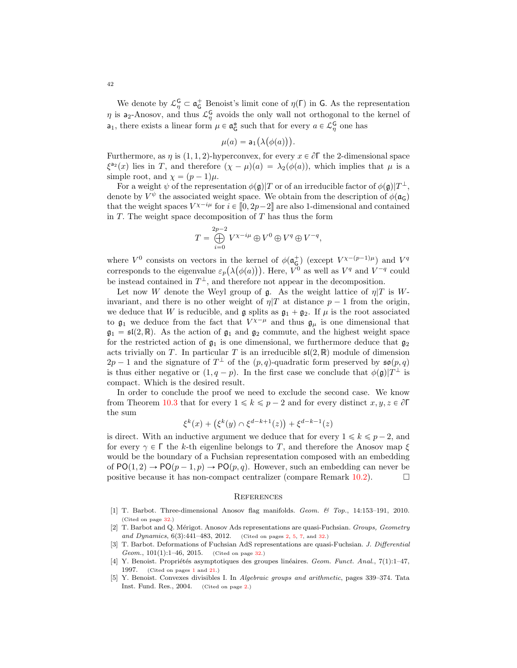We denote by  $\mathcal{L}_{\eta}^{\mathsf{G}} \subset \mathfrak{a}_{\mathsf{G}}^+$  Benoist's limit cone of  $\eta(\Gamma)$  in G. As the representation  $\eta$  is a<sub>2</sub>-Anosov, and thus  $\mathcal{L}_{\eta}^{\mathsf{G}}$  avoids the only wall not orthogonal to the kernel of **a**<sub>1</sub>, there exists a linear form  $\mu \in \mathfrak{a}^*_{\mathsf{G}}$  such that for every  $a \in \mathcal{L}^{\mathsf{G}}_{\eta}$  one has

$$
\mu(a) = \mathsf{a}_1\big(\lambda\big(\phi(a)\big)\big).
$$

Furthermore, as  $\eta$  is (1, 1, 2)-hyperconvex, for every  $x \in \partial \Gamma$  the 2-dimensional space  $\xi^{a_2}(x)$  lies in T, and therefore  $(\chi - \mu)(a) = \lambda_2(\phi(a))$ , which implies that  $\mu$  is a simple root, and  $\chi = (p-1)\mu$ .

For a weight  $\psi$  of the representation  $\phi(\mathfrak{g})|T$  or of an irreducible factor of  $\phi(\mathfrak{g})|T^{\perp}$ , denote by  $V^{\psi}$  the associated weight space. We obtain from the description of  $\phi(\mathfrak{a}_{\mathsf{G}})$ that the weight spaces  $V^{\chi-i\mu}$  for  $i \in [0, 2p-2]$  are also 1-dimensional and contained in  $T$ . The weight space decomposition of  $T$  has thus the form

$$
T = \bigoplus_{i=0}^{2p-2} V^{\chi - i\mu} \oplus V^0 \oplus V^q \oplus V^{-q},
$$

where  $V^0$  consists on vectors in the kernel of  $\phi(\mathfrak{a}_{\mathsf{G}}^+)$  (except  $V^{\chi-(p-1)\mu}$ ) and  $V^q$ corresponds to the eigenvalue  $\varepsilon_p(\lambda(\phi(a)))$ . Here,  $V^0$  as well as  $V^q$  and  $V^{-q}$  could be instead contained in  $T^{\perp}$ , and therefore not appear in the decomposition.

Let now W denote the Weyl group of  $\mathfrak g$ . As the weight lattice of  $\eta|T$  is Winvariant, and there is no other weight of  $\eta$  at distance  $p - 1$  from the origin, we deduce that W is reducible, and  $\mathfrak g$  splits as  $\mathfrak g_1 + \mathfrak g_2$ . If  $\mu$  is the root associated to  $\mathfrak{g}_1$  we deduce from the fact that  $V^{\chi-\mu}$  and thus  $\mathfrak{g}_\mu$  is one dimensional that  $\mathfrak{g}_1 = \mathfrak{sl}(2,\mathbb{R})$ . As the action of  $\mathfrak{g}_1$  and  $\mathfrak{g}_2$  commute, and the highest weight space for the restricted action of  $\mathfrak{g}_1$  is one dimensional, we furthermore deduce that  $\mathfrak{g}_2$ acts trivially on T. In particular T is an irreducible  $\mathfrak{sl}(2,\mathbb{R})$  module of dimension  $2p-1$  and the signature of  $T^{\perp}$  of the  $(p, q)$ -quadratic form preserved by  $\mathfrak{so}(p, q)$ is thus either negative or  $(1, q - p)$ . In the first case we conclude that  $\phi(\mathfrak{g})|T^{\perp}$  is compact. Which is the desired result.

In order to conclude the proof we need to exclude the second case. We know from Theorem [10.3](#page-38-0) that for every  $1 \leq k \leq p-2$  and for every distinct  $x, y, z \in \partial \Gamma$ the sum

$$
\xi^k(x) + (\xi^k(y) \cap \xi^{d-k+1}(z)) + \xi^{d-k-1}(z)
$$

is direct. With an inductive argument we deduce that for every  $1 \leq k \leq p-2$ , and for every  $\gamma \in \Gamma$  the k-th eigenline belongs to T, and therefore the Anosov map  $\xi$ would be the boundary of a Fuchsian representation composed with an embedding of  $PO(1, 2) \rightarrow PO(p-1, p) \rightarrow PO(p, q)$ . However, such an embedding can never be positive because it has non-compact centralizer (compare Remark 10.2). positive because it has non-compact centralizer (compare Remark [10.2\)](#page-38-1).

### <span id="page-41-0"></span>**REFERENCES**

- <span id="page-41-4"></span>[1] T. Barbot. Three-dimensional Anosov flag manifolds. Geom. & Top., 14:153–191, 2010. (Cited on page [32.](#page-31-1))
- <span id="page-41-3"></span>[2] T. Barbot and Q. Mérigot. Anosov Ads representations are quasi-Fuchsian. Groups, Geometry and Dynamics, 6(3):441-483, 2012. (Cited on pages [2,](#page-1-0) [5,](#page-4-3) [7,](#page-6-2) and [32.](#page-31-1))
- <span id="page-41-5"></span>[3] T. Barbot. Deformations of Fuchsian AdS representations are quasi-Fuchsian. J. Differential Geom., 101(1):1–46, 2015. (Cited on page [32.](#page-31-1))
- <span id="page-41-1"></span>[4] Y. Benoist. Propriétés asymptotiques des groupes linéaires. Geom. Funct. Anal., 7(1):1–47, 1997. (Cited on pages [1](#page-0-1) and [21.](#page-20-3))
- <span id="page-41-2"></span>[5] Y. Benoist. Convexes divisibles I. In Algebraic groups and arithmetic, pages 339–374. Tata Inst. Fund. Res., 2004. (Cited on page [2.](#page-1-0))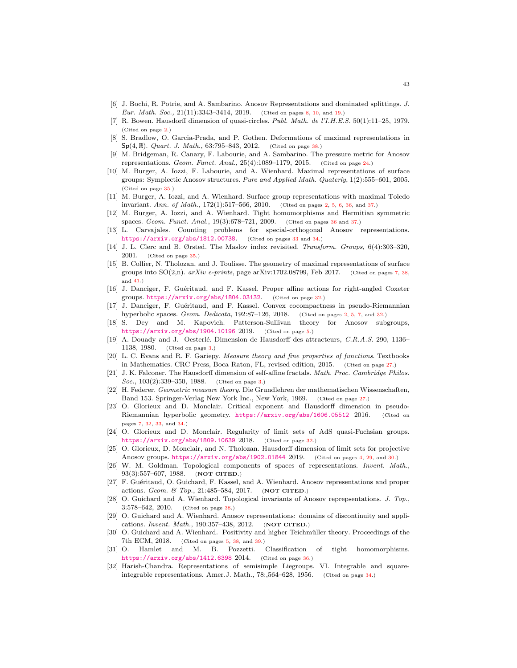- <span id="page-42-10"></span>[6] J. Bochi, R. Potrie, and A. Sambarino. Anosov Representations and dominated splittings. J. Eur. Math. Soc., 21(11):3343-3414, 2019. (Cited on pages [8,](#page-7-2) [10,](#page-9-6) and [19.](#page-18-2))
- <span id="page-42-2"></span>[7] R. Bowen. Hausdorff dimension of quasi-circles. Publ. Math. de l'I.H.E.S. 50(1):11–25, 1979. (Cited on page [2.](#page-1-0))
- <span id="page-42-22"></span>[8] S. Bradlow, O. Garcia-Prada, and P. Gothen. Deformations of maximal representations in  $Sp(4, \mathbb{R})$ . *Quart. J. Math.*, 63:795–843, 2012. (Cited on page [38.](#page-37-1))
- <span id="page-42-11"></span>[9] M. Bridgeman, R. Canary, F. Labourie, and A. Sambarino. The pressure metric for Anosov representations. Geom. Funct. Anal.,  $25(4)$ :1089-1179, 2015. (Cited on page [24.](#page-23-4))
- <span id="page-42-19"></span>[10] M. Burger, A. Iozzi, F. Labourie, and A. Wienhard. Maximal representations of surface groups: Symplectic Anosov structures. Pure and Applied Math. Quaterly, 1(2):555–601, 2005. (Cited on page [35.](#page-34-2))
- <span id="page-42-0"></span>[11] M. Burger, A. Iozzi, and A. Wienhard. Surface group representations with maximal Toledo invariant. Ann. of Math., 172(1):517–566, 2010. (Cited on pages [2,](#page-1-0) [5,](#page-4-3) [6,](#page-5-2) [36,](#page-35-2) and [37.](#page-36-2))
- <span id="page-42-20"></span>[12] M. Burger, A. Iozzi, and A. Wienhard. Tight homomorphisms and Hermitian symmetric spaces. Geom. Funct. Anal.,  $19(3):678-721$ ,  $2009$ . (Cited on pages [36](#page-35-2) and [37.](#page-36-2))
- <span id="page-42-16"></span>[13] L. Carvajales. Counting problems for special-orthogonal Anosov representations. <https://arxiv.org/abs/1812.00738>. (Cited on pages [33](#page-32-2) and [34.](#page-33-1))
- <span id="page-42-18"></span>[14] J. L. Clerc and B. Ørsted. The Maslov index revisited. Transform. Groups, 6(4):303–320, 2001. (Cited on page [35.](#page-34-2))
- <span id="page-42-8"></span>[15] B. Collier, N. Tholozan, and J. Toulisse. The geometry of maximal representations of surface groups into  $SO(2,n)$ . arXiv e-prints, page arXiv:1702.08799, Feb 2017. (Cited on pages [7,](#page-6-2) [38,](#page-37-1) and [41.](#page-40-2))
- <span id="page-42-14"></span>[16] J. Danciger, F. Guéritaud, and F. Kassel. Proper affine actions for right-angled Coxeter groups. <https://arxiv.org/abs/1804.03132>. (Cited on page [32.](#page-31-1))
- <span id="page-42-1"></span>[17] J. Danciger, F. Guéritaud, and F. Kassel. Convex cocompactness in pseudo-Riemannian hyperbolic spaces. Geom. Dedicata, 192:87–126, 2018. (Cited on pages [2,](#page-1-0) [5,](#page-4-3) [7,](#page-6-2) and [32.](#page-31-1))
- <span id="page-42-6"></span>[18] S. Dey and M. Kapovich. Patterson-Sullivan theory for Anosov subgroups, <https://arxiv.org/abs/1904.10196> 2019. (Cited on page [5.](#page-4-3))
- <span id="page-42-3"></span>[19] A. Douady and J. Oesterlé. Dimension de Hausdorff des attracteurs, C.R.A.S. 290, 1136– 1138, 1980. (Cited on page [3.](#page-2-3))
- <span id="page-42-12"></span>[20] L. C. Evans and R. F. Gariepy. Measure theory and fine properties of functions. Textbooks in Mathematics. CRC Press, Boca Raton, FL, revised edition, 2015. (Cited on page [27.](#page-26-5))
- <span id="page-42-4"></span>[21] J. K. Falconer. The Hausdorff dimension of self-affine fractals. Math. Proc. Cambridge Philos. Soc., 103(2):339-350, 1988. (Cited on page [3.](#page-2-3))
- <span id="page-42-13"></span>[22] H. Federer. Geometric measure theory. Die Grundlehren der mathematischen Wissenschaften, Band 153. Springer-Verlag New York Inc., New York, 1969. (Cited on page [27.](#page-26-5))
- <span id="page-42-9"></span>[23] O. Glorieux and D. Monclair. Critical exponent and Hausdorff dimension in pseudo-Riemannian hyperbolic geometry. <https://arxiv.org/abs/1606.05512> 2016. (Cited on pages [7,](#page-6-2) [32,](#page-31-1) [33,](#page-32-2) and [34.](#page-33-1))
- <span id="page-42-15"></span>[24] O. Glorieux and D. Monclair. Regularity of limit sets of AdS quasi-Fuchsian groups. <https://arxiv.org/abs/1809.10639> 2018. (Cited on page [32.](#page-31-1))
- <span id="page-42-5"></span>[25] O. Glorieux, D. Monclair, and N. Tholozan. Hausdorff dimension of limit sets for projective Anosov groups. <https://arxiv.org/abs/1902.01844> 2019. (Cited on pages [4,](#page-3-2) [29,](#page-28-3) and [30.](#page-29-1))
- [26] W. M. Goldman. Topological components of spaces of representations. Invent. Math., 93(3):557–607, 1988. (NOT CITED.)
- [27] F. Guéritaud, O. Guichard, F. Kassel, and A. Wienhard. Anosov representations and proper actions. Geom. & Top., 21:485–584, 2017. (NOT CITED.)
- <span id="page-42-23"></span>[28] O. Guichard and A. Wienhard. Topological invariants of Anosov reprepsentations. J. Top., 3:578–642, 2010. (Cited on page [38.](#page-37-1))
- [29] O. Guichard and A. Wienhard. Anosov representations: domains of discontinuity and applications. Invent. Math., 190:357–438, 2012. (NOT CITED.)
- <span id="page-42-7"></span>[30] O. Guichard and A. Wienhard. Positivity and higher Teichmüller theory. Proceedings of the 7th ECM, 2018. (Cited on pages [5,](#page-4-3) [38,](#page-37-1) and [39.](#page-38-2))
- <span id="page-42-21"></span>[31] O. Hamlet and M. B. Pozzetti. Classification of tight homomorphisms. <https://arxiv.org/abs/1412.6398> 2014. (Cited on page [36.](#page-35-2))
- <span id="page-42-17"></span>[32] Harish-Chandra. Representations of semisimple Liegroups. VI. Integrable and squareintegrable representations. Amer.J. Math., 78:,564–628, 1956. (Cited on page [34.](#page-33-1))